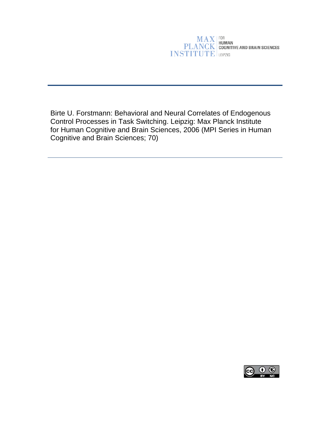# **MAX**<br>PLANCK<br>COGNITIVE AND BRAIN SCIENCES **INSTITUTE**

Birte U. Forstmann: Behavioral and Neural Correlates of Endogenous Control Processes in Task Switching. Leipzig: Max Planck Institute for Human Cognitive and Brain Sciences, 2006 (MPI Series in Human Cognitive and Brain Sciences; 70)

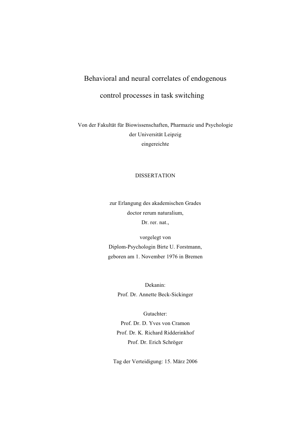# Behavioral and neural correlates of endogenous

## control processes in task switching

Von der Fakultät für Biowissenschaften, Pharmazie und Psychologie der Universität Leipzig eingereichte

#### DISSERTATION

zur Erlangung des akademischen Grades doctor rerum naturalium, Dr. rer. nat.,

vorgelegt von Diplom-Psychologin Birte U. Forstmann, geboren am 1. November 1976 in Bremen

> Dekanin: Prof. Dr. Annette Beck-Sickinger

Gutachter: Prof. Dr. D. Yves von Cramon Prof. Dr. K. Richard Ridderinkhof Prof. Dr. Erich Schröger

Tag der Verteidigung: 15. März 2006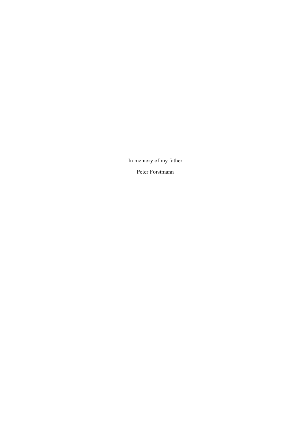In memory of my father Peter Forstmann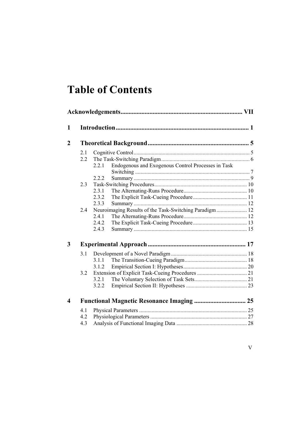# **Table of Contents**

| 1                |     |                                                             |  |  |  |
|------------------|-----|-------------------------------------------------------------|--|--|--|
| $\overline{2}$   |     |                                                             |  |  |  |
|                  | 2.1 |                                                             |  |  |  |
|                  | 2.2 |                                                             |  |  |  |
|                  |     | Endogenous and Exogenous Control Processes in Task<br>2.2.1 |  |  |  |
|                  |     | 2.2.2                                                       |  |  |  |
|                  | 2.3 |                                                             |  |  |  |
|                  |     | 2.3.1                                                       |  |  |  |
|                  |     | 2.3.2                                                       |  |  |  |
|                  |     | 2.3.3                                                       |  |  |  |
|                  | 2.4 | Neuroimaging Results of the Task-Switching Paradigm 12      |  |  |  |
|                  |     | 2.4.1                                                       |  |  |  |
|                  |     | 2.4.2                                                       |  |  |  |
|                  |     | 2.4.3                                                       |  |  |  |
| 3                |     |                                                             |  |  |  |
|                  | 3.1 |                                                             |  |  |  |
|                  |     | 3.1.1                                                       |  |  |  |
|                  |     | 3.1.2                                                       |  |  |  |
|                  | 3.2 |                                                             |  |  |  |
|                  |     | 3.2.1                                                       |  |  |  |
|                  |     | 3.2.2                                                       |  |  |  |
| $\boldsymbol{4}$ |     | <b>Functional Magnetic Resonance Imaging  25</b>            |  |  |  |
|                  | 4.1 |                                                             |  |  |  |
|                  | 4.2 |                                                             |  |  |  |
|                  | 4.3 |                                                             |  |  |  |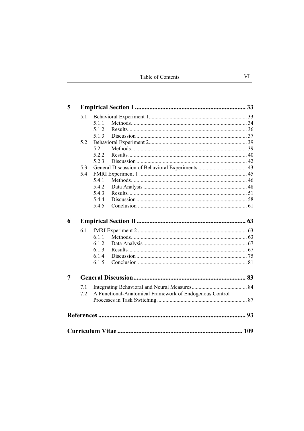| 5 |     |                                                         |  |  |  |  |
|---|-----|---------------------------------------------------------|--|--|--|--|
|   | 5.1 |                                                         |  |  |  |  |
|   |     | 5.1.1                                                   |  |  |  |  |
|   |     | 5.1.2                                                   |  |  |  |  |
|   |     | 5.1.3                                                   |  |  |  |  |
|   | 5.2 |                                                         |  |  |  |  |
|   |     | 5.2.1                                                   |  |  |  |  |
|   |     | 5.2.2                                                   |  |  |  |  |
|   |     | 5.2.3                                                   |  |  |  |  |
|   | 5.3 |                                                         |  |  |  |  |
|   | 5.4 |                                                         |  |  |  |  |
|   |     | 5.4.1                                                   |  |  |  |  |
|   |     | 5.4.2                                                   |  |  |  |  |
|   |     | 5.4.3                                                   |  |  |  |  |
|   |     | 5.4.4                                                   |  |  |  |  |
|   |     | 5.4.5                                                   |  |  |  |  |
| 6 |     |                                                         |  |  |  |  |
|   | 6.1 |                                                         |  |  |  |  |
|   |     | 6.1.1                                                   |  |  |  |  |
|   |     | 6.1.2                                                   |  |  |  |  |
|   |     | 6.1.3                                                   |  |  |  |  |
|   |     | 6.1.4                                                   |  |  |  |  |
|   |     | 6.1.5                                                   |  |  |  |  |
| 7 |     |                                                         |  |  |  |  |
|   |     |                                                         |  |  |  |  |
|   | 7.1 |                                                         |  |  |  |  |
|   | 7.2 | A Functional-Anatomical Framework of Endogenous Control |  |  |  |  |
|   |     |                                                         |  |  |  |  |
|   |     |                                                         |  |  |  |  |
|   |     |                                                         |  |  |  |  |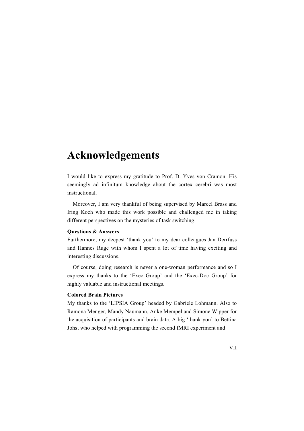# **Acknowledgements**

I would like to express my gratitude to Prof. D. Yves von Cramon. His seemingly ad infinitum knowledge about the cortex cerebri was most instructional.

Moreover, I am very thankful of being supervised by Marcel Brass and Iring Koch who made this work possible and challenged me in taking different perspectives on the mysteries of task switching.

#### **Questions & Answers**

Furthermore, my deepest 'thank you' to my dear colleagues Jan Derrfuss and Hannes Ruge with whom I spent a lot of time having exciting and interesting discussions.

Of course, doing research is never a one-woman performance and so I express my thanks to the 'Exec Group' and the 'Exec-Doc Group' for highly valuable and instructional meetings.

#### **Colored Brain Pictures**

My thanks to the 'LIPSIA Group' headed by Gabriele Lohmann. Also to Ramona Menger, Mandy Naumann, Anke Mempel and Simone Wipper for the acquisition of participants and brain data. A big 'thank you' to Bettina Johst who helped with programming the second fMRI experiment and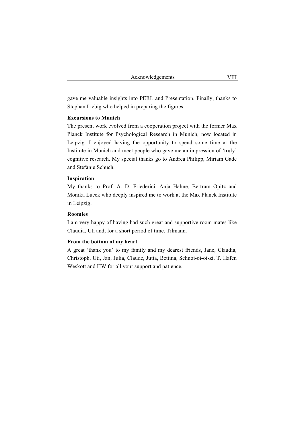gave me valuable insights into PERL and Presentation. Finally, thanks to Stephan Liebig who helped in preparing the figures.

#### **Excursions to Munich**

The present work evolved from a cooperation project with the former Max Planck Institute for Psychological Research in Munich, now located in Leipzig. I enjoyed having the opportunity to spend some time at the Institute in Munich and meet people who gave me an impression of 'truly' cognitive research. My special thanks go to Andrea Philipp, Miriam Gade and Stefanie Schuch.

#### **Inspiration**

My thanks to Prof. A. D. Friederici, Anja Hahne, Bertram Opitz and Monika Lueck who deeply inspired me to work at the Max Planck Institute in Leipzig.

#### **Roomies**

I am very happy of having had such great and supportive room mates like Claudia, Uti and, for a short period of time, Tilmann.

#### **From the bottom of my heart**

A great 'thank you' to my family and my dearest friends, Jane, Claudia, Christoph, Uti, Jan, Julia, Claude, Jutta, Bettina, Schnoi-oi-oi-zi, T. Hafen Weskott and HW for all your support and patience.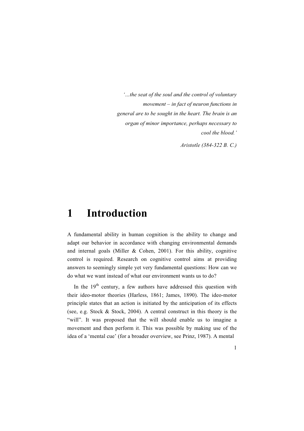*'…the seat of the soul and the control of voluntary movement – in fact of neuron functions in general are to be sought in the heart. The brain is an organ of minor importance, perhaps necessary to cool the blood.'*

*Aristotle (384-322 B. C.)* 

# **1 Introduction**

A fundamental ability in human cognition is the ability to change and adapt our behavior in accordance with changing environmental demands and internal goals (Miller  $& Cohen, 2001$ ). For this ability, cognitive control is required. Research on cognitive control aims at providing answers to seemingly simple yet very fundamental questions: How can we do what we want instead of what our environment wants us to do?

In the  $19<sup>th</sup>$  century, a few authors have addressed this question with their ideo-motor theories (Harless, 1861; James, 1890). The ideo-motor principle states that an action is initiated by the anticipation of its effects (see, e.g. Stock & Stock, 2004). A central construct in this theory is the "will". It was proposed that the will should enable us to imagine a movement and then perform it. This was possible by making use of the idea of a 'mental cue' (for a broader overview, see Prinz, 1987). A mental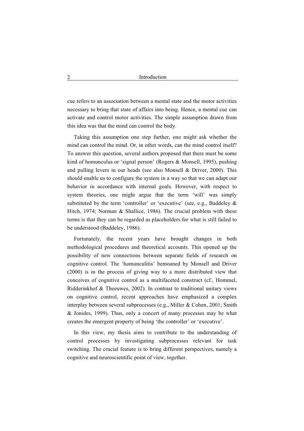cue refers to an association between a mental state and the motor activities necessary to bring that state of affairs into being. Hence, a mental cue can activate and control motor activities. The simple assumption drawn from this idea was that the mind can control the body.

Taking this assumption one step further, one might ask whether the mind can control the mind. Or, in other words, can the mind control itself? To answer this question, several authors proposed that there must be some kind of homunculus or 'signal person' (Rogers & Monsell, 1995), pushing and pulling levers in our heads (see also Monsell & Driver, 2000). This should enable us to configure the system in a way so that we can adapt our behavior in accordance with internal goals. However, with respect to system theories, one might argue that the term 'will' was simply substituted by the term 'controller' or 'executive' (see, e.g., Baddeley & Hitch, 1974; Norman & Shallice, 1986). The crucial problem with these terms is that they can be regarded as placeholders for what is still failed to be understood (Baddeley, 1986).

Fortunately, the recent years have brought changes in both methodological procedures and theoretical accounts. This opened up the possibility of new connections between separate fields of research on cognitive control. The 'homunculitis' bemoaned by Monsell and Driver (2000) is in the process of giving way to a more distributed view that conceives of cognitive control as a multifaceted construct (cf., Hommel, Ridderinkhof & Theeuwes, 2002). In contrast to traditional unitary views on cognitive control, recent approaches have emphasized a complex interplay between several subprocesses (e.g., Miller & Cohen, 2001; Smith & Jonides, 1999). Thus, only a concert of many processes may be what creates the emergent property of being 'the controller' or 'executive'.

In this view, my thesis aims to contribute to the understanding of control processes by investigating subprocesses relevant for task switching. The crucial feature is to bring different perspectives, namely a cognitive and neuroscientific point of view, together.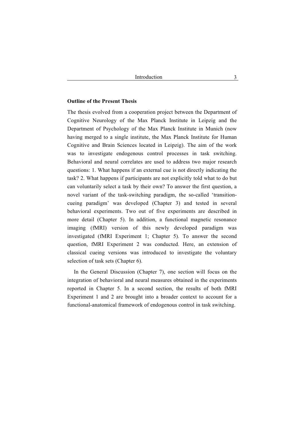#### **Outline of the Present Thesis**

The thesis evolved from a cooperation project between the Department of Cognitive Neurology of the Max Planck Institute in Leipzig and the Department of Psychology of the Max Planck Institute in Munich (now having merged to a single institute, the Max Planck Institute for Human Cognitive and Brain Sciences located in Leipzig). The aim of the work was to investigate endogenous control processes in task switching. Behavioral and neural correlates are used to address two major research questions: 1. What happens if an external cue is not directly indicating the task? 2. What happens if participants are not explicitly told what to do but can voluntarily select a task by their own? To answer the first question, a novel variant of the task-switching paradigm, the so-called 'transitioncueing paradigm' was developed (Chapter 3) and tested in several behavioral experiments. Two out of five experiments are described in more detail (Chapter 5). In addition, a functional magnetic resonance imaging (fMRI) version of this newly developed paradigm was investigated (fMRI Experiment 1; Chapter 5). To answer the second question, fMRI Experiment 2 was conducted. Here, an extension of classical cueing versions was introduced to investigate the voluntary selection of task sets (Chapter 6).

In the General Discussion (Chapter 7), one section will focus on the integration of behavioral and neural measures obtained in the experiments reported in Chapter 5. In a second section, the results of both fMRI Experiment 1 and 2 are brought into a broader context to account for a functional-anatomical framework of endogenous control in task switching.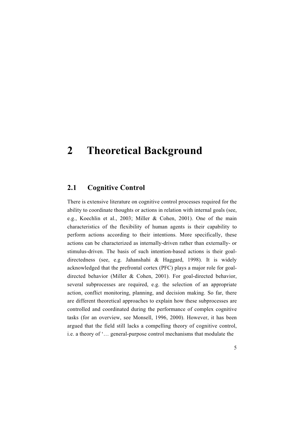# **2 Theoretical Background**

### **2.1 Cognitive Control**

There is extensive literature on cognitive control processes required for the ability to coordinate thoughts or actions in relation with internal goals (see, e.g., Koechlin et al., 2003; Miller & Cohen, 2001). One of the main characteristics of the flexibility of human agents is their capability to perform actions according to their intentions. More specifically, these actions can be characterized as internally-driven rather than externally- or stimulus-driven. The basis of such intention-based actions is their goaldirectedness (see, e.g. Jahanshahi & Haggard, 1998). It is widely acknowledged that the prefrontal cortex (PFC) plays a major role for goaldirected behavior (Miller & Cohen, 2001). For goal-directed behavior, several subprocesses are required, e.g. the selection of an appropriate action, conflict monitoring, planning, and decision making. So far, there are different theoretical approaches to explain how these subprocesses are controlled and coordinated during the performance of complex cognitive tasks (for an overview, see Monsell, 1996, 2000). However, it has been argued that the field still lacks a compelling theory of cognitive control, i.e. a theory of '… general-purpose control mechanisms that modulate the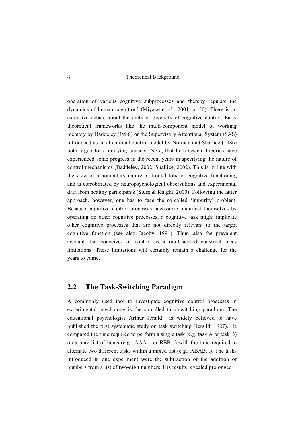operation of various cognitive subprocesses and thereby regulate the dynamics of human cognition' (Miyake et al., 2001; p. 50). There is an extensive debate about the unity or diversity of cognitive control. Early theoretical frameworks like the multi-component model of working memory by Baddeley (1986) or the Supervisory Attentional System (SAS) introduced as an attentional control model by Norman and Shallice (1986) both argue for a unifying concept. Note, that both system theories have experienced some progress in the recent years in specifying the nature of control mechanisms (Baddeley, 2002; Shallice, 2002). This is in line with the view of a nonunitary nature of frontal lobe or cognitive functioning and is corroborated by neuropsychological observations and experimental data from healthy participants (Stuss & Knight, 2000). Following the latter approach, however, one has to face the so-called 'impurity' problem. Because cognitive control processes necessarily manifest themselves by operating on other cognitive processes, a cognitive task might implicate other cognitive processes that are not directly relevant to the target cognitive function (see also Jacoby, 1991). Thus, also the prevalent account that conceives of control as a multifaceted construct faces limitations. These limitations will certainly remain a challenge for the years to come.

### **2.2 The Task-Switching Paradigm**

A commonly used tool to investigate cognitive control processes in experimental psychology is the so-called task-switching paradigm. The educational psychologist Arthur Jersild is widely believed to have published the first systematic study on task switching (Jersild, 1927). He compared the time required to perform a single task (e.g. task A or task B) on a pure list of items (e.g., AAA... or BBB...) with the time required to alternate two different tasks within a mixed list (e.g., ABAB...). The tasks introduced in one experiment were the subtraction or the addition of numbers from a list of two-digit numbers. His results revealed prolonged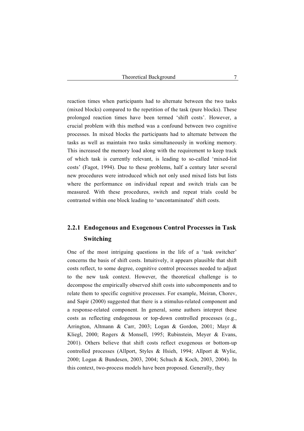reaction times when participants had to alternate between the two tasks (mixed blocks) compared to the repetition of the task (pure blocks). These prolonged reaction times have been termed 'shift costs'. However, a crucial problem with this method was a confound between two cognitive processes. In mixed blocks the participants had to alternate between the tasks as well as maintain two tasks simultaneously in working memory. This increased the memory load along with the requirement to keep track of which task is currently relevant, is leading to so-called 'mixed-list costs' (Fagot, 1994). Due to these problems, half a century later several new procedures were introduced which not only used mixed lists but lists where the performance on individual repeat and switch trials can be measured. With these procedures, switch and repeat trials could be contrasted within one block leading to 'uncontaminated' shift costs.

# **2.2.1 Endogenous and Exogenous Control Processes in Task Switching**

One of the most intriguing questions in the life of a 'task switcher' concerns the basis of shift costs. Intuitively, it appears plausible that shift costs reflect, to some degree, cognitive control processes needed to adjust to the new task context. However, the theoretical challenge is to decompose the empirically observed shift costs into subcomponents and to relate them to specific cognitive processes. For example, Meiran, Chorev, and Sapir (2000) suggested that there is a stimulus-related component and a response-related component. In general, some authors interpret these costs as reflecting endogenous or top-down controlled processes (e.g., Arrington, Altmann & Carr, 2003; Logan & Gordon, 2001; Mayr & Kliegl, 2000; Rogers & Monsell, 1995; Rubinstein, Meyer & Evans, 2001). Others believe that shift costs reflect exogenous or bottom-up controlled processes (Allport, Styles & Hsieh, 1994; Allport & Wylie, 2000; Logan & Bundesen, 2003, 2004; Schuch & Koch, 2003, 2004). In this context, two-process models have been proposed. Generally, they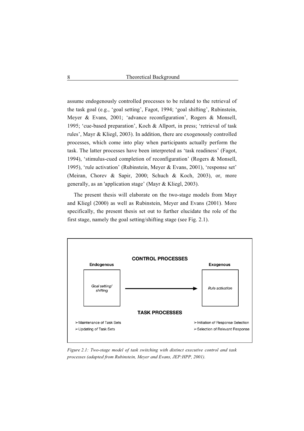assume endogenously controlled processes to be related to the retrieval of the task goal (e.g., 'goal setting', Fagot, 1994; 'goal shifting', Rubinstein, Meyer & Evans, 2001; 'advance reconfiguration', Rogers & Monsell, 1995; 'cue-based preparation', Koch & Allport, in press; 'retrieval of task rules', Mayr & Kliegl, 2003). In addition, there are exogenously controlled processes, which come into play when participants actually perform the task. The latter processes have been interpreted as 'task readiness' (Fagot, 1994), 'stimulus-cued completion of reconfiguration' (Rogers & Monsell, 1995), 'rule activation' (Rubinstein, Meyer & Evans, 2001), 'response set' (Meiran, Chorev & Sapir, 2000; Schuch & Koch, 2003), or, more generally, as an 'application stage' (Mayr & Kliegl, 2003).

The present thesis will elaborate on the two-stage models from Mayr and Kliegl (2000) as well as Rubinstein, Meyer and Evans (2001). More specifically, the present thesis set out to further elucidate the role of the first stage, namely the goal setting/shifting stage (see Fig. 2.1).



*Figure 2.1: Two-stage model of task switching with distinct executive control and task processes (adapted from Rubinstein, Meyer and Evans, JEP:HPP, 2001).*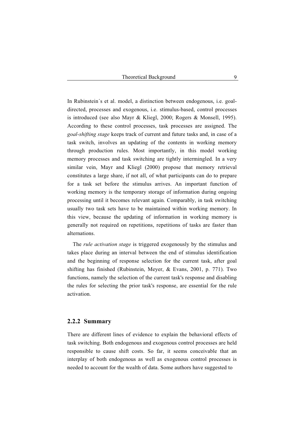In Rubinstein´s et al. model, a distinction between endogenous, i.e. goaldirected, processes and exogenous, i.e. stimulus-based, control processes is introduced (see also Mayr & Kliegl, 2000; Rogers & Monsell, 1995). According to these control processes, task processes are assigned. The *goal-shifting stage* keeps track of current and future tasks and, in case of a task switch, involves an updating of the contents in working memory through production rules. Most importantly, in this model working memory processes and task switching are tightly intermingled. In a very similar vein, Mayr and Kliegl (2000) propose that memory retrieval constitutes a large share, if not all, of what participants can do to prepare for a task set before the stimulus arrives. An important function of working memory is the temporary storage of information during ongoing processing until it becomes relevant again. Comparably, in task switching usually two task sets have to be maintained within working memory. In this view, because the updating of information in working memory is generally not required on repetitions, repetitions of tasks are faster than alternations.

The *rule activation stage* is triggered exogenously by the stimulus and takes place during an interval between the end of stimulus identification and the beginning of response selection for the current task, after goal shifting has finished (Rubinstein, Meyer, & Evans, 2001, p. 771). Two functions, namely the selection of the current task's response and disabling the rules for selecting the prior task's response, are essential for the rule activation.

#### **2.2.2 Summary**

There are different lines of evidence to explain the behavioral effects of task switching. Both endogenous and exogenous control processes are held responsible to cause shift costs. So far, it seems conceivable that an interplay of both endogenous as well as exogenous control processes is needed to account for the wealth of data. Some authors have suggested to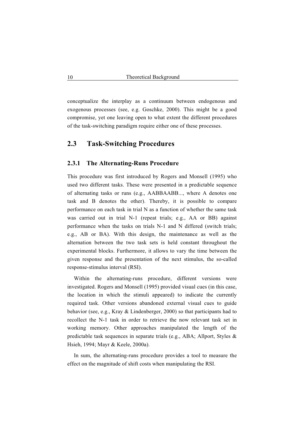conceptualize the interplay as a continuum between endogenous and exogenous processes (see, e.g. Goschke, 2000). This might be a good compromise, yet one leaving open to what extent the different procedures of the task-switching paradigm require either one of these processes.

### **2.3 Task-Switching Procedures**

#### **2.3.1 The Alternating-Runs Procedure**

This procedure was first introduced by Rogers and Monsell (1995) who used two different tasks. These were presented in a predictable sequence of alternating tasks or runs (e.g., AABBAABB..., where A denotes one task and B denotes the other). Thereby, it is possible to compare performance on each task in trial N as a function of whether the same task was carried out in trial N-1 (repeat trials; e.g., AA or BB) against performance when the tasks on trials N-1 and N differed (switch trials; e.g., AB or BA). With this design, the maintenance as well as the alternation between the two task sets is held constant throughout the experimental blocks. Furthermore, it allows to vary the time between the given response and the presentation of the next stimulus, the so-called response-stimulus interval (RSI).

Within the alternating-runs procedure, different versions were investigated. Rogers and Monsell (1995) provided visual cues (in this case, the location in which the stimuli appeared) to indicate the currently required task. Other versions abandoned external visual cues to guide behavior (see, e.g., Kray & Lindenberger, 2000) so that participants had to recollect the N-1 task in order to retrieve the now relevant task set in working memory. Other approaches manipulated the length of the predictable task sequences in separate trials (e.g., ABA; Allport, Styles & Hsieh, 1994; Mayr & Keele, 2000a).

In sum, the alternating-runs procedure provides a tool to measure the effect on the magnitude of shift costs when manipulating the RSI.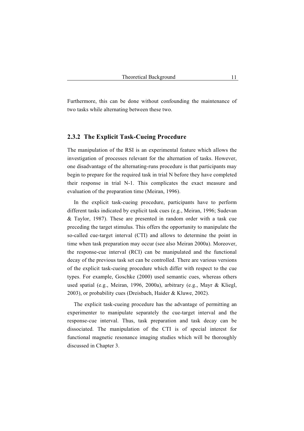Furthermore, this can be done without confounding the maintenance of two tasks while alternating between these two.

#### **2.3.2 The Explicit Task-Cueing Procedure**

The manipulation of the RSI is an experimental feature which allows the investigation of processes relevant for the alternation of tasks. However, one disadvantage of the alternating-runs procedure is that participants may begin to prepare for the required task in trial N before they have completed their response in trial N-1. This complicates the exact measure and evaluation of the preparation time (Meiran, 1996).

In the explicit task-cueing procedure, participants have to perform different tasks indicated by explicit task cues (e.g., Meiran, 1996; Sudevan & Taylor, 1987). These are presented in random order with a task cue preceding the target stimulus. This offers the opportunity to manipulate the so-called cue-target interval (CTI) and allows to determine the point in time when task preparation may occur (see also Meiran 2000a). Moreover, the response-cue interval (RCI) can be manipulated and the functional decay of the previous task set can be controlled. There are various versions of the explicit task-cueing procedure which differ with respect to the cue types. For example, Goschke (2000) used semantic cues, whereas others used spatial (e.g., Meiran, 1996, 2000a), arbitrary (e.g., Mayr & Kliegl, 2003), or probability cues (Dreisbach, Haider & Kluwe, 2002).

The explicit task-cueing procedure has the advantage of permitting an experimenter to manipulate separately the cue-target interval and the response-cue interval. Thus, task preparation and task decay can be dissociated. The manipulation of the CTI is of special interest for functional magnetic resonance imaging studies which will be thoroughly discussed in Chapter 3.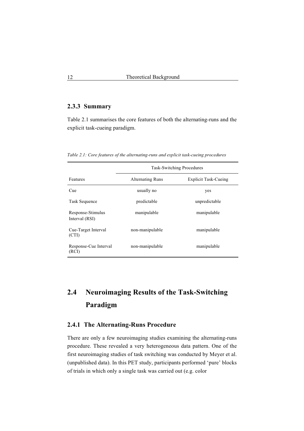### **2.3.3 Summary**

Table 2.1 summarises the core features of both the alternating-runs and the explicit task-cueing paradigm.

*Table 2.1: Core features of the alternating-runs and explicit task-cueing procedures* 

|                                     | <b>Task-Switching Procedures</b> |                             |  |
|-------------------------------------|----------------------------------|-----------------------------|--|
| Features                            | <b>Alternating Runs</b>          | <b>Explicit Task-Cueing</b> |  |
| Cue                                 | usually no                       | yes                         |  |
| Task Sequence                       | predictable                      | unpredictable               |  |
| Response-Stimulus<br>Interval (RSI) | manipulable                      | manipulable                 |  |
| Cue-Target Interval<br>(CTI)        | non-manipulable                  | manipulable                 |  |
| Response-Cue Interval<br>(RCI)      | non-manipulable                  | manipulable                 |  |

# **2.4 Neuroimaging Results of the Task-Switching Paradigm**

#### **2.4.1 The Alternating-Runs Procedure**

There are only a few neuroimaging studies examining the alternating-runs procedure. These revealed a very heterogeneous data pattern. One of the first neuroimaging studies of task switching was conducted by Meyer et al. (unpublished data). In this PET study, participants performed 'pure' blocks of trials in which only a single task was carried out (e.g. color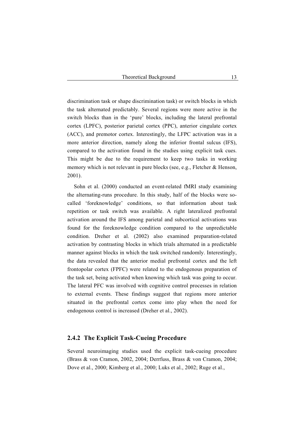discrimination task or shape discrimination task) or switch blocks in which the task alternated predictably. Several regions were more active in the switch blocks than in the 'pure' blocks, including the lateral prefrontal cortex (LPFC), posterior parietal cortex (PPC), anterior cingulate cortex (ACC), and premotor cortex. Interestingly, the LFPC activation was in a more anterior direction, namely along the inferior frontal sulcus (IFS), compared to the activation found in the studies using explicit task cues. This might be due to the requirement to keep two tasks in working memory which is not relevant in pure blocks (see, e.g., Fletcher & Henson, 2001).

Sohn et al. (2000) conducted an event-related fMRI study examining the alternating-runs procedure. In this study, half of the blocks were socalled 'foreknowledge' conditions, so that information about task repetition or task switch was available. A right lateralized prefrontal activation around the IFS among parietal and subcortical activations was found for the foreknowledge condition compared to the unpredictable condition. Dreher et al. (2002) also examined preparation-related activation by contrasting blocks in which trials alternated in a predictable manner against blocks in which the task switched randomly. Interestingly, the data revealed that the anterior medial prefrontal cortex and the left frontopolar cortex (FPFC) were related to the endogenous preparation of the task set, being activated when knowing which task was going to occur. The lateral PFC was involved with cognitive control processes in relation to external events. These findings suggest that regions more anterior situated in the prefrontal cortex come into play when the need for endogenous control is increased (Dreher et al., 2002).

#### **2.4.2 The Explicit Task-Cueing Procedure**

Several neuroimaging studies used the explicit task-cueing procedure (Brass & von Cramon, 2002, 2004; Derrfuss, Brass & von Cramon, 2004; Dove et al., 2000; Kimberg et al., 2000; Luks et al., 2002; Ruge et al.,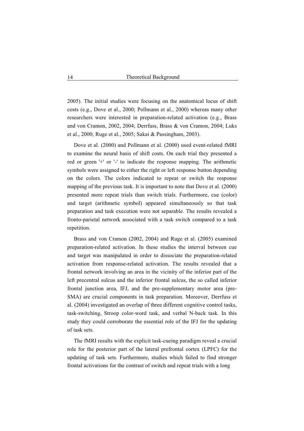2005). The initial studies were focusing on the anatomical locus of shift costs (e.g., Dove et al., 2000; Pollmann et al., 2000) whereas many other researchers were interested in preparation-related activation (e.g., Brass and von Cramon, 2002, 2004; Derrfuss, Brass & von Cramon, 2004; Luks et al., 2000; Ruge et al., 2005; Sakai & Passingham, 2003).

Dove et al. (2000) and Pollmann et al. (2000) used event-related fMRI to examine the neural basis of shift costs. On each trial they presented a red or green '+' or '-' to indicate the response mapping. The arithmetic symbols were assigned to either the right or left response button depending on the colors. The colors indicated to repeat or switch the response mapping of the previous task. It is important to note that Dove et al. (2000) presented more repeat trials than switch trials. Furthermore, cue (color) and target (arithmetic symbol) appeared simultaneously so that task preparation and task execution were not separable. The results revealed a fronto-parietal network associated with a task switch compared to a task repetition.

Brass and von Cramon (2002, 2004) and Ruge et al. (2005) examined preparation-related activation. In these studies the interval between cue and target was manipulated in order to dissociate the preparation-related activation from response-related activation. The results revealed that a frontal network involving an area in the vicinity of the inferior part of the left precentral sulcus and the inferior frontal sulcus, the so called inferior frontal junction area, IFJ, and the pre-supplementary motor area (pre-SMA) are crucial components in task preparation. Moreover, Derrfuss et al. (2004) investigated an overlap of three different cognitive control tasks, task-switching, Stroop color-word task, and verbal N-back task. In this study they could corroborate the essential role of the IFJ for the updating of task sets.

The fMRI results with the explicit task-cueing paradigm reveal a crucial role for the posterior part of the lateral prefrontal cortex (LPFC) for the updating of task sets. Furthermore, studies which failed to find stronger frontal activations for the contrast of switch and repeat trials with a long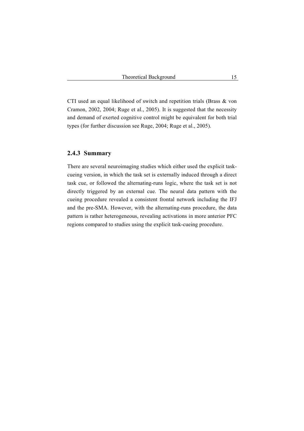CTI used an equal likelihood of switch and repetition trials (Brass & von Cramon, 2002, 2004; Ruge et al., 2005). It is suggested that the necessity and demand of exerted cognitive control might be equivalent for both trial types (for further discussion see Ruge, 2004; Ruge et al., 2005).

#### **2.4.3 Summary**

There are several neuroimaging studies which either used the explicit taskcueing version, in which the task set is externally induced through a direct task cue, or followed the alternating-runs logic, where the task set is not directly triggered by an external cue. The neural data pattern with the cueing procedure revealed a consistent frontal network including the IFJ and the pre-SMA. However, with the alternating-runs procedure, the data pattern is rather heterogeneous, revealing activations in more anterior PFC regions compared to studies using the explicit task-cueing procedure.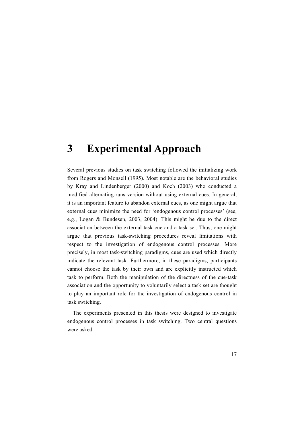# **3 Experimental Approach**

Several previous studies on task switching followed the initializing work from Rogers and Monsell (1995). Most notable are the behavioral studies by Kray and Lindenberger (2000) and Koch (2003) who conducted a modified alternating-runs version without using external cues. In general, it is an important feature to abandon external cues, as one might argue that external cues minimize the need for 'endogenous control processes' (see, e.g., Logan & Bundesen, 2003, 2004). This might be due to the direct association between the external task cue and a task set. Thus, one might argue that previous task-switching procedures reveal limitations with respect to the investigation of endogenous control processes. More precisely, in most task-switching paradigms, cues are used which directly indicate the relevant task. Furthermore, in these paradigms, participants cannot choose the task by their own and are explicitly instructed which task to perform. Both the manipulation of the directness of the cue-task association and the opportunity to voluntarily select a task set are thought to play an important role for the investigation of endogenous control in task switching.

The experiments presented in this thesis were designed to investigate endogenous control processes in task switching. Two central questions were asked: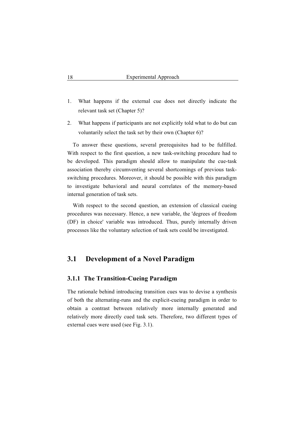- 1. What happens if the external cue does not directly indicate the relevant task set (Chapter 5)?
- 2. What happens if participants are not explicitly told what to do but can voluntarily select the task set by their own (Chapter 6)?

To answer these questions, several prerequisites had to be fulfilled. With respect to the first question, a new task-switching procedure had to be developed. This paradigm should allow to manipulate the cue-task association thereby circumventing several shortcomings of previous taskswitching procedures. Moreover, it should be possible with this paradigm to investigate behavioral and neural correlates of the memory-based internal generation of task sets.

With respect to the second question, an extension of classical cueing procedures was necessary. Hence, a new variable, the 'degrees of freedom (DF) in choice' variable was introduced. Thus, purely internally driven processes like the voluntary selection of task sets could be investigated.

### **3.1 Development of a Novel Paradigm**

#### **3.1.1 The Transition-Cueing Paradigm**

The rationale behind introducing transition cues was to devise a synthesis of both the alternating-runs and the explicit-cueing paradigm in order to obtain a contrast between relatively more internally generated and relatively more directly cued task sets. Therefore, two different types of external cues were used (see Fig. 3.1).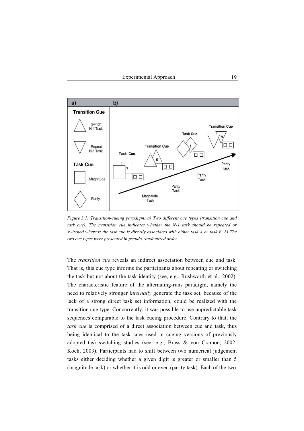

*Figure 3.1: Transition-cueing paradigm: a) Two different cue types (transition cue and task cue). The transition cue indicates whether the N-1 task should be repeated or switched whereas the task cue is directly associated with either task A or task B. b) The two cue types were presented in pseudo-randomized order.* 

The *transition cue* reveals an indirect association between cue and task. That is, this cue type informs the participants about repeating or switching the task but not about the task identity (see, e.g., Rushworth et al., 2002). The characteristic feature of the alternating-runs paradigm, namely the need to relatively stronger *internally* generate the task set, because of the lack of a strong direct task set information, could be realized with the transition cue type. Concurrently, it was possible to use unpredictable task sequences comparable to the task cueing procedure. Contrary to that, the *task cue* is comprised of a direct association between cue and task, thus being identical to the task cues used in cueing versions of previously adopted task-switching studies (see, e.g., Brass & von Cramon, 2002; Koch, 2003). Participants had to shift between two numerical judgement tasks either deciding whether a given digit is greater or smaller than 5 (magnitude task) or whether it is odd or even (parity task). Each of the two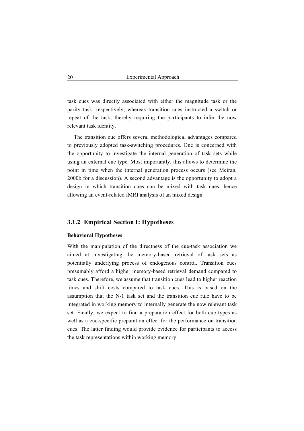task cues was directly associated with either the magnitude task or the parity task, respectively, whereas transition cues instructed a switch or repeat of the task, thereby requiring the participants to infer the now relevant task identity.

The transition cue offers several methodological advantages compared to previously adopted task-switching procedures. One is concerned with the opportunity to investigate the internal generation of task sets while using an external cue type. Most importantly, this allows to determine the point in time when the internal generation process occurs (see Meiran, 2000b for a discussion). A second advantage is the opportunity to adopt a design in which transition cues can be mixed with task cues, hence allowing an event-related fMRI analysis of an mixed design.

#### **3.1.2 Empirical Section I: Hypotheses**

#### **Behavioral Hypotheses**

With the manipulation of the directness of the cue-task association we aimed at investigating the memory-based retrieval of task sets as potentially underlying process of endogenous control. Transition cues presumably afford a higher memory-based retrieval demand compared to task cues. Therefore, we assume that transition cues lead to higher reaction times and shift costs compared to task cues. This is based on the assumption that the N-1 task set and the transition cue rule have to be integrated in working memory to internally generate the now relevant task set. Finally, we expect to find a preparation effect for both cue types as well as a cue-specific preparation effect for the performance on transition cues. The latter finding would provide evidence for participants to access the task representations within working memory.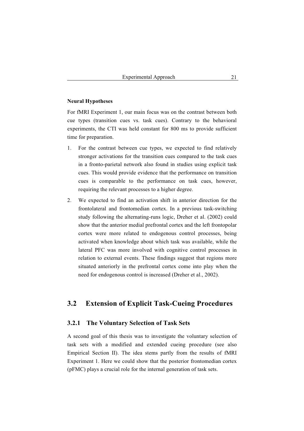#### **Neural Hypotheses**

For fMRI Experiment 1, our main focus was on the contrast between both cue types (transition cues vs. task cues). Contrary to the behavioral experiments, the CTI was held constant for 800 ms to provide sufficient time for preparation.

- 1. For the contrast between cue types, we expected to find relatively stronger activations for the transition cues compared to the task cues in a fronto-parietal network also found in studies using explicit task cues. This would provide evidence that the performance on transition cues is comparable to the performance on task cues, however, requiring the relevant processes to a higher degree.
- 2. We expected to find an activation shift in anterior direction for the frontolateral and frontomedian cortex. In a previous task-switching study following the alternating-runs logic, Dreher et al. (2002) could show that the anterior medial prefrontal cortex and the left frontopolar cortex were more related to endogenous control processes, being activated when knowledge about which task was available, while the lateral PFC was more involved with cognitive control processes in relation to external events. These findings suggest that regions more situated anteriorly in the prefrontal cortex come into play when the need for endogenous control is increased (Dreher et al., 2002).

#### **3.2 Extension of Explicit Task-Cueing Procedures**

#### **3.2.1 The Voluntary Selection of Task Sets**

A second goal of this thesis was to investigate the voluntary selection of task sets with a modified and extended cueing procedure (see also Empirical Section II). The idea stems partly from the results of fMRI Experiment 1. Here we could show that the posterior frontomedian cortex (pFMC) plays a crucial role for the internal generation of task sets.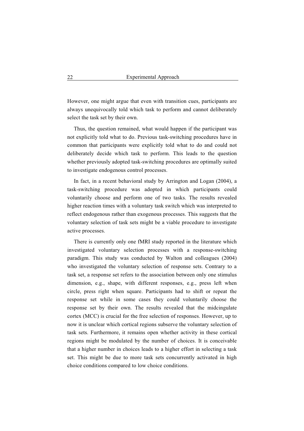However, one might argue that even with transition cues, participants are always unequivocally told which task to perform and cannot deliberately select the task set by their own.

Thus, the question remained, what would happen if the participant was not explicitly told what to do. Previous task-switching procedures have in common that participants were explicitly told what to do and could not deliberately decide which task to perform. This leads to the question whether previously adopted task-switching procedures are optimally suited to investigate endogenous control processes.

In fact, in a recent behavioral study by Arrington and Logan (2004), a task-switching procedure was adopted in which participants could voluntarily choose and perform one of two tasks. The results revealed higher reaction times with a voluntary task switch which was interpreted to reflect endogenous rather than exogenous processes. This suggests that the voluntary selection of task sets might be a viable procedure to investigate active processes.

There is currently only one fMRI study reported in the literature which investigated voluntary selection processes with a response-switching paradigm. This study was conducted by Walton and colleagues (2004) who investigated the voluntary selection of response sets. Contrary to a task set, a response set refers to the association between only one stimulus dimension, e.g., shape, with different responses, e.g., press left when circle, press right when square. Participants had to shift or repeat the response set while in some cases they could voluntarily choose the response set by their own. The results revealed that the midcingulate cortex (MCC) is crucial for the free selection of responses. However, up to now it is unclear which cortical regions subserve the voluntary selection of task sets. Furthermore, it remains open whether activity in these cortical regions might be modulated by the number of choices. It is conceivable that a higher number in choices leads to a higher effort in selecting a task set. This might be due to more task sets concurrently activated in high choice conditions compared to low choice conditions.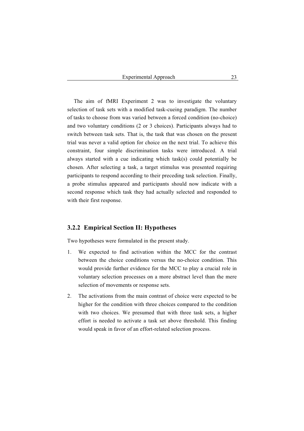The aim of fMRI Experiment 2 was to investigate the voluntary selection of task sets with a modified task-cueing paradigm. The number of tasks to choose from was varied between a forced condition (no-choice) and two voluntary conditions (2 or 3 choices). Participants always had to switch between task sets. That is, the task that was chosen on the present trial was never a valid option for choice on the next trial. To achieve this constraint, four simple discrimination tasks were introduced. A trial always started with a cue indicating which task(s) could potentially be chosen. After selecting a task, a target stimulus was presented requiring participants to respond according to their preceding task selection. Finally, a probe stimulus appeared and participants should now indicate with a second response which task they had actually selected and responded to with their first response.

#### **3.2.2 Empirical Section II: Hypotheses**

Two hypotheses were formulated in the present study.

- 1. We expected to find activation within the MCC for the contrast between the choice conditions versus the no-choice condition. This would provide further evidence for the MCC to play a crucial role in voluntary selection processes on a more abstract level than the mere selection of movements or response sets.
- 2. The activations from the main contrast of choice were expected to be higher for the condition with three choices compared to the condition with two choices. We presumed that with three task sets, a higher effort is needed to activate a task set above threshold. This finding would speak in favor of an effort-related selection process.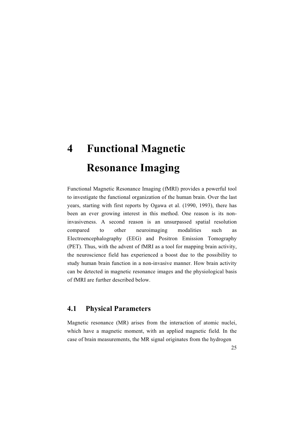# **4 Functional Magnetic Resonance Imaging**

Functional Magnetic Resonance Imaging (fMRI) provides a powerful tool to investigate the functional organization of the human brain. Over the last years, starting with first reports by Ogawa et al. (1990, 1993), there has been an ever growing interest in this method. One reason is its noninvasiveness. A second reason is an unsurpassed spatial resolution compared to other neuroimaging modalities such as Electroencephalography (EEG) and Positron Emission Tomography (PET). Thus, with the advent of fMRI as a tool for mapping brain activity, the neuroscience field has experienced a boost due to the possibility to study human brain function in a non-invasive manner. How brain activity can be detected in magnetic resonance images and the physiological basis of fMRI are further described below.

### **4.1 Physical Parameters**

Magnetic resonance (MR) arises from the interaction of atomic nuclei, which have a magnetic moment, with an applied magnetic field. In the case of brain measurements, the MR signal originates from the hydrogen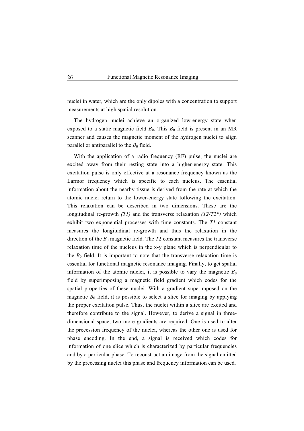nuclei in water, which are the only dipoles with a concentration to support measurements at high spatial resolution.

The hydrogen nuclei achieve an organized low-energy state when exposed to a static magnetic field  $B_0$ . This  $B_0$  field is present in an MR scanner and causes the magnetic moment of the hydrogen nuclei to align parallel or antiparallel to the  $B_0$  field.

With the application of a radio frequency (RF) pulse, the nuclei are excited away from their resting state into a higher-energy state. This excitation pulse is only effective at a resonance frequency known as the Larmor frequency which is specific to each nucleus. The essential information about the nearby tissue is derived from the rate at which the atomic nuclei return to the lower-energy state following the excitation. This relaxation can be described in two dimensions. These are the longitudinal re-growth *(T1)* and the transverse relaxation *(T2/T2\*)* which exhibit two exponential processes with time constants. The *T1* constant measures the longitudinal re-growth and thus the relaxation in the direction of the  $B_0$  magnetic field. The  $T2$  constant measures the transverse relaxation time of the nucleus in the x-y plane which is perpendicular to the  $B_0$  field. It is important to note that the transverse relaxation time is essential for functional magnetic resonance imaging. Finally, to get spatial information of the atomic nuclei, it is possible to vary the magnetic  $B_0$ field by superimposing a magnetic field gradient which codes for the spatial properties of these nuclei. With a gradient superimposed on the magnetic  $B_0$  field, it is possible to select a slice for imaging by applying the proper excitation pulse. Thus, the nuclei within a slice are excited and therefore contribute to the signal. However, to derive a signal in threedimensional space, two more gradients are required. One is used to alter the precession frequency of the nuclei, whereas the other one is used for phase encoding. In the end, a signal is received which codes for information of one slice which is characterized by particular frequencies and by a particular phase. To reconstruct an image from the signal emitted by the precessing nuclei this phase and frequency information can be used.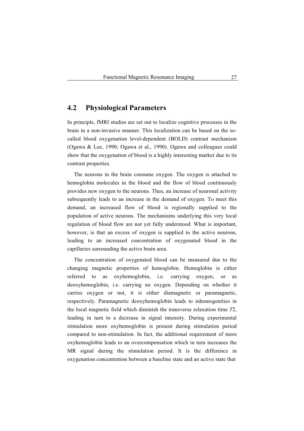### **4.2 Physiological Parameters**

In principle, fMRI studies are set out to localize cognitive processes in the brain in a non-invasive manner. This localization can be based on the socalled blood oxygenation level-dependent (BOLD) contrast mechanism (Ogawa & Lee, 1990; Ogawa et al., 1990). Ogawa and colleagues could show that the oxygenation of blood is a highly interesting marker due to its contrast properties.

The neurons in the brain consume oxygen. The oxygen is attached to hemoglobin molecules in the blood and the flow of blood continuously provides new oxygen to the neurons. Thus, an increase of neuronal activity subsequently leads to an increase in the demand of oxygen. To meet this demand, an increased flow of blood is regionally supplied to the population of active neurons. The mechanisms underlying this very local regulation of blood flow are not yet fully understood. What is important, however, is that an excess of oxygen is supplied to the active neurons, leading to an increased concentration of oxygenated blood in the capillaries surrounding the active brain area.

The concentration of oxygenated blood can be measured due to the changing magnetic properties of hemoglobin. Hemoglobin is either referred to as oxyhemoglobin, i.e. carrying oxygen, or as deoxyhemoglobin, i.e. carrying no oxygen. Depending on whether it carries oxygen or not, it is either diamagnetic or paramagnetic, respectively. Paramagnetic deoxyhemoglobin leads to inhomogenities in the local magnetic field which diminish the transverse relaxation time *T*2, leading in turn to a decrease in signal intensity. During experimental stimulation more oxyhemoglobin is present during stimulation period compared to non-stimulation. In fact, the additional requirement of more oxyhemoglobin leads to an overcompensation which in turn increases the MR signal during the stimulation period. It is the difference in oxygenation concentration between a baseline state and an active state that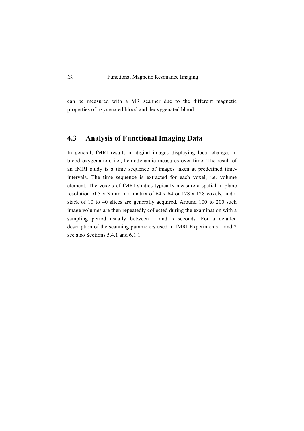can be measured with a MR scanner due to the different magnetic properties of oxygenated blood and deoxygenated blood.

## **4.3 Analysis of Functional Imaging Data**

In general, fMRI results in digital images displaying local changes in blood oxygenation, i.e., hemodynamic measures over time. The result of an fMRI study is a time sequence of images taken at predefined timeintervals. The time sequence is extracted for each voxel, i.e. volume element. The voxels of fMRI studies typically measure a spatial in-plane resolution of 3 x 3 mm in a matrix of 64 x 64 or 128 x 128 voxels, and a stack of 10 to 40 slices are generally acquired. Around 100 to 200 such image volumes are then repeatedly collected during the examination with a sampling period usually between 1 and 5 seconds. For a detailed description of the scanning parameters used in fMRI Experiments 1 and 2 see also Sections 5.4.1 and 6.1.1.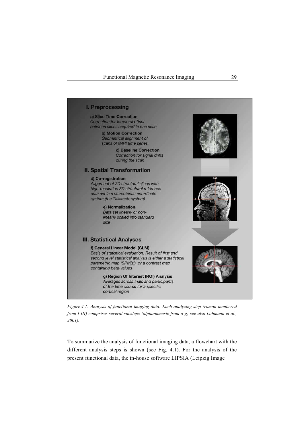

*Figure 4.1: Analysis of functional imaging data: Each analyzing step (roman numbered from I-III) comprises several substeps (alphanumeric from a-g; see also Lohmann et al., 2001).*

To summarize the analysis of functional imaging data, a flowchart with the different analysis steps is shown (see Fig. 4.1). For the analysis of the present functional data, the in-house software LIPSIA (Leipzig Image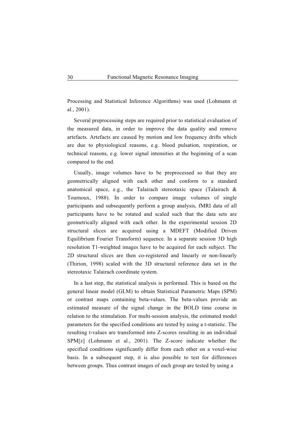Processing and Statistical Inference Algorithms) was used (Lohmann et al., 2001).

Several preprocessing steps are required prior to statistical evaluation of the measured data, in order to improve the data quality and remove artefacts. Artefacts are caused by motion and low frequency drifts which are due to physiological reasons, e.g. blood pulsation, respiration, or technical reasons, e.g. lower signal intensities at the beginning of a scan compared to the end.

Usually, image volumes have to be preprocessed so that they are geometrically aligned with each other and conform to a standard anatomical space, e.g., the Talairach stereotaxic space (Talairach & Tournoux, 1988). In order to compare image volumes of single participants and subsequently perform a group analysis, fMRI data of all participants have to be rotated and scaled such that the data sets are geometrically aligned with each other. In the experimental session 2D structural slices are acquired using a MDEFT (Modified Driven Equilibrium Fourier Transform) sequence. In a separate session 3D high resolution T1-weighted images have to be acquired for each subject. The 2D structural slices are then co-registered and linearly or non-linearly (Thirion, 1998) scaled with the 3D structural reference data set in the stereotaxic Talairach coordinate system.

In a last step, the statistical analysis is performed. This is based on the general linear model (GLM) to obtain Statistical Parametric Maps (SPM) or contrast maps containing beta-values. The beta-values provide an estimated measure of the signal change in the BOLD time course in relation to the stimulation. For multi-session analysis, the estimated model parameters for the specified conditions are tested by using a t-statistic. The resulting t-values are transformed into Z-scores resulting in an individual SPM[z] (Lohmann et al., 2001). The Z-score indicate whether the specified conditions significantly differ from each other on a voxel-wise basis. In a subsequent step, it is also possible to test for differences between groups. Thus contrast images of each group are tested by using a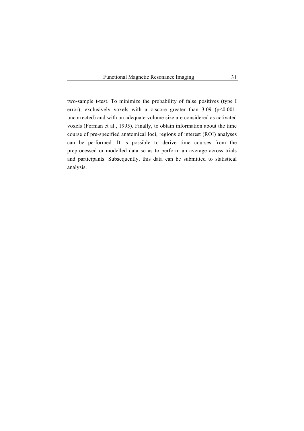two-sample t-test. To minimize the probability of false positives (type I error), exclusively voxels with a z-score greater than  $3.09$  ( $p<0.001$ , uncorrected) and with an adequate volume size are considered as activated voxels (Forman et al., 1995). Finally, to obtain information about the time course of pre-specified anatomical loci, regions of interest (ROI) analyses can be performed. It is possible to derive time courses from the preprocessed or modelled data so as to perform an average across trials and participants. Subsequently, this data can be submitted to statistical analysis.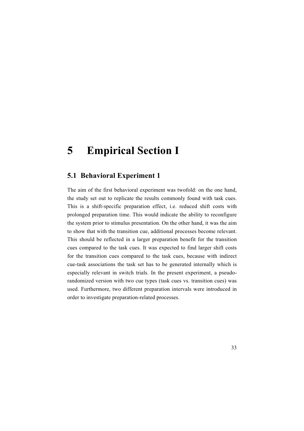# **5 Empirical Section I**

# **5.1 Behavioral Experiment 1**

The aim of the first behavioral experiment was twofold: on the one hand, the study set out to replicate the results commonly found with task cues. This is a shift-specific preparation effect, i.e. reduced shift costs with prolonged preparation time. This would indicate the ability to reconfigure the system prior to stimulus presentation. On the other hand, it was the aim to show that with the transition cue, additional processes become relevant. This should be reflected in a larger preparation benefit for the transition cues compared to the task cues. It was expected to find larger shift costs for the transition cues compared to the task cues, because with indirect cue-task associations the task set has to be generated internally which is especially relevant in switch trials. In the present experiment, a pseudorandomized version with two cue types (task cues vs. transition cues) was used. Furthermore, two different preparation intervals were introduced in order to investigate preparation-related processes.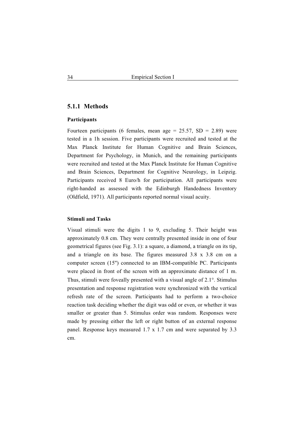# **5.1.1 Methods**

#### **Participants**

Fourteen participants (6 females, mean age =  $25.57$ , SD =  $2.89$ ) were tested in a 1h session. Five participants were recruited and tested at the Max Planck Institute for Human Cognitive and Brain Sciences, Department for Psychology, in Munich, and the remaining participants were recruited and tested at the Max Planck Institute for Human Cognitive and Brain Sciences, Department for Cognitive Neurology, in Leipzig. Participants received 8 Euro/h for participation. All participants were right-handed as assessed with the Edinburgh Handedness Inventory (Oldfield, 1971). All participants reported normal visual acuity.

#### **Stimuli and Tasks**

Visual stimuli were the digits 1 to 9, excluding 5. Their height was approximately 0.8 cm. They were centrally presented inside in one of four geometrical figures (see Fig. 3.1): a square, a diamond, a triangle on its tip, and a triangle on its base. The figures measured 3.8 x 3.8 cm on a computer screen (15'') connected to an IBM-compatible PC. Participants were placed in front of the screen with an approximate distance of 1 m. Thus, stimuli were foveally presented with a visual angle of  $2.1^\circ$ . Stimulus presentation and response registration were synchronized with the vertical refresh rate of the screen. Participants had to perform a two-choice reaction task deciding whether the digit was odd or even, or whether it was smaller or greater than 5. Stimulus order was random. Responses were made by pressing either the left or right button of an external response panel. Response keys measured 1.7 x 1.7 cm and were separated by 3.3 cm.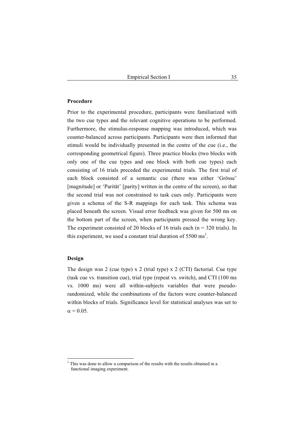## **Procedure**

Prior to the experimental procedure, participants were familiarized with the two cue types and the relevant cognitive operations to be performed. Furthermore, the stimulus-response mapping was introduced, which was counter-balanced across participants. Participants were then informed that stimuli would be individually presented in the centre of the cue (i.e., the corresponding geometrical figure). Three practice blocks (two blocks with only one of the cue types and one block with both cue types) each consisting of 16 trials preceded the experimental trials. The first trial of each block consisted of a semantic cue (there was either 'Grösse' [magnitude] or 'Parität' [parity] written in the centre of the screen), so that the second trial was not constrained to task cues only. Participants were given a schema of the S-R mappings for each task. This schema was placed beneath the screen. Visual error feedback was given for 500 ms on the bottom part of the screen, when participants pressed the wrong key. The experiment consisted of 20 blocks of 16 trials each ( $n = 320$  trials). In this experiment, we used a constant trial duration of  $5500 \text{ ms}^1$ .

#### **Design**

The design was 2 (cue type) x 2 (trial type) x 2 (CTI) factorial. Cue type (task cue vs. transition cue), trial type (repeat vs. switch), and CTI (100 ms vs. 1000 ms) were all within-subjects variables that were pseudorandomized, while the combinations of the factors were counter-balanced within blocks of trials. Significance level for statistical analyses was set to  $\alpha = 0.05$ .

<sup>&</sup>lt;sup>1</sup> This was done to allow a comparison of the results with the results obtained in a functional imaging experiment.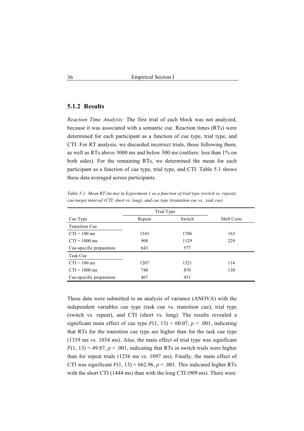# **5.1.2 Results**

*Reaction Time Analysis:* The first trial of each block was not analyzed, because it was associated with a semantic cue. Reaction times (RTs) were determined for each participant as a function of cue type, trial type, and CTI. For RT analysis, we discarded incorrect trials, those following them, as well as RTs above 3000 ms and below 300 ms (outliers: less than 1% on both sides). For the remaining RTs, we determined the mean for each participant as a function of cue type, trial type, and CTI. Table 5.1 shows these data averaged across participants.

*Table 5.1: Mean RT (in ms) in Experiment 1 as a function of trial type (switch vs. repeat), cue-target interval (CTI, short vs. long), and cue type (transition cue vs. .task cue).* 

|                          | Trial Type |        |                    |
|--------------------------|------------|--------|--------------------|
| Cue Type                 | Repeat     | Switch | <b>Shift Costs</b> |
| <b>Transition Cue</b>    |            |        |                    |
| $CTI = 100$ ms           | 1543       | 1706   | 163                |
| $CTI = 1000$ ms          | 900        | 1129   | 229                |
| Cue-specific preparation | 643        | 577    |                    |
| Task Cue                 |            |        |                    |
| $CTI = 100$ ms           | 1207       | 1321   | 114                |
| $CTI = 1000$ ms          | 740        | 870    | 130                |
| Cue-specific preparation | 467        | 451    |                    |

These data were submitted to an analysis of variance (ANOVA) with the independent variables cue type (task cue vs. transition cue), trial type (switch vs. repeat), and CTI (short vs. long). The results revealed a significant main effect of cue type  $F(1, 13) = 60.07$ ,  $p < .001$ , indicating that RTs for the transition cue type are higher than for the task cue type (1319 ms vs. 1034 ms). Also, the main effect of trial type was significant  $F(1, 13) = 49.87$ ,  $p < .001$ , indicating that RTs in switch trials were higher than for repeat trials (1256 ms vs. 1097 ms). Finally, the main effect of CTI was significant  $F(1, 13) = 662.96$ ,  $p < .001$ . This indicated higher RTs with the short CTI (1444 ms) than with the long CTI (909 ms). There were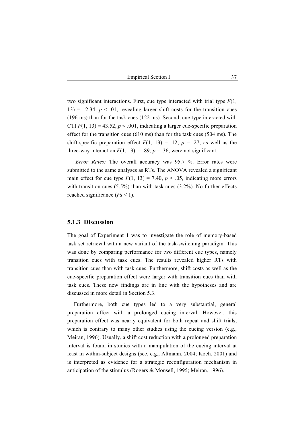two significant interactions. First, cue type interacted with trial type *F*(1, 13) = 12.34,  $p < 0.01$ , revealing larger shift costs for the transition cues (196 ms) than for the task cues (122 ms). Second, cue type interacted with CTI  $F(1, 13) = 43.52$ ,  $p < .001$ , indicating a larger cue-specific preparation effect for the transition cues (610 ms) than for the task cues (504 ms). The shift-specific preparation effect  $F(1, 13) = .12$ ;  $p = .27$ , as well as the three-way interaction  $F(1, 13) = .89$ ;  $p = .36$ , were not significant.

*Error Rates:* The overall accuracy was 95.7 %. Error rates were submitted to the same analyses as RTs. The ANOVA revealed a significant main effect for cue type  $F(1, 13) = 7.40$ ,  $p < .05$ , indicating more errors with transition cues (5.5%) than with task cues (3.2%). No further effects reached significance (*F*s < 1).

#### **5.1.3 Discussion**

The goal of Experiment 1 was to investigate the role of memory-based task set retrieval with a new variant of the task-switching paradigm. This was done by comparing performance for two different cue types, namely transition cues with task cues. The results revealed higher RTs with transition cues than with task cues. Furthermore, shift costs as well as the cue-specific preparation effect were larger with transition cues than with task cues. These new findings are in line with the hypotheses and are discussed in more detail in Section 5.3.

Furthermore, both cue types led to a very substantial, general preparation effect with a prolonged cueing interval. However, this preparation effect was nearly equivalent for both repeat and shift trials, which is contrary to many other studies using the cueing version (e.g., Meiran, 1996). Usually, a shift cost reduction with a prolonged preparation interval is found in studies with a manipulation of the cueing interval at least in within-subject designs (see, e.g., Altmann, 2004; Koch, 2001) and is interpreted as evidence for a strategic reconfiguration mechanism in anticipation of the stimulus (Rogers & Monsell, 1995; Meiran, 1996).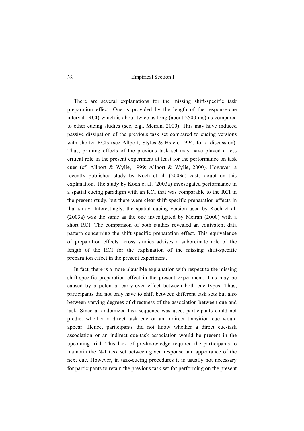There are several explanations for the missing shift-specific task preparation effect. One is provided by the length of the response-cue interval (RCI) which is about twice as long (about 2500 ms) as compared to other cueing studies (see, e.g., Meiran, 2000). This may have induced passive dissipation of the previous task set compared to cueing versions with shorter RCIs (see Allport, Styles & Hsieh, 1994, for a discussion). Thus, priming effects of the previous task set may have played a less critical role in the present experiment at least for the performance on task cues (cf. Allport & Wylie, 1999; Allport & Wylie, 2000). However, a recently published study by Koch et al. (2003a) casts doubt on this explanation. The study by Koch et al. (2003a) investigated performance in a spatial cueing paradigm with an RCI that was comparable to the RCI in the present study, but there were clear shift-specific preparation effects in that study. Interestingly, the spatial cueing version used by Koch et al. (2003a) was the same as the one investigated by Meiran (2000) with a short RCI. The comparison of both studies revealed an equivalent data pattern concerning the shift-specific preparation effect. This equivalence of preparation effects across studies advises a subordinate role of the length of the RCI for the explanation of the missing shift-specific preparation effect in the present experiment.

In fact, there is a more plausible explanation with respect to the missing shift-specific preparation effect in the present experiment. This may be caused by a potential carry-over effect between both cue types. Thus, participants did not only have to shift between different task sets but also between varying degrees of directness of the association between cue and task. Since a randomized task-sequence was used, participants could not predict whether a direct task cue or an indirect transition cue would appear. Hence, participants did not know whether a direct cue-task association or an indirect cue-task association would be present in the upcoming trial. This lack of pre-knowledge required the participants to maintain the N-1 task set between given response and appearance of the next cue. However, in task-cueing procedures it is usually not necessary for participants to retain the previous task set for performing on the present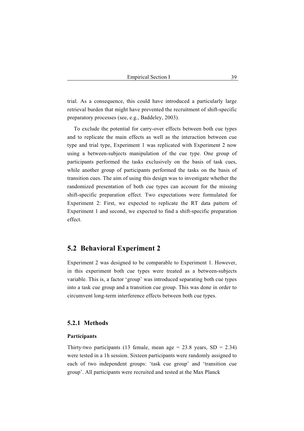trial. As a consequence, this could have introduced a particularly large retrieval burden that might have prevented the recruitment of shift-specific preparatory processes (see, e.g., Baddeley, 2003).

To exclude the potential for carry-over effects between both cue types and to replicate the main effects as well as the interaction between cue type and trial type, Experiment 1 was replicated with Experiment 2 now using a between-subjects manipulation of the cue type. One group of participants performed the tasks exclusively on the basis of task cues, while another group of participants performed the tasks on the basis of transition cues. The aim of using this design was to investigate whether the randomized presentation of both cue types can account for the missing shift-specific preparation effect. Two expectations were formulated for Experiment 2: First, we expected to replicate the RT data pattern of Experiment 1 and second, we expected to find a shift-specific preparation effect.

# **5.2 Behavioral Experiment 2**

Experiment 2 was designed to be comparable to Experiment 1. However, in this experiment both cue types were treated as a between-subjects variable. This is, a factor 'group' was introduced separating both cue types into a task cue group and a transition cue group. This was done in order to circumvent long-term interference effects between both cue types.

## **5.2.1 Methods**

#### **Participants**

Thirty-two participants (13 female, mean age =  $23.8$  years, SD =  $2.34$ ) were tested in a 1h session. Sixteen participants were randomly assigned to each of two independent groups: 'task cue group' and 'transition cue group'. All participants were recruited and tested at the Max Planck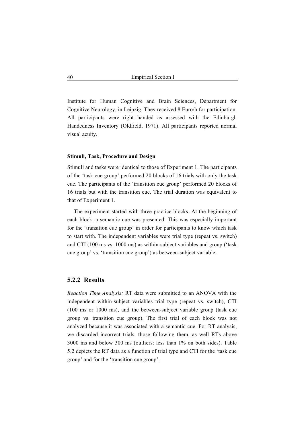Institute for Human Cognitive and Brain Sciences, Department for Cognitive Neurology, in Leipzig. They received 8 Euro/h for participation. All participants were right handed as assessed with the Edinburgh Handedness Inventory (Oldfield, 1971). All participants reported normal visual acuity.

#### **Stimuli, Task, Procedure and Design**

Stimuli and tasks were identical to those of Experiment 1. The participants of the 'task cue group' performed 20 blocks of 16 trials with only the task cue. The participants of the 'transition cue group' performed 20 blocks of 16 trials but with the transition cue. The trial duration was equivalent to that of Experiment 1.

The experiment started with three practice blocks. At the beginning of each block, a semantic cue was presented. This was especially important for the 'transition cue group' in order for participants to know which task to start with. The independent variables were trial type (repeat vs. switch) and CTI (100 ms vs. 1000 ms) as within-subject variables and group ('task cue group' vs. 'transition cue group') as between-subject variable.

#### **5.2.2 Results**

*Reaction Time Analysis:* RT data were submitted to an ANOVA with the independent within-subject variables trial type (repeat vs. switch), CTI (100 ms or 1000 ms), and the between-subject variable group (task cue group vs. transition cue group). The first trial of each block was not analyzed because it was associated with a semantic cue. For RT analysis, we discarded incorrect trials, those following them, as well RTs above 3000 ms and below 300 ms (outliers: less than 1% on both sides). Table 5.2 depicts the RT data as a function of trial type and CTI for the 'task cue group' and for the 'transition cue group'.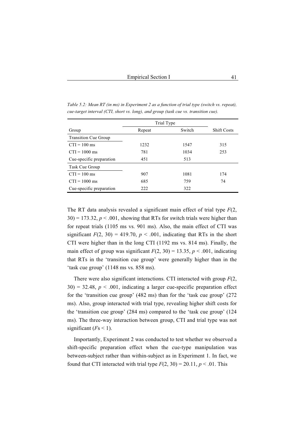|                             | Trial Type |        |                    |
|-----------------------------|------------|--------|--------------------|
| Group                       | Repeat     | Switch | <b>Shift Costs</b> |
| <b>Transition Cue Group</b> |            |        |                    |
| $CTI = 100$ ms              | 1232       | 1547   | 315                |
| $CTI = 1000$ ms             | 781        | 1034   | 253                |
| Cue-specific preparation    | 451        | 513    |                    |
| Task Cue Group              |            |        |                    |
| $CTI = 100$ ms              | 907        | 1081   | 174                |
| $CTI = 1000$ ms             | 685        | 759    | 74                 |
| Cue-specific preparation    | 222        | 322    |                    |

*Table 5.2: Mean RT (in ms) in Experiment 2 as a function of trial type (switch vs. repeat), cue-target interval (CTI, short vs. long), and group (task cue vs. transition cue).* 

The RT data analysis revealed a significant main effect of trial type *F*(2,  $30$ ) = 173.32,  $p < .001$ , showing that RTs for switch trials were higher than for repeat trials (1105 ms vs. 901 ms). Also, the main effect of CTI was significant  $F(2, 30) = 419.70$ ,  $p < .001$ , indicating that RTs in the short CTI were higher than in the long CTI (1192 ms vs. 814 ms). Finally, the main effect of group was significant  $F(2, 30) = 13.35$ ,  $p < .001$ , indicating that RTs in the 'transition cue group' were generally higher than in the 'task cue group' (1148 ms vs. 858 ms).

There were also significant interactions. CTI interacted with group *F*(2,  $30$ ) = 32.48,  $p < .001$ , indicating a larger cue-specific preparation effect for the 'transition cue group' (482 ms) than for the 'task cue group' (272 ms). Also, group interacted with trial type, revealing higher shift costs for the 'transition cue group' (284 ms) compared to the 'task cue group' (124 ms). The three-way interaction between group, CTI and trial type was not significant  $(Fs < 1)$ .

Importantly, Experiment 2 was conducted to test whether we observed a shift-specific preparation effect when the cue-type manipulation was between-subject rather than within-subject as in Experiment 1. In fact, we found that CTI interacted with trial type  $F(2, 30) = 20.11$ ,  $p < .01$ . This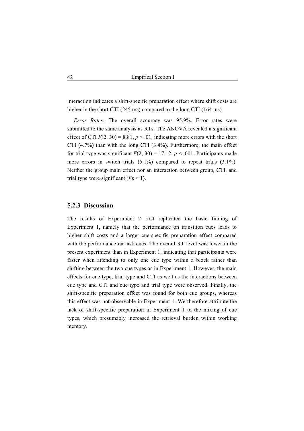interaction indicates a shift-specific preparation effect where shift costs are higher in the short CTI (245 ms) compared to the long CTI (164 ms).

*Error Rates:* The overall accuracy was 95.9%. Error rates were submitted to the same analysis as RTs. The ANOVA revealed a significant effect of CTI  $F(2, 30) = 8.81$ ,  $p < .01$ , indicating more errors with the short CTI (4.7%) than with the long CTI (3.4%). Furthermore, the main effect for trial type was significant  $F(2, 30) = 17.12$ ,  $p < .001$ . Participants made more errors in switch trials  $(5.1\%)$  compared to repeat trials  $(3.1\%)$ . Neither the group main effect nor an interaction between group, CTI, and trial type were significant  $(F<sub>S</sub> < 1)$ .

## **5.2.3 Discussion**

The results of Experiment 2 first replicated the basic finding of Experiment 1, namely that the performance on transition cues leads to higher shift costs and a larger cue-specific preparation effect compared with the performance on task cues. The overall RT level was lower in the present experiment than in Experiment 1, indicating that participants were faster when attending to only one cue type within a block rather than shifting between the two cue types as in Experiment 1. However, the main effects for cue type, trial type and CTI as well as the interactions between cue type and CTI and cue type and trial type were observed. Finally, the shift-specific preparation effect was found for both cue groups, whereas this effect was not observable in Experiment 1. We therefore attribute the lack of shift-specific preparation in Experiment 1 to the mixing of cue types, which presumably increased the retrieval burden within working memory.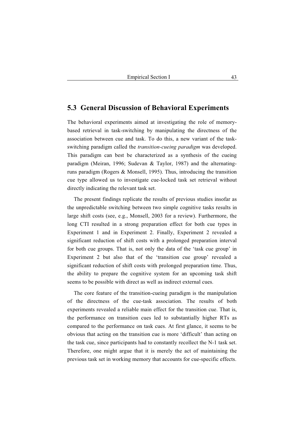# **5.3 General Discussion of Behavioral Experiments**

The behavioral experiments aimed at investigating the role of memorybased retrieval in task-switching by manipulating the directness of the association between cue and task. To do this, a new variant of the taskswitching paradigm called the *transition-cueing paradigm* was developed. This paradigm can best be characterized as a synthesis of the cueing paradigm (Meiran, 1996; Sudevan & Taylor, 1987) and the alternatingruns paradigm (Rogers & Monsell, 1995). Thus, introducing the transition cue type allowed us to investigate cue-locked task set retrieval without directly indicating the relevant task set.

The present findings replicate the results of previous studies insofar as the unpredictable switching between two simple cognitive tasks results in large shift costs (see, e.g., Monsell, 2003 for a review). Furthermore, the long CTI resulted in a strong preparation effect for both cue types in Experiment 1 and in Experiment 2. Finally, Experiment 2 revealed a significant reduction of shift costs with a prolonged preparation interval for both cue groups. That is, not only the data of the 'task cue group' in Experiment 2 but also that of the 'transition cue group' revealed a significant reduction of shift costs with prolonged preparation time. Thus, the ability to prepare the cognitive system for an upcoming task shift seems to be possible with direct as well as indirect external cues.

The core feature of the transition-cueing paradigm is the manipulation of the directness of the cue-task association. The results of both experiments revealed a reliable main effect for the transition cue. That is, the performance on transition cues led to substantially higher RTs as compared to the performance on task cues. At first glance, it seems to be obvious that acting on the transition cue is more 'difficult' than acting on the task cue, since participants had to constantly recollect the N-1 task set. Therefore, one might argue that it is merely the act of maintaining the previous task set in working memory that accounts for cue-specific effects.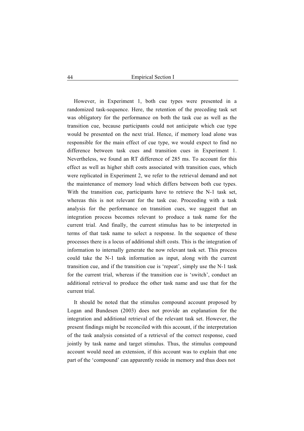However, in Experiment 1, both cue types were presented in a randomized task-sequence. Here, the retention of the preceding task set was obligatory for the performance on both the task cue as well as the transition cue, because participants could not anticipate which cue type would be presented on the next trial. Hence, if memory load alone was responsible for the main effect of cue type, we would expect to find no difference between task cues and transition cues in Experiment 1. Nevertheless, we found an RT difference of 285 ms. To account for this effect as well as higher shift costs associated with transition cues, which were replicated in Experiment 2, we refer to the retrieval demand and not the maintenance of memory load which differs between both cue types. With the transition cue, participants have to retrieve the N-1 task set, whereas this is not relevant for the task cue. Proceeding with a task analysis for the performance on transition cues, we suggest that an integration process becomes relevant to produce a task name for the current trial. And finally, the current stimulus has to be interpreted in terms of that task name to select a response. In the sequence of these processes there is a locus of additional shift costs. This is the integration of information to internally generate the now relevant task set. This process could take the N-1 task information as input, along with the current transition cue, and if the transition cue is 'repeat', simply use the N-1 task for the current trial, whereas if the transition cue is 'switch', conduct an additional retrieval to produce the other task name and use that for the current trial.

It should be noted that the stimulus compound account proposed by Logan and Bundesen (2003) does not provide an explanation for the integration and additional retrieval of the relevant task set. However, the present findings might be reconciled with this account, if the interpretation of the task analysis consisted of a retrieval of the correct response, cued jointly by task name and target stimulus. Thus, the stimulus compound account would need an extension, if this account was to explain that one part of the 'compound' can apparently reside in memory and thus does not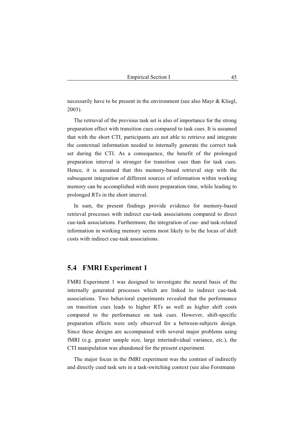necessarily have to be present in the environment (see also Mayr & Kliegl, 2003).

The retrieval of the previous task set is also of importance for the strong preparation effect with transition cues compared to task cues. It is assumed that with the short CTI, participants are not able to retrieve and integrate the contextual information needed to internally generate the correct task set during the CTI. As a consequence, the benefit of the prolonged preparation interval is stronger for transition cues than for task cues. Hence, it is assumed that this memory-based retrieval step with the subsequent integration of different sources of information within working memory can be accomplished with more preparation time, while leading to prolonged RTs in the short interval.

In sum, the present findings provide evidence for memory-based retrieval processes with indirect cue-task associations compared to direct cue-task associations. Furthermore, the integration of cue- and task-related information in working memory seems most likely to be the locus of shift costs with indirect cue-task associations.

# **5.4 FMRI Experiment 1**

FMRI Experiment 1 was designed to investigate the neural basis of the internally generated processes which are linked to indirect cue-task associations. Two behavioral experiments revealed that the performance on transition cues leads to higher RTs as well as higher shift costs compared to the performance on task cues. However, shift-specific preparation effects were only observed for a between-subjects design. Since these designs are accompanied with several major problems using fMRI (e.g. greater sample size, large interindividual variance, etc.), the CTI manipulation was abandoned for the present experiment.

The major focus in the fMRI experiment was the contrast of indirectly and directly cued task sets in a task-switching context (see also Forstmann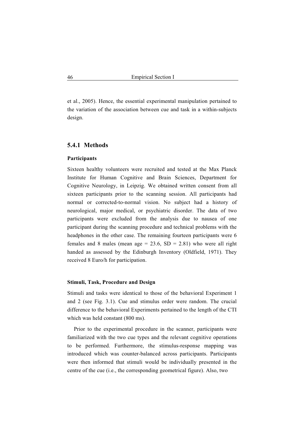et al., 2005). Hence, the essential experimental manipulation pertained to the variation of the association between cue and task in a within-subjects design.

## **5.4.1 Methods**

#### **Participants**

Sixteen healthy volunteers were recruited and tested at the Max Planck Institute for Human Cognitive and Brain Sciences, Department for Cognitive Neurology, in Leipzig. We obtained written consent from all sixteen participants prior to the scanning session. All participants had normal or corrected-to-normal vision. No subject had a history of neurological, major medical, or psychiatric disorder. The data of two participants were excluded from the analysis due to nausea of one participant during the scanning procedure and technical problems with the headphones in the other case. The remaining fourteen participants were 6 females and 8 males (mean age = 23.6,  $SD = 2.81$ ) who were all right handed as assessed by the Edinburgh Inventory (Oldfield, 1971). They received 8 Euro/h for participation.

#### **Stimuli, Task, Procedure and Design**

Stimuli and tasks were identical to those of the behavioral Experiment 1 and 2 (see Fig. 3.1). Cue and stimulus order were random. The crucial difference to the behavioral Experiments pertained to the length of the CTI which was held constant (800 ms).

Prior to the experimental procedure in the scanner, participants were familiarized with the two cue types and the relevant cognitive operations to be performed. Furthermore, the stimulus-response mapping was introduced which was counter-balanced across participants. Participants were then informed that stimuli would be individually presented in the centre of the cue (i.e., the corresponding geometrical figure). Also, two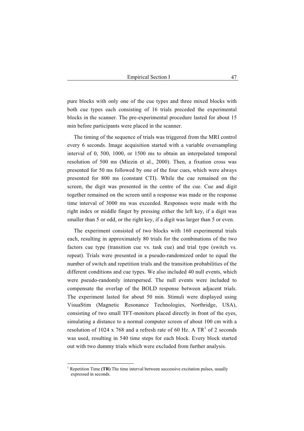pure blocks with only one of the cue types and three mixed blocks with both cue types each consisting of 16 trials preceded the experimental blocks in the scanner. The pre-experimental procedure lasted for about 15 min before participants were placed in the scanner.

The timing of the sequence of trials was triggered from the MRI control every 6 seconds. Image acquisition started with a variable oversampling interval of 0, 500, 1000, or 1500 ms to obtain an interpolated temporal resolution of 500 ms (Miezin et al., 2000). Then, a fixation cross was presented for 50 ms followed by one of the four cues, which were always presented for 800 ms (constant CTI). While the cue remained on the screen, the digit was presented in the centre of the cue. Cue and digit together remained on the screen until a response was made or the response time interval of 3000 ms was exceeded. Responses were made with the right index or middle finger by pressing either the left key, if a digit was smaller than 5 or odd, or the right key, if a digit was larger than 5 or even.

The experiment consisted of two blocks with 160 experimental trials each, resulting in approximately 80 trials for the combinations of the two factors cue type (transition cue vs. task cue) and trial type (switch vs. repeat). Trials were presented in a pseudo-randomized order to equal the number of switch and repetition trials and the transition probabilities of the different conditions and cue types. We also included 40 null events, which were pseudo-randomly interspersed. The null events were included to compensate the overlap of the BOLD response between adjacent trials. The experiment lasted for about 50 min. Stimuli were displayed using VisuaStim (Magnetic Resonance Technologies, Northridge, USA), consisting of two small TFT-monitors placed directly in front of the eyes, simulating a distance to a normal computer screen of about 100 cm with a resolution of 1024 x 768 and a refresh rate of 60 Hz. A  $TR<sup>1</sup>$  of 2 seconds was used, resulting in 540 time steps for each block. Every block started out with two dummy trials which were excluded from further analysis.

<sup>&</sup>lt;sup>1</sup> Repetition Time (TR) The time interval between successive excitation pulses, usually expressed in seconds.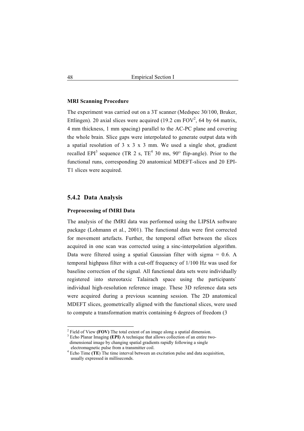#### **MRI Scanning Procedure**

The experiment was carried out on a 3T scanner (Medspec 30/100, Bruker, Ettlingen). 20 axial slices were acquired (19.2 cm  $FOV<sup>2</sup>$ , 64 by 64 matrix, 4 mm thickness, 1 mm spacing) parallel to the AC-PC plane and covering the whole brain. Slice gaps were interpolated to generate output data with a spatial resolution of  $3 \times 3 \times 3$  mm. We used a single shot, gradient recalled EPI<sup>3</sup> sequence (TR 2 s,  $TE^4$  30 ms,  $90^{\circ}$  flip-angle). Prior to the functional runs, corresponding 20 anatomical MDEFT-slices and 20 EPI-T1 slices were acquired.

# **5.4.2 Data Analysis**

#### **Preprocessing of fMRI Data**

The analysis of the fMRI data was performed using the LIPSIA software package (Lohmann et al., 2001). The functional data were first corrected for movement artefacts. Further, the temporal offset between the slices acquired in one scan was corrected using a sinc-interpolation algorithm. Data were filtered using a spatial Gaussian filter with sigma = 0.6. A temporal highpass filter with a cut-off frequency of 1/100 Hz was used for baseline correction of the signal. All functional data sets were individually registered into stereotaxic Talairach space using the participants` individual high-resolution reference image. These 3D reference data sets were acquired during a previous scanning session. The 2D anatomical MDEFT slices, geometrically aligned with the functional slices, were used to compute a transformation matrix containing 6 degrees of freedom (3

<sup>2</sup> Field of View **(FOV)** The total extent of an image along a spatial dimension.

<sup>&</sup>lt;sup>3</sup> Echo Planar Imaging **(EPI)** A technique that allows collection of an entire two dimensional image by changing spatial gradients rapidly following a single electromagnetic pulse from a transmitter coil.

<sup>4</sup> Echo Time **(TE**) The time interval between an excitation pulse and data acquisition, usually expressed in milliseconds.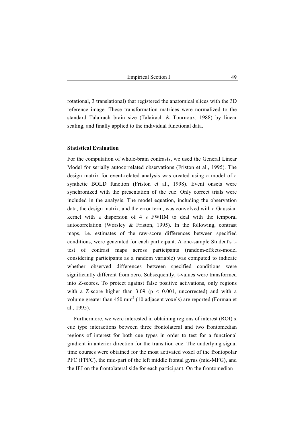rotational, 3 translational) that registered the anatomical slices with the 3D reference image. These transformation matrices were normalized to the standard Talairach brain size (Talairach & Tournoux, 1988) by linear scaling, and finally applied to the individual functional data.

#### **Statistical Evaluation**

For the computation of whole-brain contrasts, we used the General Linear Model for serially autocorrelated observations (Friston et al., 1995). The design matrix for event-related analysis was created using a model of a synthetic BOLD function (Friston et al., 1998). Event onsets were synchronized with the presentation of the cue. Only correct trials were included in the analysis. The model equation, including the observation data, the design matrix, and the error term, was convolved with a Gaussian kernel with a dispersion of 4 s FWHM to deal with the temporal autocorrelation (Worsley & Friston, 1995). In the following, contrast maps, i.e. estimates of the raw-score differences between specified conditions, were generated for each participant. A one-sample Student's ttest of contrast maps across participants (random-effects-model considering participants as a random variable) was computed to indicate whether observed differences between specified conditions were significantly different from zero. Subsequently, t-values were transformed into Z-scores. To protect against false positive activations, only regions with a Z-score higher than  $3.09$  ( $p < 0.001$ , uncorrected) and with a volume greater than  $450 \text{ mm}^3$  (10 adjacent voxels) are reported (Forman et al., 1995).

Furthermore, we were interested in obtaining regions of interest (ROI) x cue type interactions between three frontolateral and two frontomedian regions of interest for both cue types in order to test for a functional gradient in anterior direction for the transition cue. The underlying signal time courses were obtained for the most activated voxel of the frontopolar PFC (FPFC), the mid-part of the left middle frontal gyrus (mid-MFG), and the IFJ on the frontolateral side for each participant. On the frontomedian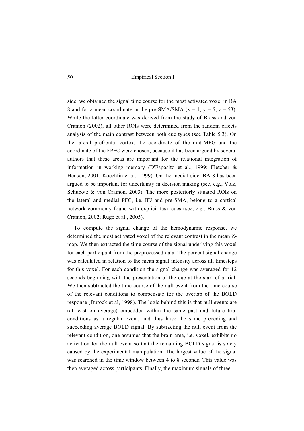side, we obtained the signal time course for the most activated voxel in BA 8 and for a mean coordinate in the pre-SMA/SMA  $(x = 1, y = 5, z = 53)$ . While the latter coordinate was derived from the study of Brass and von Cramon (2002), all other ROIs were determined from the random effects analysis of the main contrast between both cue types (see Table 5.3). On the lateral prefrontal cortex, the coordinate of the mid-MFG and the coordinate of the FPFC were chosen, because it has been argued by several authors that these areas are important for the relational integration of information in working memory (D'Esposito et al., 1999; Fletcher & Henson, 2001; Koechlin et al., 1999). On the medial side, BA 8 has been argued to be important for uncertainty in decision making (see, e.g., Volz, Schubotz & von Cramon, 2003). The more posteriorly situated ROIs on the lateral and medial PFC, i.e. IFJ and pre-SMA, belong to a cortical network commonly found with explicit task cues (see, e.g., Brass & von Cramon, 2002; Ruge et al., 2005).

To compute the signal change of the hemodynamic response, we determined the most activated voxel of the relevant contrast in the mean Zmap. We then extracted the time course of the signal underlying this voxel for each participant from the preprocessed data. The percent signal change was calculated in relation to the mean signal intensity across all timesteps for this voxel. For each condition the signal change was averaged for 12 seconds beginning with the presentation of the cue at the start of a trial. We then subtracted the time course of the null event from the time course of the relevant conditions to compensate for the overlap of the BOLD response (Burock et al, 1998). The logic behind this is that null events are (at least on average) embedded within the same past and future trial conditions as a regular event, and thus have the same preceding and succeeding average BOLD signal. By subtracting the null event from the relevant condition, one assumes that the brain area, i.e. voxel, exhibits no activation for the null event so that the remaining BOLD signal is solely caused by the experimental manipulation. The largest value of the signal was searched in the time window between 4 to 8 seconds. This value was then averaged across participants. Finally, the maximum signals of three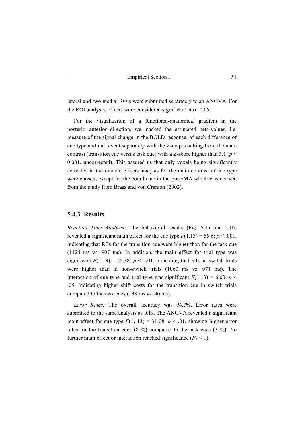lateral and two medial ROIs were submitted separately to an ANOVA. For the ROI analysis, effects were considered significant at  $\alpha$ =0.05.

For the visualization of a functional-anatomical gradient in the posterior-anterior direction, we masked the estimated beta-values, i.e. measure of the signal change in the BOLD response, of each difference of cue type and null event separately with the Z-map resulting from the main contrast (transition cue versus task cue) with a Z-score higher than 3.1 ( $p$  < 0.001, uncorrected). This assured us that only voxels being significantly activated in the random effects analysis for the main contrast of cue type were chosen, except for the coordinate in the pre-SMA which was derived from the study from Brass and von Cramon (2002).

## **5.4.3 Results**

*Reaction Time Analysis:* The behavioral results (Fig. 5.1a and 5.1b) revealed a significant main effect for the cue type  $F(1,13) = 56.6$ ;  $p < .001$ , indicating that RTs for the transition cue were higher than for the task cue (1124 ms vs. 907 ms). In addition, the main effect for trial type was significant  $F(1,13) = 25.38$ ;  $p < .001$ , indicating that RTs in switch trials were higher than in non-switch trials (1060 ms vs. 971 ms). The interaction of cue type and trial type was significant  $F(1,13) = 6.00$ ;  $p \le$ .05, indicating higher shift costs for the transition cue in switch trials compared to the task cues (138 ms vs. 40 ms).

*Error Rates:* The overall accuracy was 94.7%. Error rates were submitted to the same analysis as RTs. The ANOVA revealed a significant main effect for cue type  $F(1, 13) = 31.08$ ;  $p < .01$ , showing higher error rates for the transition cues (8 %) compared to the task cues (3 %). No further main effect or interaction reached significance (*F*s < 1).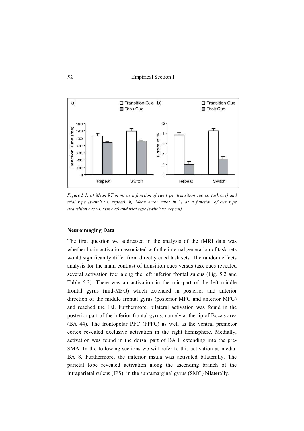

*Figure 5.1: a) Mean RT in ms as a function of cue type (transition cue vs. task cue) and trial type (switch vs. repeat). b) Mean error rates in % as a function of cue type (transition cue vs. task cue) and trial type (switch vs. repeat).* 

## **Neuroimaging Data**

The first question we addressed in the analysis of the fMRI data was whether brain activation associated with the internal generation of task sets would significantly differ from directly cued task sets. The random effects analysis for the main contrast of transition cues versus task cues revealed several activation foci along the left inferior frontal sulcus (Fig. 5.2 and Table 5.3). There was an activation in the mid-part of the left middle frontal gyrus (mid-MFG) which extended in posterior and anterior direction of the middle frontal gyrus (posterior MFG and anterior MFG) and reached the IFJ. Furthermore, bilateral activation was found in the posterior part of the inferior frontal gyrus, namely at the tip of Boca's area (BA 44). The frontopolar PFC (FPFC) as well as the ventral premotor cortex revealed exclusive activation in the right hemisphere. Medially, activation was found in the dorsal part of BA 8 extending into the pre-SMA. In the following sections we will refer to this activation as medial BA 8. Furthermore, the anterior insula was activated bilaterally. The parietal lobe revealed activation along the ascending branch of the intraparietal sulcus (IPS), in the supramarginal gyrus (SMG) bilaterally,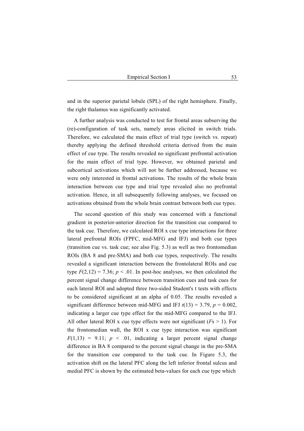and in the superior parietal lobule (SPL) of the right hemisphere. Finally, the right thalamus was significantly activated.

A further analysis was conducted to test for frontal areas subserving the (re)-configuration of task sets, namely areas elicited in switch trials. Therefore, we calculated the main effect of trial type (switch vs. repeat) thereby applying the defined threshold criteria derived from the main effect of cue type. The results revealed no significant prefrontal activation for the main effect of trial type. However, we obtained parietal and subcortical activations which will not be further addressed, because we were only interested in frontal activations. The results of the whole brain interaction between cue type and trial type revealed also no prefrontal activation. Hence, in all subsequently following analyses, we focused on activations obtained from the whole brain contrast between both cue types.

The second question of this study was concerned with a functional gradient in posterior-anterior direction for the transition cue compared to the task cue. Therefore, we calculated ROI x cue type interactions for three lateral prefrontal ROIs (FPFC, mid-MFG and IFJ) and both cue types (transition cue vs. task cue; see also Fig. 5.3) as well as two frontomedian ROIs (BA 8 and pre-SMA) and both cue types, respectively. The results revealed a significant interaction between the frontolateral ROIs and cue type  $F(2,12) = 7.36$ ;  $p < .01$ . In post-hoc analyses, we then calculated the percent signal change difference between transition cues and task cues for each lateral ROI and adopted three two-sided Student's t tests with effects to be considered significant at an alpha of 0.05. The results revealed a significant difference between mid-MFG and IFJ  $t(13) = 3.79$ ,  $p = 0.002$ , indicating a larger cue type effect for the mid-MFG compared to the IFJ. All other lateral ROI x cue type effects were not significant (*F*s > 1). For the frontomedian wall, the ROI x cue type interaction was significant  $F(1,13) = 9.11$ ;  $p \le 0.01$ , indicating a larger percent signal change difference in BA 8 compared to the percent signal change in the pre-SMA for the transition cue compared to the task cue. In Figure 5.3, the activation shift on the lateral PFC along the left inferior frontal sulcus and medial PFC is shown by the estimated beta-values for each cue type which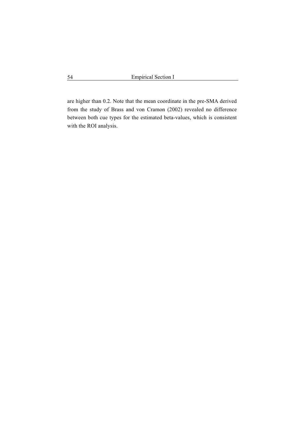are higher than 0.2. Note that the mean coordinate in the pre-SMA derived from the study of Brass and von Cramon (2002) revealed no difference between both cue types for the estimated beta-values, which is consistent with the ROI analysis.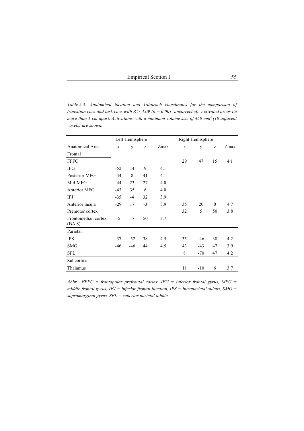*Table 5.3: Anatomical location and Talairach coordinates for the comparison of transition cues and task cues with Z > 3.09 (p = 0.001, uncorrected). Activated areas lie more than 1 cm apart. Activations with a minimum volume size of 450 mm<sup>3</sup> (10 adjacent voxels) are shown.* 

|                               | Left Hemisphere |       |      |      | Right Hemisphere |       |          |      |
|-------------------------------|-----------------|-------|------|------|------------------|-------|----------|------|
| Anatomical Area               | X               | y     | z    | Zmax | $\mathbf x$      | y     | Z        | Zmax |
| Frontal                       |                 |       |      |      |                  |       |          |      |
| <b>FPFC</b>                   |                 |       |      |      | 29               | 47    | 15       | 4.1  |
| <b>IFG</b>                    | $-52$           | 14    | 9    | 4.1  |                  |       |          |      |
| Posterior MFG                 | $-44$           | 8     | 41   | 4.1  |                  |       |          |      |
| Mid-MFG                       | $-44$           | 23    | 27   | 4.0  |                  |       |          |      |
| Anterior MFG                  | $-43$           | 35    | 6    | 4.0  |                  |       |          |      |
| IFJ                           | $-35$           | $-4$  | 32   | 3.9  |                  |       |          |      |
| Anterior insula               | $-29$           | 17    | $-3$ | 3.9  | 35               | 20    | $\theta$ | 4.7  |
| Premotor cortex               |                 |       |      |      | 32               | 5     | 50       | 3.8  |
| Frontomedian cortex<br>(BA 8) | $-5$            | 17    | 50   | 3.7  |                  |       |          |      |
| Parietal                      |                 |       |      |      |                  |       |          |      |
| <b>IPS</b>                    | $-37$           | $-52$ | 38   | 4.5  | 35               | $-46$ | 38       | 4.2  |
| <b>SMG</b>                    | $-46$           | $-46$ | 44   | 4.5  | 43               | $-43$ | 47       | 3.9  |
| <b>SPL</b>                    |                 |       |      |      | 8                | $-70$ | 47       | 4.2  |
| Subcortical                   |                 |       |      |      |                  |       |          |      |
| Thalamus                      |                 |       |      |      | 11               | $-10$ | 6        | 3.7  |

*Abbr.: FPFC = frontopolar prefrontal cortex, IFG = inferior frontal gyrus, MFG = middle frontal gyrus, IFJ = inferior frontal junction, IPS = intraparietal sulcus, SMG = supramarginal gyrus, SPL = superior parietal lobule.*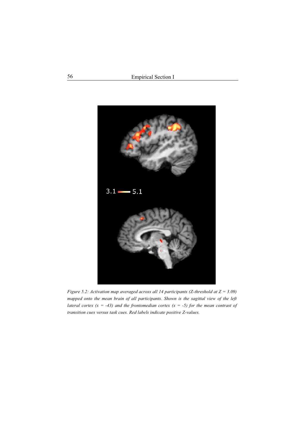

*Figure 5.2: Activation map averaged across all 14 participants (Z-threshold at Z = 3.09) mapped onto the mean brain of all participants. Shown is the sagittal view of the left lateral cortex (x = -43) and the frontomedian cortex (x = -5) for the mean contrast of transition cues versus task cues. Red labels indicate positive Z-values.*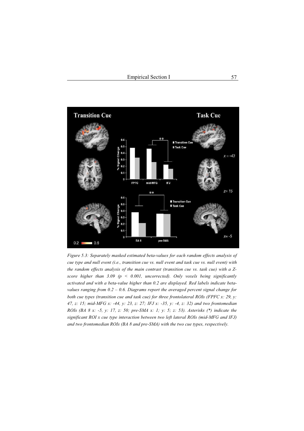

*Figure 5.3: Separately masked estimated beta-values for each random effects analysis of cue type and null event (i.e., transition cue vs. null event and task cue vs. null event) with the random effects analysis of the main contrast (transition cue vs. task cue) with a Zscore higher than 3.09 (p < 0.001, uncorrected). Only voxels being significantly activated and with a beta-value higher than 0.2 are displayed. Red labels indicate betavalues ranging from 0.2 – 0.6. Diagrams report the averaged percent signal change for both cue types (transition cue and task cue) for three frontolateral ROIs (FPFC x: 29, y: 47, z: 15; mid-MFG x: -44, y: 23, z: 27; IFJ x: -35, y: -4, z: 32) and two frontomedian ROIs (BA 8 x: -5, y: 17, z: 50; pre-SMA x: 1; y: 5; z: 53). Asterisks (\*) indicate the significant ROI x cue type interaction between two left lateral ROIs (mid-MFG and IFJ) and two frontomedian ROIs (BA 8 and pre-SMA) with the two cue types, respectively.*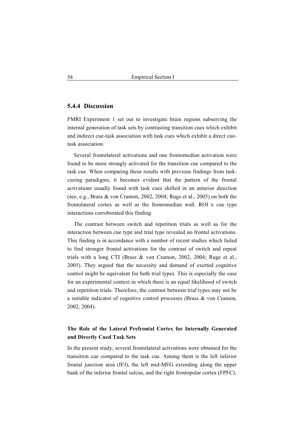## **5.4.4 Discussion**

FMRI Experiment 1 set out to investigate brain regions subserving the internal generation of task sets by contrasting transition cues which exhibit and indirect cue-task association with task cues which exhibit a direct cuetask association.

Several frontolateral activations and one frontomedian activation were found to be more strongly activated for the transition cue compared to the task cue. When comparing these results with previous findings from taskcueing paradigms, it becomes evident that the pattern of the frontal activations usually found with task cues shifted in an anterior direction (see, e.g., Brass & von Cramon, 2002, 2004; Ruge et al., 2005) on both the frontolateral cortex as well as the frontomedian wall. ROI x cue type interactions corroborated this finding.

The contrast between switch and repetition trials as well as for the interaction between cue type and trial type revealed no frontal activations. This finding is in accordance with a number of recent studies which failed to find stronger frontal activations for the contrast of switch and repeat trials with a long CTI (Brass & von Cramon, 2002, 2004; Ruge et al., 2005). They argued that the necessity and demand of exerted cognitive control might be equivalent for both trial types. This is especially the case for an experimental context in which there is an equal likelihood of switch and repetition trials. Therefore, the contrast between trial types may not be a suitable indicator of cognitive control processes (Brass & von Cramon, 2002, 2004).

# **The Role of the Lateral Prefrontal Cortex for Internally Generated and Directly Cued Task Sets**

In the present study, several frontolateral activations were obtained for the transition cue compared to the task cue. Among them is the left inferior frontal junction area (IFJ), the left mid-MFG extending along the upper bank of the inferior frontal sulcus, and the right frontopolar cortex (FPFC),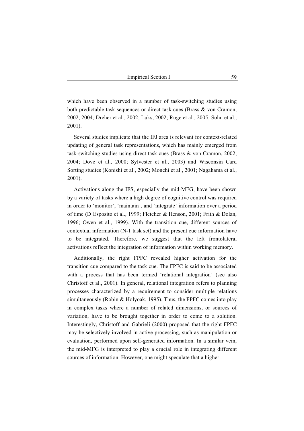which have been observed in a number of task-switching studies using both predictable task sequences or direct task cues (Brass & von Cramon, 2002, 2004; Dreher et al., 2002; Luks, 2002; Ruge et al., 2005; Sohn et al., 2001).

Several studies implicate that the IFJ area is relevant for context-related updating of general task representations, which has mainly emerged from task-switching studies using direct task cues (Brass & von Cramon, 2002, 2004; Dove et al., 2000; Sylvester et al., 2003) and Wisconsin Card Sorting studies (Konishi et al., 2002; Monchi et al., 2001; Nagahama et al., 2001).

Activations along the IFS, especially the mid-MFG, have been shown by a variety of tasks where a high degree of cognitive control was required in order to 'monitor', 'maintain', and 'integrate' information over a period of time (D´Esposito et al., 1999; Fletcher & Henson, 2001; Frith & Dolan, 1996; Owen et al., 1999). With the transition cue, different sources of contextual information (N-1 task set) and the present cue information have to be integrated. Therefore, we suggest that the left frontolateral activations reflect the integration of information within working memory.

Additionally, the right FPFC revealed higher activation for the transition cue compared to the task cue. The FPFC is said to be associated with a process that has been termed 'relational integration' (see also Christoff et al., 2001). In general, relational integration refers to planning processes characterized by a requirement to consider multiple relations simultaneously (Robin & Holyoak, 1995). Thus, the FPFC comes into play in complex tasks where a number of related dimensions, or sources of variation, have to be brought together in order to come to a solution. Interestingly, Christoff and Gabrieli (2000) proposed that the right FPFC may be selectively involved in active processing, such as manipulation or evaluation, performed upon self-generated information. In a similar vein, the mid-MFG is interpreted to play a crucial role in integrating different sources of information. However, one might speculate that a higher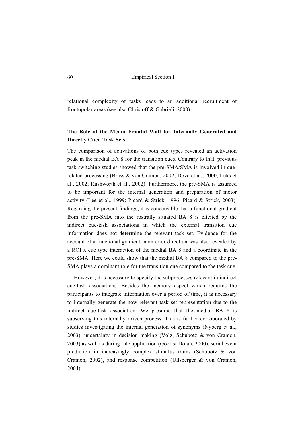relational complexity of tasks leads to an additional recruitment of frontopolar areas (see also Christoff & Gabrieli, 2000).

# **The Role of the Medial-Frontal Wall for Internally Generated and Directly Cued Task Sets**

The comparison of activations of both cue types revealed an activation peak in the medial BA 8 for the transition cues. Contrary to that, previous task-switching studies showed that the pre-SMA/SMA is involved in cuerelated processing (Brass & von Cramon, 2002; Dove et al., 2000; Luks et al., 2002; Rushworth et al., 2002). Furthermore, the pre-SMA is assumed to be important for the internal generation and preparation of motor activity (Lee et al., 1999; Picard & Strick, 1996; Picard & Strick, 2003). Regarding the present findings, it is conceivable that a functional gradient from the pre-SMA into the rostrally situated BA 8 is elicited by the indirect cue-task associations in which the external transition cue information does not determine the relevant task set. Evidence for the account of a functional gradient in anterior direction was also revealed by a ROI x cue type interaction of the medial BA 8 and a coordinate in the pre-SMA. Here we could show that the medial BA 8 compared to the pre-SMA plays a dominant role for the transition cue compared to the task cue.

However, it is necessary to specify the subprocesses relevant in indirect cue-task associations. Besides the memory aspect which requires the participants to integrate information over a period of time, it is necessary to internally generate the now relevant task set representation due to the indirect cue-task association. We presume that the medial BA 8 is subserving this internally driven process. This is further corroborated by studies investigating the internal generation of synonyms (Nyberg et al., 2003), uncertainty in decision making (Volz, Schubotz & von Cramon, 2003) as well as during rule application (Goel & Dolan, 2000), serial event prediction in increasingly complex stimulus trains (Schubotz & von Cramon, 2002), and response competition (Ullsperger & von Cramon, 2004).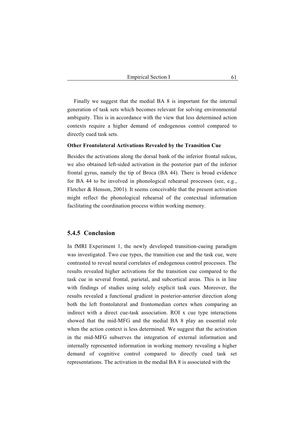Finally we suggest that the medial BA 8 is important for the internal generation of task sets which becomes relevant for solving environmental ambiguity. This is in accordance with the view that less determined action contexts require a higher demand of endogenous control compared to directly cued task sets.

#### **Other Frontolateral Activations Revealed by the Transition Cue**

Besides the activations along the dorsal bank of the inferior frontal sulcus, we also obtained left-sided activation in the posterior part of the inferior frontal gyrus, namely the tip of Broca (BA 44). There is broad evidence for BA 44 to be involved in phonological rehearsal processes (see, e.g., Fletcher & Henson, 2001). It seems conceivable that the present activation might reflect the phonological rehearsal of the contextual information facilitating the coordination process within working memory.

# **5.4.5 Conclusion**

In fMRI Experiment 1, the newly developed transition-cueing paradigm was investigated. Two cue types, the transition cue and the task cue, were contrasted to reveal neural correlates of endogenous control processes. The results revealed higher activations for the transition cue compared to the task cue in several frontal, parietal, and subcortical areas. This is in line with findings of studies using solely explicit task cues. Moreover, the results revealed a functional gradient in posterior-anterior direction along both the left frontolateral and frontomedian cortex when comparing an indirect with a direct cue-task association. ROI x cue type interactions showed that the mid-MFG and the medial BA 8 play an essential role when the action context is less determined. We suggest that the activation in the mid-MFG subserves the integration of external information and internally represented information in working memory revealing a higher demand of cognitive control compared to directly cued task set representations. The activation in the medial BA 8 is associated with the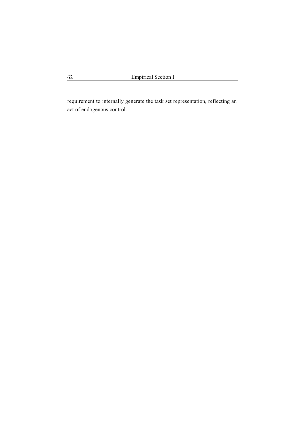requirement to internally generate the task set representation, reflecting an act of endogenous control.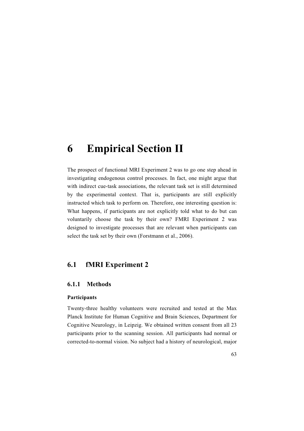# **6 Empirical Section II**

The prospect of functional MRI Experiment 2 was to go one step ahead in investigating endogenous control processes. In fact, one might argue that with indirect cue-task associations, the relevant task set is still determined by the experimental context. That is, participants are still explicitly instructed which task to perform on. Therefore, one interesting question is: What happens, if participants are not explicitly told what to do but can voluntarily choose the task by their own? FMRI Experiment 2 was designed to investigate processes that are relevant when participants can select the task set by their own (Forstmann et al., 2006).

# **6.1 fMRI Experiment 2**

## **6.1.1 Methods**

#### **Participants**

Twenty-three healthy volunteers were recruited and tested at the Max Planck Institute for Human Cognitive and Brain Sciences, Department for Cognitive Neurology, in Leipzig. We obtained written consent from all 23 participants prior to the scanning session. All participants had normal or corrected-to-normal vision. No subject had a history of neurological, major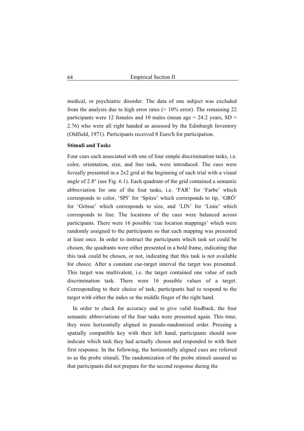medical, or psychiatric disorder. The data of one subject was excluded from the analysis due to high error rates  $(> 10\%$  error). The remaining 22 participants were 12 females and 10 males (mean age  $= 24.2$  years, SD  $=$ 2.76) who were all right handed as assessed by the Edinburgh Inventory (Oldfield, 1971). Participants received 8 Euro/h for participation.

#### **Stimuli and Tasks**

Four cues each associated with one of four simple discrimination tasks, i.e. color, orientation, size, and line task, were introduced. The cues were foveally presented in a 2x2 grid at the beginning of each trial with a visual angle of  $2.8^\circ$  (see Fig. 6.1). Each quadrant of the grid contained a semantic abbreviation for one of the four tasks, i.e. 'FAR' for 'Farbe' which corresponds to color, 'SPI' for 'Spitze' which corresponds to tip, 'GRÖ' for 'Grösse' which corresponds to size, and 'LIN' for 'Linie' which corresponds to line. The locations of the cues were balanced across participants. There were 16 possible 'cue location mappings' which were randomly assigned to the participants so that each mapping was presented at least once. In order to instruct the participants which task set could be chosen, the quadrants were either presented in a bold frame, indicating that this task could be chosen, or not, indicating that this task is not available for choice. After a constant cue-target interval the target was presented. This target was multivalent, i.e. the target contained one value of each discrimination task. There were 16 possible values of a target. Corresponding to their choice of task, participants had to respond to the target with either the index or the middle finger of the right hand.

In order to check for accuracy and to give valid feedback, the four semantic abbreviations of the four tasks were presented again. This time, they were horizontally aligned in pseudo-randomized order. Pressing a spatially compatible key with their left hand, participants should now indicate which task they had actually chosen and responded to with their first response. In the following, the horizontally aligned cues are referred to as the probe stimuli. The randomization of the probe stimuli assured us that participants did not prepare for the second response during the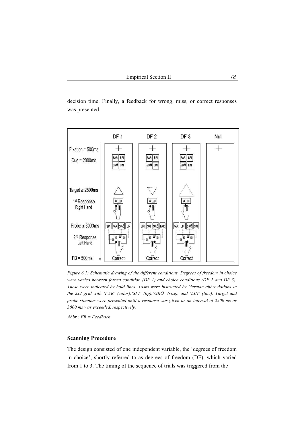decision time. Finally, a feedback for wrong, miss, or correct responses was presented.



*Figure 6.1: Schematic drawing of the different conditions. Degrees of freedom in choice were varied between forced condition (DF 1) and choice conditions (DF 2 and DF 3). These were indicated by bold lines. Tasks were instructed by German abbreviations in the 2x2 grid with 'FAR' (color),'SPI' (tip),'GRÖ' (size), and 'LIN' (line). Target and probe stimulus were presented until a response was given or an interval of 2500 ms or 3000 ms was exceeded, respectively.* 

*Abbr.: FB = Feedback* 

#### **Scanning Procedure**

The design consisted of one independent variable, the 'degrees of freedom in choice', shortly referred to as degrees of freedom (DF), which varied from 1 to 3. The timing of the sequence of trials was triggered from the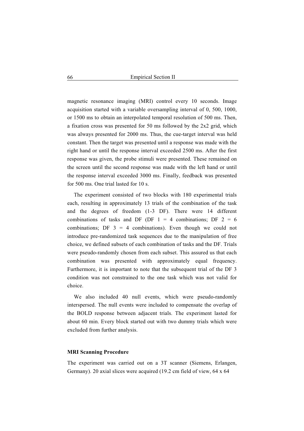magnetic resonance imaging (MRI) control every 10 seconds. Image acquisition started with a variable oversampling interval of 0, 500, 1000, or 1500 ms to obtain an interpolated temporal resolution of 500 ms. Then, a fixation cross was presented for 50 ms followed by the 2x2 grid, which was always presented for 2000 ms. Thus, the cue-target interval was held constant. Then the target was presented until a response was made with the right hand or until the response interval exceeded 2500 ms. After the first response was given, the probe stimuli were presented. These remained on the screen until the second response was made with the left hand or until the response interval exceeded 3000 ms. Finally, feedback was presented for 500 ms. One trial lasted for 10 s.

The experiment consisted of two blocks with 180 experimental trials each, resulting in approximately 13 trials of the combination of the task and the degrees of freedom (1-3 DF). There were 14 different combinations of tasks and DF (DF  $1 = 4$  combinations; DF  $2 = 6$ combinations; DF  $3 = 4$  combinations). Even though we could not introduce pre-randomized task sequences due to the manipulation of free choice, we defined subsets of each combination of tasks and the DF. Trials were pseudo-randomly chosen from each subset. This assured us that each combination was presented with approximately equal frequency. Furthermore, it is important to note that the subsequent trial of the DF 3 condition was not constrained to the one task which was not valid for choice.

We also included 40 null events, which were pseudo-randomly interspersed. The null events were included to compensate the overlap of the BOLD response between adjacent trials. The experiment lasted for about 60 min. Every block started out with two dummy trials which were excluded from further analysis.

## **MRI Scanning Procedure**

The experiment was carried out on a 3T scanner (Siemens, Erlangen, Germany). 20 axial slices were acquired (19.2 cm field of view, 64 x 64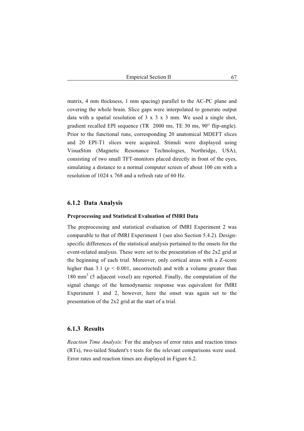matrix, 4 mm thickness, 1 mm spacing) parallel to the AC-PC plane and covering the whole brain. Slice gaps were interpolated to generate output data with a spatial resolution of  $3 \times 3 \times 3$  mm. We used a single shot, gradient recalled EPI sequence  $(TR \ 2000 \text{ ms}, TE \ 30 \text{ ms}, 90^\circ \text{ flip-angle})$ . Prior to the functional runs, corresponding 20 anatomical MDEFT slices and 20 EPI-T1 slices were acquired. Stimuli were displayed using VisuaStim (Magnetic Resonance Technologies, Northridge, USA), consisting of two small TFT-monitors placed directly in front of the eyes, simulating a distance to a normal computer screen of about 100 cm with a resolution of 1024 x 768 and a refresh rate of 60 Hz.

## **6.1.2 Data Analysis**

#### **Preprocessing and Statistical Evaluation of fMRI Data**

The preprocessing and statistical evaluation of fMRI Experiment 2 was comparable to that of fMRI Experiment 1 (see also Section 5.4.2). Designspecific differences of the statistical analysis pertained to the onsets for the event-related analysis. These were set to the presentation of the 2x2 grid at the beginning of each trial. Moreover, only cortical areas with a Z-score higher than 3.1 ( $p < 0.001$ , uncorrected) and with a volume greater than 180 mm<sup>3</sup> (5 adjacent voxel) are reported. Finally, the computation of the signal change of the hemodynamic response was equivalent for fMRI Experiment 1 and 2, however, here the onset was again set to the presentation of the 2x2 grid at the start of a trial.

## **6.1.3 Results**

*Reaction Time Analysis:* For the analyses of error rates and reaction times (RTs), two-tailed Student's t tests for the relevant comparisons were used. Error rates and reaction times are displayed in Figure 6.2.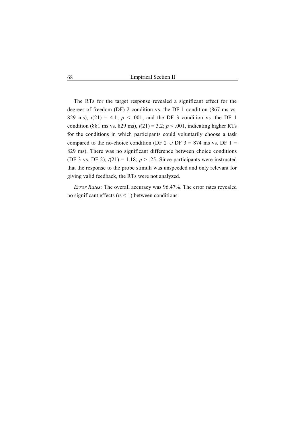The RTs for the target response revealed a significant effect for the degrees of freedom (DF) 2 condition vs. the DF 1 condition (867 ms vs. 829 ms),  $t(21) = 4.1$ ;  $p < .001$ , and the DF 3 condition vs. the DF 1 condition (881 ms vs. 829 ms),  $t(21) = 3.2$ ;  $p < .001$ , indicating higher RTs for the conditions in which participants could voluntarily choose a task compared to the no-choice condition (DF  $2 \cup$  DF  $3 = 874$  ms vs. DF 1 = 829 ms). There was no significant difference between choice conditions (DF 3 vs. DF 2),  $t(21) = 1.18$ ;  $p > 0.25$ . Since participants were instructed that the response to the probe stimuli was unspeeded and only relevant for giving valid feedback, the RTs were not analyzed.

*Error Rates:* The overall accuracy was 96.47%. The error rates revealed no significant effects (*t*s < 1) between conditions.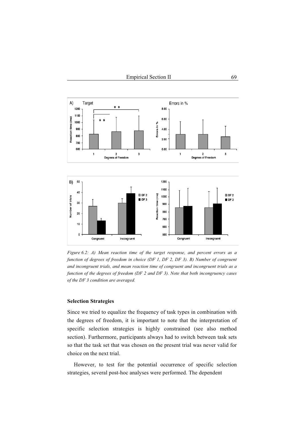

*Figure 6.2: A) Mean reaction time of the target response, and percent errors as a function of degrees of freedom in choice (DF 1, DF 2, DF 3). B) Number of congruent and incongruent trials, and mean reaction time of congruent and incongruent trials as a function of the degrees of freedom (DF 2 and DF 3). Note that both incongruency cases of the DF 3 condition are averaged.* 

### **Selection Strategies**

Since we tried to equalize the frequency of task types in combination with the degrees of freedom, it is important to note that the interpretation of specific selection strategies is highly constrained (see also method section). Furthermore, participants always had to switch between task sets so that the task set that was chosen on the present trial was never valid for choice on the next trial.

However, to test for the potential occurrence of specific selection strategies, several post-hoc analyses were performed. The dependent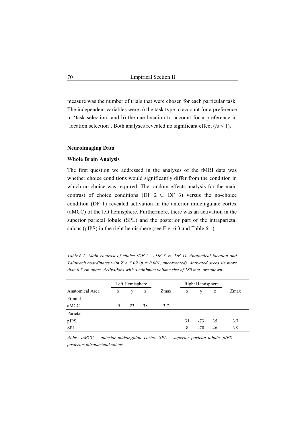measure was the number of trials that were chosen for each particular task. The independent variables were a) the task type to account for a preference in 'task selection' and b) the cue location to account for a preference in 'location selection'. Both analyses revealed no significant effect (*t*s < 1).

## **Neuroimaging Data**

### **Whole Brain Analysis**

The first question we addressed in the analyses of the fMRI data was whether choice conditions would significantly differ from the condition in which no-choice was required. The random effects analysis for the main contrast of choice conditions (DF 2  $\cup$  DF 3) versus the no-choice condition (DF 1) revealed activation in the anterior midcingulate cortex (aMCC) of the left hemisphere. Furthermore, there was an activation in the superior parietal lobule (SPL) and the posterior part of the intraparietal sulcus (pIPS) in the right hemisphere (see Fig. 6.3 and Table 6.1).

*Table 6.1: Main contrast of choice (DF 2*  $\cup$  *DF 3 vs. DF 1). Anatomical location and Talairach coordinates with Z > 3.09 (p = 0.001, uncorrected). Activated areas lie more than 0.5 cm apart. Activations with a minimum volume size of 180 mm<sup>3</sup> are shown.* 

|                 | Left Hemisphere |    |    |      | Right Hemisphere |       |    |      |
|-----------------|-----------------|----|----|------|------------------|-------|----|------|
| Anatomical Area | $\mathbf X$     | v  | z  | Zmax | X                | V     | Z  | Zmax |
| Frontal         |                 |    |    |      |                  |       |    |      |
| aMCC            | $-5$            | 23 | 38 | 3.7  |                  |       |    |      |
| Parietal        |                 |    |    |      |                  |       |    |      |
| pIPS            |                 |    |    |      | 31               | $-73$ | 35 | 3.7  |
| <b>SPL</b>      |                 |    |    |      | 8                | $-70$ | 46 | 3.9  |

*Abbr.: aMCC = anterior midcingulate cortex, SPL = superior parietal lobule, pIPS = posterior intraparietal sulcus.*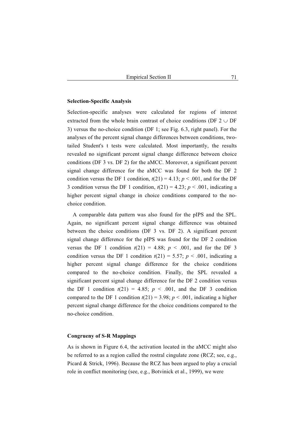## **Selection-Specific Analysis**

Selection-specific analyses were calculated for regions of interest extracted from the whole brain contrast of choice conditions (DF  $2 \cup DF$ 3) versus the no-choice condition (DF 1; see Fig. 6.3, right panel). For the analyses of the percent signal change differences between conditions, twotailed Student's t tests were calculated. Most importantly, the results revealed no significant percent signal change difference between choice conditions (DF 3 vs. DF 2) for the aMCC. Moreover, a significant percent signal change difference for the aMCC was found for both the DF 2 condition versus the DF 1 condition,  $t(21) = 4.13$ ;  $p < .001$ , and for the DF 3 condition versus the DF 1 condition,  $t(21) = 4.23$ ;  $p < .001$ , indicating a higher percent signal change in choice conditions compared to the nochoice condition.

A comparable data pattern was also found for the pIPS and the SPL. Again, no significant percent signal change difference was obtained between the choice conditions (DF 3 vs. DF 2). A significant percent signal change difference for the pIPS was found for the DF 2 condition versus the DF 1 condition  $t(21) = 4.88$ ;  $p < .001$ , and for the DF 3 condition versus the DF 1 condition  $t(21) = 5.57$ ;  $p < .001$ , indicating a higher percent signal change difference for the choice conditions compared to the no-choice condition. Finally, the SPL revealed a significant percent signal change difference for the DF 2 condition versus the DF 1 condition  $t(21) = 4.85$ ;  $p < .001$ , and the DF 3 condition compared to the DF 1 condition  $t(21) = 3.98$ ;  $p < .001$ , indicating a higher percent signal change difference for the choice conditions compared to the no-choice condition.

#### **Congrueny of S-R Mappings**

As is shown in Figure 6.4, the activation located in the aMCC might also be referred to as a region called the rostral cingulate zone (RCZ; see, e.g., Picard & Strick, 1996). Because the RCZ has been argued to play a crucial role in conflict monitoring (see, e.g., Botvinick et al., 1999), we were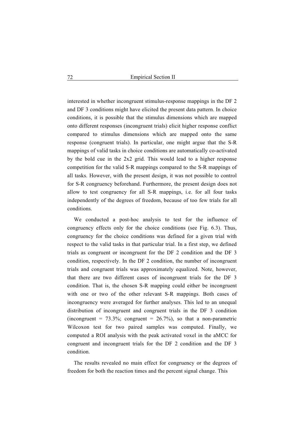interested in whether incongruent stimulus-response mappings in the DF 2 and DF 3 conditions might have elicited the present data pattern. In choice conditions, it is possible that the stimulus dimensions which are mapped onto different responses (incongruent trials) elicit higher response conflict compared to stimulus dimensions which are mapped onto the same response (congruent trials). In particular, one might argue that the S-R mappings of valid tasks in choice conditions are automatically co-activated by the bold cue in the 2x2 grid. This would lead to a higher response competition for the valid S-R mappings compared to the S-R mappings of all tasks. However, with the present design, it was not possible to control for S-R congruency beforehand. Furthermore, the present design does not allow to test congruency for all S-R mappings, i.e. for all four tasks independently of the degrees of freedom, because of too few trials for all conditions.

We conducted a post-hoc analysis to test for the influence of congruency effects only for the choice conditions (see Fig. 6.3). Thus, congruency for the choice conditions was defined for a given trial with respect to the valid tasks in that particular trial. In a first step, we defined trials as congruent or incongruent for the DF 2 condition and the DF 3 condition, respectively. In the DF 2 condition, the number of incongruent trials and congruent trials was approximately equalized. Note, however, that there are two different cases of incongruent trials for the DF 3 condition. That is, the chosen S-R mapping could either be incongruent with one or two of the other relevant S-R mappings. Both cases of incongruency were averaged for further analyses. This led to an unequal distribution of incongruent and congruent trials in the DF 3 condition (incongruent =  $73.3\%$ ; congruent =  $26.7\%$ ), so that a non-parametric Wilcoxon test for two paired samples was computed. Finally, we computed a ROI analysis with the peak activated voxel in the aMCC for congruent and incongruent trials for the DF 2 condition and the DF 3 condition.

The results revealed no main effect for congruency or the degrees of freedom for both the reaction times and the percent signal change. This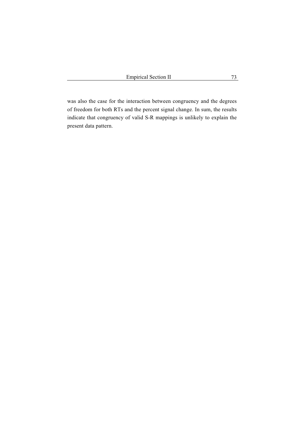was also the case for the interaction between congruency and the degrees of freedom for both RTs and the percent signal change. In sum, the results indicate that congruency of valid S-R mappings is unlikely to explain the present data pattern.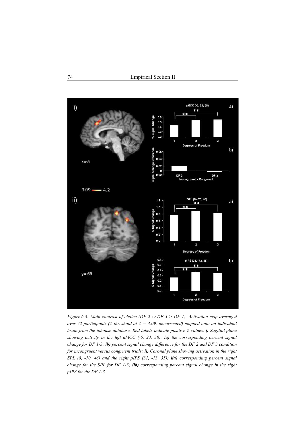

*Figure 6.3: Main contrast of choice (DF 2*  $\cup$  *DF 3 > DF 1). Activation map averaged over 22 participants (Z-threshold at Z = 3.09, uncorrected) mapped onto an individual brain from the inhouse database. Red labels indicate positive Z-values. i) Sagittal plane showing activity in the left aMCC (-5, 23, 38); ia) the corresponding percent signal change for DF 1-3; ib) percent signal change difference for the DF 2 and DF 3 condition for incongruent versus congruent trials; ii) Coronal plane showing activation in the right SPL (8, -70, 46) and the right pIPS (31, -73, 35); iia) corresponding percent signal change for the SPL for DF 1-3; iib) corresponding percent signal change in the right pIPS for the DF 1-3.*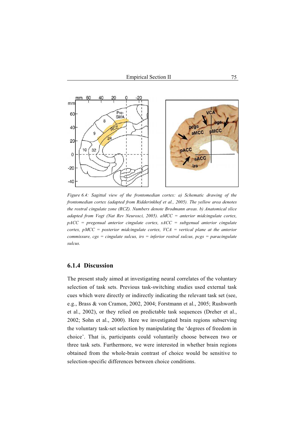

*Figure 6.4: Sagittal view of the frontomedian cortex: a) Schematic drawing of the frontomedian cortex (adapted from Ridderinkhof et al., 2005). The yellow area denotes the rostral cingulate zone (RCZ). Numbers denote Brodmann areas. b) Anatomical slice adapted from Vogt (Nat Rev Neurosci, 2005). aMCC = anterior midcingulate cortex, pACC = pregenual anterior cingulate cortex, sACC = subgenual anterior cingulate cortex, pMCC = posterior midcingulate cortex, VCA = vertical plane at the anterior commissure, cgs = cingulate sulcus, irs = inferior rostral sulcus, pcgs = paracingulate sulcus.* 

# **6.1.4 Discussion**

The present study aimed at investigating neural correlates of the voluntary selection of task sets. Previous task-switching studies used external task cues which were directly or indirectly indicating the relevant task set (see, e.g., Brass & von Cramon, 2002, 2004; Forstmann et al., 2005; Rushworth et al., 2002), or they relied on predictable task sequences (Dreher et al., 2002; Sohn et al., 2000). Here we investigated brain regions subserving the voluntary task-set selection by manipulating the 'degrees of freedom in choice'. That is, participants could voluntarily choose between two or three task sets. Furthermore, we were interested in whether brain regions obtained from the whole-brain contrast of choice would be sensitive to selection-specific differences between choice conditions.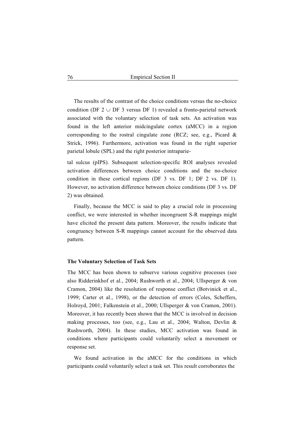The results of the contrast of the choice conditions versus the no-choice condition (DF 2  $\cup$  DF 3 versus DF 1) revealed a fronto-parietal network associated with the voluntary selection of task sets. An activation was found in the left anterior midcingulate cortex (aMCC) in a region corresponding to the rostral cingulate zone (RCZ; see, e.g., Picard & Strick, 1996). Furthermore, activation was found in the right superior parietal lobule (SPL) and the right posterior intraparie-

tal sulcus (pIPS). Subsequent selection-specific ROI analyses revealed activation differences between choice conditions and the no-choice condition in these cortical regions (DF 3 vs. DF 1; DF 2 vs. DF 1). However, no activation difference between choice conditions (DF 3 vs. DF 2) was obtained.

Finally, because the MCC is said to play a crucial role in processing conflict, we were interested in whether incongruent S-R mappings might have elicited the present data pattern. Moreover, the results indicate that congruency between S-R mappings cannot account for the observed data pattern.

## **The Voluntary Selection of Task Sets**

The MCC has been shown to subserve various cognitive processes (see also Ridderinkhof et al., 2004; Rushworth et al., 2004; Ullsperger & von Cramon, 2004) like the resolution of response conflict (Botvinick et al., 1999; Carter et al., 1998), or the detection of errors (Coles, Scheffers, Holroyd, 2001; Falkenstein et al., 2000; Ullsperger & von Cramon, 2001). Moreover, it has recently been shown that the MCC is involved in decision making processes, too (see, e.g., Lau et al., 2004; Walton, Devlin & Rushworth, 2004). In these studies, MCC activation was found in conditions where participants could voluntarily select a movement or response set.

We found activation in the aMCC for the conditions in which participants could voluntarily select a task set. This result corroborates the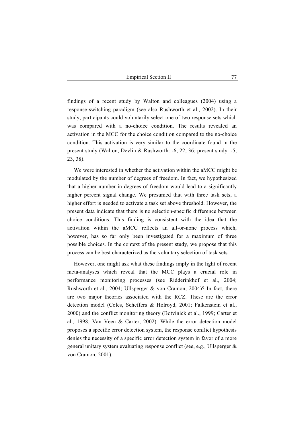findings of a recent study by Walton and colleagues (2004) using a response-switching paradigm (see also Rushworth et al., 2002). In their study, participants could voluntarily select one of two response sets which was compared with a no-choice condition. The results revealed an activation in the MCC for the choice condition compared to the no-choice condition. This activation is very similar to the coordinate found in the present study (Walton, Devlin & Rushworth: -6, 22, 36; present study: -5, 23, 38).

We were interested in whether the activation within the aMCC might be modulated by the number of degrees of freedom. In fact, we hypothesized that a higher number in degrees of freedom would lead to a significantly higher percent signal change. We presumed that with three task sets, a higher effort is needed to activate a task set above threshold. However, the present data indicate that there is no selection-specific difference between choice conditions. This finding is consistent with the idea that the activation within the aMCC reflects an all-or-none process which, however, has so far only been investigated for a maximum of three possible choices. In the context of the present study, we propose that this process can be best characterized as the voluntary selection of task sets.

However, one might ask what these findings imply in the light of recent meta-analyses which reveal that the MCC plays a crucial role in performance monitoring processes (see Ridderinkhof et al., 2004; Rushworth et al., 2004; Ullsperger & von Cramon, 2004)? In fact, there are two major theories associated with the RCZ. These are the error detection model (Coles, Scheffers & Holroyd, 2001; Falkenstein et al., 2000) and the conflict monitoring theory (Botvinick et al., 1999; Carter et al., 1998; Van Veen & Carter, 2002). While the error detection model proposes a specific error detection system, the response conflict hypothesis denies the necessity of a specific error detection system in favor of a more general unitary system evaluating response conflict (see, e.g., Ullsperger & von Cramon, 2001).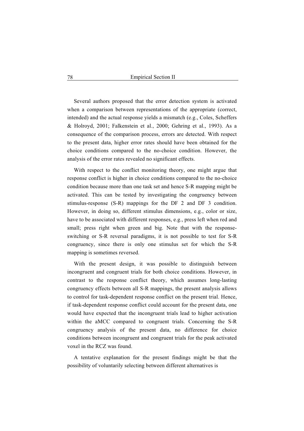Several authors proposed that the error detection system is activated when a comparison between representations of the appropriate (correct, intended) and the actual response yields a mismatch (e.g., Coles, Scheffers & Holroyd, 2001; Falkenstein et al., 2000; Gehring et al., 1993). As a consequence of the comparison process, errors are detected. With respect to the present data, higher error rates should have been obtained for the choice conditions compared to the no-choice condition. However, the analysis of the error rates revealed no significant effects.

With respect to the conflict monitoring theory, one might argue that response conflict is higher in choice conditions compared to the no-choice condition because more than one task set and hence S-R mapping might be activated. This can be tested by investigating the congruency between stimulus-response (S-R) mappings for the DF 2 and DF 3 condition. However, in doing so, different stimulus dimensions, e.g., color or size, have to be associated with different responses, e.g., press left when red and small; press right when green and big. Note that with the responseswitching or S-R reversal paradigms, it is not possible to test for S-R congruency, since there is only one stimulus set for which the S-R mapping is sometimes reversed.

With the present design, it was possible to distinguish between incongruent and congruent trials for both choice conditions. However, in contrast to the response conflict theory, which assumes long-lasting congruency effects between all S-R mappings, the present analysis allows to control for task-dependent response conflict on the present trial. Hence, if task-dependent response conflict could account for the present data, one would have expected that the incongruent trials lead to higher activation within the aMCC compared to congruent trials. Concerning the S-R congruency analysis of the present data, no difference for choice conditions between incongruent and congruent trials for the peak activated voxel in the RCZ was found.

A tentative explanation for the present findings might be that the possibility of voluntarily selecting between different alternatives is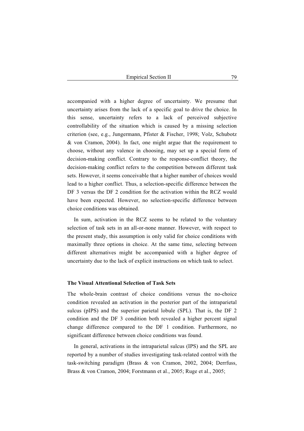accompanied with a higher degree of uncertainty. We presume that uncertainty arises from the lack of a specific goal to drive the choice. In this sense, uncertainty refers to a lack of perceived subjective controllability of the situation which is caused by a missing selection criterion (see, e.g., Jungermann, Pfister & Fischer, 1998; Volz, Schubotz & von Cramon, 2004). In fact, one might argue that the requirement to choose, without any valence in choosing, may set up a special form of decision-making conflict. Contrary to the response-conflict theory, the decision-making conflict refers to the competition between different task sets. However, it seems conceivable that a higher number of choices would lead to a higher conflict. Thus, a selection-specific difference between the DF 3 versus the DF 2 condition for the activation within the RCZ would have been expected. However, no selection-specific difference between choice conditions was obtained.

In sum, activation in the RCZ seems to be related to the voluntary selection of task sets in an all-or-none manner. However, with respect to the present study, this assumption is only valid for choice conditions with maximally three options in choice. At the same time, selecting between different alternatives might be accompanied with a higher degree of uncertainty due to the lack of explicit instructions on which task to select.

## **The Visual Attentional Selection of Task Sets**

The whole-brain contrast of choice conditions versus the no-choice condition revealed an activation in the posterior part of the intraparietal sulcus (pIPS) and the superior parietal lobule (SPL). That is, the DF 2 condition and the DF 3 condition both revealed a higher percent signal change difference compared to the DF 1 condition. Furthermore, no significant difference between choice conditions was found.

In general, activations in the intraparietal sulcus (IPS) and the SPL are reported by a number of studies investigating task-related control with the task-switching paradigm (Brass & von Cramon, 2002, 2004; Derrfuss, Brass & von Cramon, 2004; Forstmann et al., 2005; Ruge et al., 2005;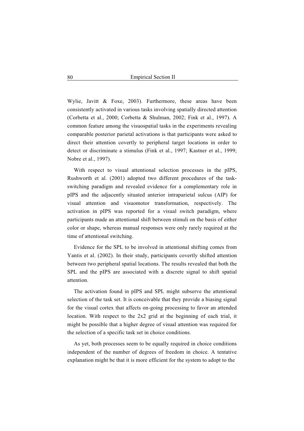Wylie, Javitt & Foxe, 2003). Furthermore, these areas have been consistently activated in various tasks involving spatially directed attention (Corbetta et al., 2000; Corbetta & Shulman, 2002; Fink et al., 1997). A common feature among the visuospatial tasks in the experiments revealing comparable posterior parietal activations is that participants were asked to direct their attention covertly to peripheral target locations in order to detect or discriminate a stimulus (Fink et al., 1997; Kastner et al., 1999; Nobre et al., 1997).

With respect to visual attentional selection processes in the pIPS, Rushworth et al. (2001) adopted two different procedures of the taskswitching paradigm and revealed evidence for a complementary role in pIPS and the adjacently situated anterior intraparietal sulcus (AIP) for visual attention and visuomotor transformation, respectively. The activation in pIPS was reported for a visual switch paradigm, where participants made an attentional shift between stimuli on the basis of either color or shape, whereas manual responses were only rarely required at the time of attentional switching.

Evidence for the SPL to be involved in attentional shifting comes from Yantis et al. (2002). In their study, participants covertly shifted attention between two peripheral spatial locations. The results revealed that both the SPL and the pIPS are associated with a discrete signal to shift spatial attention.

The activation found in pIPS and SPL might subserve the attentional selection of the task set. It is conceivable that they provide a biasing signal for the visual cortex that affects on-going processing to favor an attended location. With respect to the 2x2 grid at the beginning of each trial, it might be possible that a higher degree of visual attention was required for the selection of a specific task set in choice conditions.

As yet, both processes seem to be equally required in choice conditions independent of the number of degrees of freedom in choice. A tentative explanation might be that it is more efficient for the system to adopt to the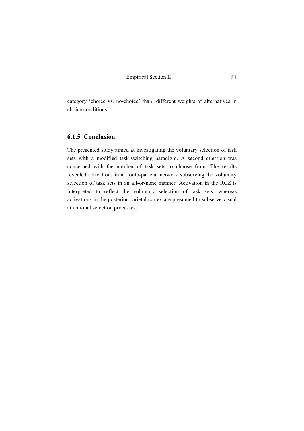category 'choice vs. no-choice' than 'different weights of alternatives in choice conditions'.

## **6.1.5 Conclusion**

The presented study aimed at investigating the voluntary selection of task sets with a modified task-switching paradigm. A second question was concerned with the number of task sets to choose from. The results revealed activations in a fronto-parietal network subserving the voluntary selection of task sets in an all-or-none manner. Activation in the RCZ is interpreted to reflect the voluntary selection of task sets, whereas activations in the posterior parietal cortex are presumed to subserve visual attentional selection processes.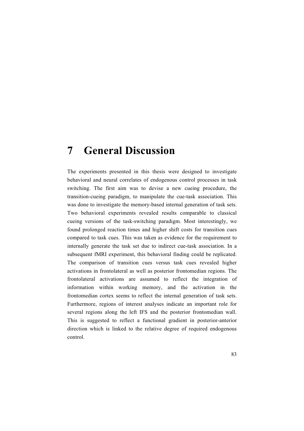# **7 General Discussion**

The experiments presented in this thesis were designed to investigate behavioral and neural correlates of endogenous control processes in task switching. The first aim was to devise a new cueing procedure, the transition-cueing paradigm, to manipulate the cue-task association. This was done to investigate the memory-based internal generation of task sets. Two behavioral experiments revealed results comparable to classical cueing versions of the task-switching paradigm. Most interestingly, we found prolonged reaction times and higher shift costs for transition cues compared to task cues. This was taken as evidence for the requirement to internally generate the task set due to indirect cue-task association. In a subsequent fMRI experiment, this behavioral finding could be replicated. The comparison of transition cues versus task cues revealed higher activations in frontolateral as well as posterior frontomedian regions. The frontolateral activations are assumed to reflect the integration of information within working memory, and the activation in the frontomedian cortex seems to reflect the internal generation of task sets. Furthermore, regions of interest analyses indicate an important role for several regions along the left IFS and the posterior frontomedian wall. This is suggested to reflect a functional gradient in posterior-anterior direction which is linked to the relative degree of required endogenous control.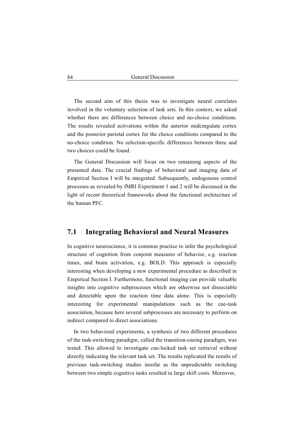The second aim of this thesis was to investigate neural correlates involved in the voluntary selection of task sets. In this context, we asked whether there are differences between choice and no-choice conditions. The results revealed activations within the anterior midcingulate cortex and the posterior parietal cortex for the choice conditions compared to the no-choice condition. No selection-specific differences between three and two choices could be found.

The General Discussion will focus on two remaining aspects of the presented data. The crucial findings of behavioral and imaging data of Empirical Section I will be integrated. Subsequently, endogenous control processes as revealed by fMRI Experiment 1 and 2 will be discussed in the light of recent theoretical frameworks about the functional architecture of the human PFC.

# **7.1 Integrating Behavioral and Neural Measures**

In cognitive neuroscience, it is common practice to infer the psychological structure of cognition from conjoint measures of behavior, e.g. reaction times, and brain activation, e.g. BOLD. This approach is especially interesting when developing a new experimental procedure as described in Empirical Section I. Furthermore, functional imaging can provide valuable insights into cognitive subprocesses which are otherwise not dissociable and detectable upon the reaction time data alone. This is especially interesting for experimental manipulations such as the cue-task association, because here several subprocesses are necessary to perform on indirect compared to direct associations.

In two behavioral experiments, a synthesis of two different procedures of the task-switching paradigm, called the transition-cueing paradigm, was tested. This allowed to investigate cue-locked task set retrieval without directly indicating the relevant task set. The results replicated the results of previous task-switching studies insofar as the unpredictable switching between two simple cognitive tasks resulted in large shift costs. Moreover,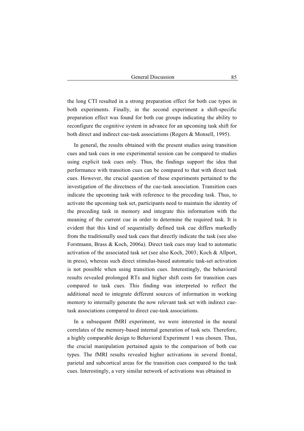the long CTI resulted in a strong preparation effect for both cue types in both experiments. Finally, in the second experiment a shift-specific preparation effect was found for both cue groups indicating the ability to reconfigure the cognitive system in advance for an upcoming task shift for both direct and indirect cue-task associations (Rogers & Monsell, 1995).

In general, the results obtained with the present studies using transition cues and task cues in one experimental session can be compared to studies using explicit task cues only. Thus, the findings support the idea that performance with transition cues can be compared to that with direct task cues. However, the crucial question of these experiments pertained to the investigation of the directness of the cue-task association. Transition cues indicate the upcoming task with reference to the preceding task. Thus, to activate the upcoming task set, participants need to maintain the identity of the preceding task in memory and integrate this information with the meaning of the current cue in order to determine the required task. It is evident that this kind of sequentially defined task cue differs markedly from the traditionally used task cues that directly indicate the task (see also Forstmann, Brass & Koch, 2006a). Direct task cues may lead to automatic activation of the associated task set (see also Koch, 2003; Koch & Allport, in press), whereas such direct stimulus-based automatic task-set activation is not possible when using transition cues. Interestingly, the behavioral results revealed prolonged RTs and higher shift costs for transition cues compared to task cues. This finding was interpreted to reflect the additional need to integrate different sources of information in working memory to internally generate the now relevant task set with indirect cuetask associations compared to direct cue-task associations.

In a subsequent fMRI experiment, we were interested in the neural correlates of the memory-based internal generation of task sets. Therefore, a highly comparable design to Behavioral Experiment 1 was chosen. Thus, the crucial manipulation pertained again to the comparison of both cue types. The fMRI results revealed higher activations in several frontal, parietal and subcortical areas for the transition cues compared to the task cues. Interestingly, a very similar network of activations was obtained in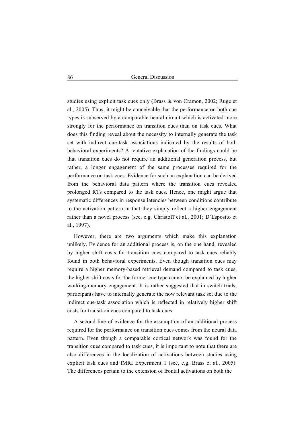studies using explicit task cues only (Brass & von Cramon, 2002; Ruge et al., 2005). Thus, it might be conceivable that the performance on both cue types is subserved by a comparable neural circuit which is activated more strongly for the performance on transition cues than on task cues. What does this finding reveal about the necessity to internally generate the task set with indirect cue-task associations indicated by the results of both behavioral experiments? A tentative explanation of the findings could be that transition cues do not require an additional generation process, but rather, a longer engagement of the same processes required for the performance on task cues. Evidence for such an explanation can be derived from the behavioral data pattern where the transition cues revealed prolonged RTs compared to the task cues. Hence, one might argue that systematic differences in response latencies between conditions contribute to the activation pattern in that they simply reflect a higher engagement rather than a novel process (see, e.g. Christoff et al., 2001; D´Esposito et al., 1997).

However, there are two arguments which make this explanation unlikely. Evidence for an additional process is, on the one hand, revealed by higher shift costs for transition cues compared to task cues reliably found in both behavioral experiments. Even though transition cues may require a higher memory-based retrieval demand compared to task cues, the higher shift costs for the former cue type cannot be explained by higher working-memory engagement. It is rather suggested that in switch trials, participants have to internally generate the now relevant task set due to the indirect cue-task association which is reflected in relatively higher shift costs for transition cues compared to task cues.

A second line of evidence for the assumption of an additional process required for the performance on transition cues comes from the neural data pattern. Even though a comparable cortical network was found for the transition cues compared to task cues, it is important to note that there are also differences in the localization of activations between studies using explicit task cues and fMRI Experiment 1 (see, e.g. Brass et al., 2005). The differences pertain to the extension of frontal activations on both the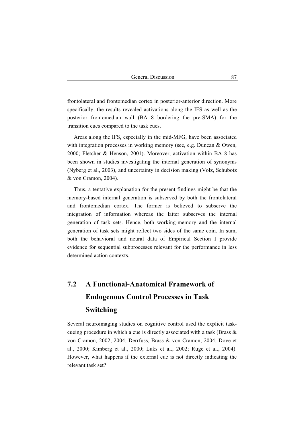frontolateral and frontomedian cortex in posterior-anterior direction. More specifically, the results revealed activations along the IFS as well as the posterior frontomedian wall (BA 8 bordering the pre-SMA) for the transition cues compared to the task cues.

Areas along the IFS, especially in the mid-MFG, have been associated with integration processes in working memory (see, e.g. Duncan & Owen, 2000; Fletcher & Henson, 2001). Moreover, activation within BA 8 has been shown in studies investigating the internal generation of synonyms (Nyberg et al., 2003), and uncertainty in decision making (Volz, Schubotz & von Cramon, 2004).

Thus, a tentative explanation for the present findings might be that the memory-based internal generation is subserved by both the frontolateral and frontomedian cortex. The former is believed to subserve the integration of information whereas the latter subserves the internal generation of task sets. Hence, both working-memory and the internal generation of task sets might reflect two sides of the same coin. In sum, both the behavioral and neural data of Empirical Section I provide evidence for sequential subprocesses relevant for the performance in less determined action contexts.

# **7.2 A Functional-Anatomical Framework of Endogenous Control Processes in Task Switching**

Several neuroimaging studies on cognitive control used the explicit taskcueing procedure in which a cue is directly associated with a task (Brass & von Cramon, 2002, 2004; Derrfuss, Brass & von Cramon, 2004; Dove et al., 2000; Kimberg et al., 2000; Luks et al., 2002; Ruge et al., 2004). However, what happens if the external cue is not directly indicating the relevant task set?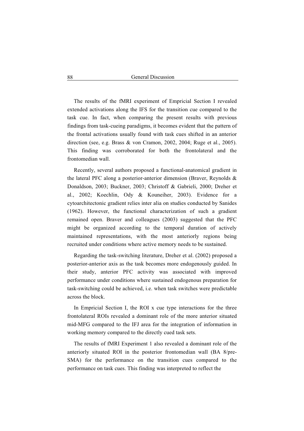The results of the fMRI experiment of Empricial Section I revealed extended activations along the IFS for the transition cue compared to the task cue. In fact, when comparing the present results with previous findings from task-cueing paradigms, it becomes evident that the pattern of the frontal activations usually found with task cues shifted in an anterior direction (see, e.g. Brass & von Cramon, 2002, 2004; Ruge et al., 2005). This finding was corroborated for both the frontolateral and the frontomedian wall.

Recently, several authors proposed a functional-anatomical gradient in the lateral PFC along a posterior-anterior dimension (Braver, Reynolds & Donaldson, 2003; Buckner, 2003; Christoff & Gabrieli, 2000; Dreher et al., 2002; Koechlin, Ody & Kouneiher, 2003). Evidence for a cytoarchitectonic gradient relies inter alia on studies conducted by Sanides (1962). However, the functional characterization of such a gradient remained open. Braver and colleagues (2003) suggested that the PFC might be organized according to the temporal duration of actively maintained representations, with the most anteriorly regions being recruited under conditions where active memory needs to be sustained.

Regarding the task-switching literature, Dreher et al. (2002) proposed a posterior-anterior axis as the task becomes more endogenously guided. In their study, anterior PFC activity was associated with improved performance under conditions where sustained endogenous preparation for task-switching could be achieved, i.e. when task switches were predictable across the block.

In Empricial Section I, the ROI x cue type interactions for the three frontolateral ROIs revealed a dominant role of the more anterior situated mid-MFG compared to the IFJ area for the integration of information in working memory compared to the directly cued task sets.

The results of fMRI Experiment 1 also revealed a dominant role of the anteriorly situated ROI in the posterior frontomedian wall (BA 8/pre-SMA) for the performance on the transition cues compared to the performance on task cues. This finding was interpreted to reflect the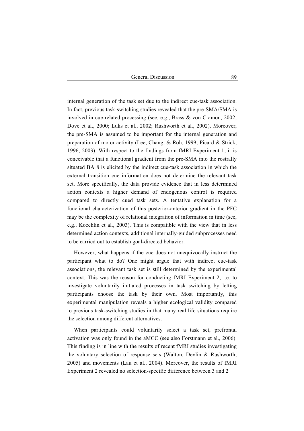internal generation of the task set due to the indirect cue-task association. In fact, previous task-switching studies revealed that the pre-SMA/SMA is involved in cue-related processing (see, e.g., Brass & von Cramon, 2002; Dove et al., 2000; Luks et al., 2002; Rushworth et al., 2002). Moreover, the pre-SMA is assumed to be important for the internal generation and preparation of motor activity (Lee, Chang, & Roh, 1999; Picard & Strick, 1996, 2003). With respect to the findings from fMRI Experiment 1, it is conceivable that a functional gradient from the pre-SMA into the rostrally situated BA 8 is elicited by the indirect cue-task association in which the external transition cue information does not determine the relevant task set. More specifically, the data provide evidence that in less determined action contexts a higher demand of endogenous control is required compared to directly cued task sets. A tentative explanation for a functional characterization of this posterior-anterior gradient in the PFC may be the complexity of relational integration of information in time (see, e.g., Koechlin et al., 2003). This is compatible with the view that in less determined action contexts, additional internally-guided subprocesses need to be carried out to establish goal-directed behavior.

However, what happens if the cue does not unequivocally instruct the participant what to do? One might argue that with indirect cue-task associations, the relevant task set is still determined by the experimental context. This was the reason for conducting fMRI Experiment 2, i.e. to investigate voluntarily initiated processes in task switching by letting participants choose the task by their own. Most importantly, this experimental manipulation reveals a higher ecological validity compared to previous task-switching studies in that many real life situations require the selection among different alternatives.

When participants could voluntarily select a task set, prefrontal activation was only found in the aMCC (see also Forstmann et al., 2006). This finding is in line with the results of recent fMRI studies investigating the voluntary selection of response sets (Walton, Devlin & Rushworth, 2005) and movements (Lau et al., 2004). Moreover, the results of fMRI Experiment 2 revealed no selection-specific difference between 3 and 2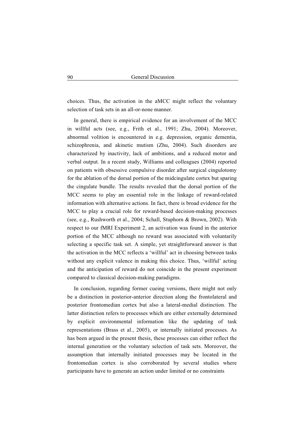choices. Thus, the activation in the aMCC might reflect the voluntary selection of task sets in an all-or-none manner.

In general, there is empirical evidence for an involvement of the MCC in willful acts (see, e.g., Frith et al., 1991; Zhu, 2004). Moreover, abnormal volition is encountered in e.g. depression, organic dementia, schizophrenia, and akinetic mutism (Zhu, 2004). Such disorders are characterized by inactivity, lack of ambitions, and a reduced motor and verbal output. In a recent study, Williams and colleagues (2004) reported on patients with obsessive compulsive disorder after surgical cingulotomy for the ablation of the dorsal portion of the midcingulate cortex but sparing the cingulate bundle. The results revealed that the dorsal portion of the MCC seems to play an essential role in the linkage of reward-related information with alternative actions. In fact, there is broad evidence for the MCC to play a crucial role for reward-based decision-making processes (see, e.g., Rushworth et al., 2004; Schall, Stuphorn & Brown, 2002). With respect to our fMRI Experiment 2, an activation was found in the anterior portion of the MCC although no reward was associated with voluntarily selecting a specific task set. A simple, yet straightforward answer is that the activation in the MCC reflects a 'willful' act in choosing between tasks without any explicit valence in making this choice. Thus, 'willful' acting and the anticipation of reward do not coincide in the present experiment compared to classical decision-making paradigms.

In conclusion, regarding former cueing versions, there might not only be a distinction in posterior-anterior direction along the frontolateral and posterior frontomedian cortex but also a lateral-medial distinction. The latter distinction refers to processes which are either externally determined by explicit environmental information like the updating of task representations (Brass et al., 2005), or internally initiated processes. As has been argued in the present thesis, these processes can either reflect the internal generation or the voluntary selection of task sets. Moreover, the assumption that internally initiated processes may be located in the frontomedian cortex is also corroborated by several studies where participants have to generate an action under limited or no constraints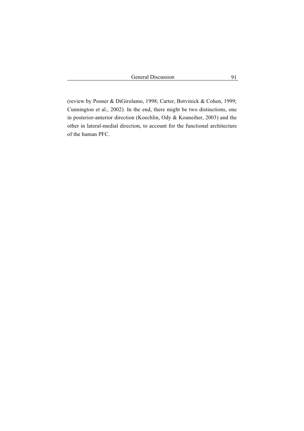(review by Posner & DiGirolamo, 1998; Carter, Botvinick & Cohen, 1999; Cunnington et al., 2002). In the end, there might be two distinctions, one in posterior-anterior direction (Koechlin, Ody & Kouneiher, 2003) and the other in lateral-medial direction, to account for the functional architecture of the human PFC.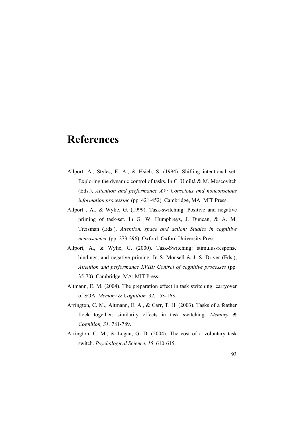# **References**

- Allport, A., Styles, E. A., & Hsieh, S. (1994). Shifting intentional set: Exploring the dynamic control of tasks. In C. Umiltá & M. Moscovitch (Eds.), *Attention and performance XV: Conscious and nonconscious information processing* (pp. 421-452). Cambridge, MA: MIT Press.
- Allport , A., & Wylie, G. (1999). Task-switching: Positive and negative priming of task-set. In G. W. Humphreys, J. Duncan, & A. M. Treisman (Eds.), *Attention, space and action: Studies in cognitive neuroscience* (pp. 273-296). Oxford: Oxford University Press.
- Allport, A., & Wylie, G. (2000). Task-Switching: stimulus-response bindings, and negative priming. In S. Monsell & J. S. Driver (Eds.), *Attention and performance XVIII: Control of cognitive processes* (pp. 35-70). Cambridge, MA: MIT Press.
- Altmann, E. M. (2004). The preparation effect in task switching: carryover of SOA. *Memory & Cognition, 32*, 153-163.
- Arrington, C. M., Altmann, E. A., & Carr, T. H. (2003). Tasks of a feather flock together: similarity effects in task switching. *Memory & Cognition, 31,* 781-789.
- Arrington, C. M., & Logan, G. D. (2004). The cost of a voluntary task switch. *Psychological Science*, *15*, 610-615.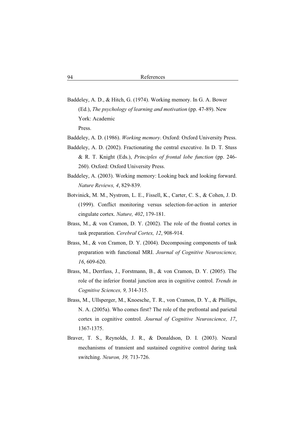- Baddeley, A. D., & Hitch, G. (1974). Working memory. In G. A. Bower (Ed.), *The psychology of learning and motivation* (pp. 47-89). New York: Academic Press.
- Baddeley, A. D. (1986). *Working memory*. Oxford: Oxford University Press.
- Baddeley, A. D. (2002). Fractionating the central executive. In D. T. Stuss & R. T. Knight (Eds.), *Principles of frontal lobe function* (pp. 246- 260). Oxford: Oxford University Press.
- Baddeley, A. (2003). Working memory: Looking back and looking forward. *Nature Reviews, 4*, 829-839.
- Botvinick, M. M., Nystrom, L. E., Fissell, K., Carter, C. S., & Cohen, J. D. (1999). Conflict monitoring versus selection-for-action in anterior cingulate cortex. *Nature, 402*, 179-181.
- Brass, M., & von Cramon, D. Y. (2002). The role of the frontal cortex in task preparation. *Cerebral Cortex, 12*, 908-914.
- Brass, M., & von Cramon, D. Y. (2004). Decomposing components of task preparation with functional MRI. *Journal of Cognitive Neuroscience, 16*, 609-620.
- Brass, M., Derrfuss, J., Forstmann, B., & von Cramon, D. Y. (2005). The role of the inferior frontal junction area in cognitive control. *Trends in Cognitive Sciences, 9,* 314-315.
- Brass, M., Ullsperger, M., Knoesche, T. R., von Cramon, D. Y., & Phillips, N. A. (2005a). Who comes first? The role of the prefrontal and parietal cortex in cognitive control. *Journal of Cognitive Neuroscience, 17*, 1367-1375.
- Braver, T. S., Reynolds, J. R., & Donaldson, D. I. (2003). Neural mechanisms of transient and sustained cognitive control during task switching. *Neuron, 39,* 713-726.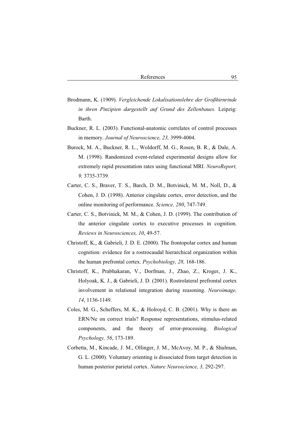- Brodmann, K. (1909). *Vergleichende Lokalisationslehre der Großhirnrinde in ihren Pinzipien dargestellt auf Grund des Zellenbaues.* Leipzig: Barth.
- Buckner, R. L. (2003). Functional-anatomic correlates of control processes in memory. *Journal of Neuroscience, 23,* 3999-4004.
- Burock, M. A., Buckner, R. L., Woldorff, M. G., Rosen, B. R., & Dale, A. M. (1998). Randomized event-related experimental designs allow for extremely rapid presentation rates using functional MRI. *NeuroReport, 9,* 3735-3739.
- Carter, C. S., Braver, T. S., Barch, D. M., Botvinick, M. M., Noll, D., & Cohen, J. D. (1998). Anterior cingulate cortex, error detection, and the online monitoring of performance. *Science, 280*, 747-749.
- Carter, C. S., Botvinick, M. M., & Cohen, J. D. (1999). The contribution of the anterior cingulate cortex to executive processes in cognition. *Reviews in Neurosciences, 10*, 49-57.
- Christoff, K., & Gabrieli, J. D. E. (2000). The frontopolar cortex and human cognition: evidence for a rostrocaudal hierarchical organization within the human prefrontal cortex. *Psychobiology, 28,* 168-186.
- Christoff, K., Prabhakaran, V., Dorfman, J., Zhao, Z., Kroger, J. K., Holyoak, K. J., & Gabrieli, J. D. (2001). Rostrolateral prefrontal cortex involvement in relational integration during reasoning. *Neuroimage, 14*, 1136-1149.
- Coles, M. G., Scheffers, M. K., & Holroyd, C. B. (2001). Why is there an ERN/Ne on correct trials? Response representations, stimulus-related components, and the theory of error-processing. *Biological Psychology, 56*, 173-189.
- Corbetta, M., Kincade, J. M., Ollinger, J. M., McAvoy, M. P., & Shulman, G. L. (2000). Voluntary orienting is dissociated from target detection in human posterior parietal cortex. *Nature Neuroscience, 3,* 292-297.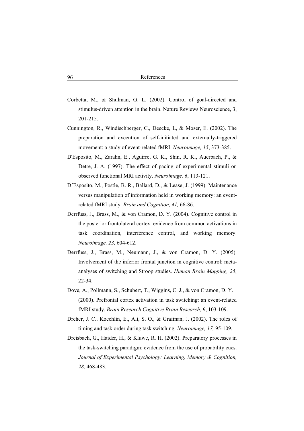- Corbetta, M., & Shulman, G. L. (2002). Control of goal-directed and stimulus-driven attention in the brain. Nature Reviews Neuroscience, 3, 201-215.
- Cunnington, R., Windischberger, C., Deecke, L, & Moser, E. (2002). The preparation and execution of self-initiated and externally-triggered movement: a study of event-related fMRI. *Neuroimage, 15*, 373-385.
- D'Esposito, M., Zarahn, E., Aguirre, G. K., Shin, R. K., Auerbach, P., & Detre, J. A. (1997). The effect of pacing of experimental stimuli on observed functional MRI activity. *Neuroimage, 6*, 113-121.
- D´Esposito, M., Postle, B. R., Ballard, D., & Lease, J. (1999). Maintenance versus manipulation of information held in working memory: an eventrelated fMRI study. *Brain and Cognition, 41,* 66-86.
- Derrfuss, J., Brass, M., & von Cramon, D. Y. (2004). Cognitive control in the posterior frontolateral cortex: evidence from common activations in task coordination, interference control, and working memory. *Neuroimage, 23,* 604-612.
- Derrfuss, J., Brass, M., Neumann, J., & von Cramon, D. Y. (2005). Involvement of the inferior frontal junction in cognitive control: metaanalyses of switching and Stroop studies. *Human Brain Mapping, 25*, 22-34.
- Dove, A., Pollmann, S., Schubert, T., Wiggins, C. J., & von Cramon, D. Y. (2000). Prefrontal cortex activation in task switching: an event-related fMRI study. *Brain Research Cognitive Brain Research, 9*, 103-109.
- Dreher, J. C., Koechlin, E., Ali, S. O., & Grafman, J. (2002). The roles of timing and task order during task switching. *Neuroimage, 17,* 95-109.
- Dreisbach, G., Haider, H., & Kluwe, R. H. (2002). Preparatory processes in the task-switching paradigm: evidence from the use of probability cues. *Journal of Experimental Psychology: Learning, Memory & Cognition, 28*, 468-483.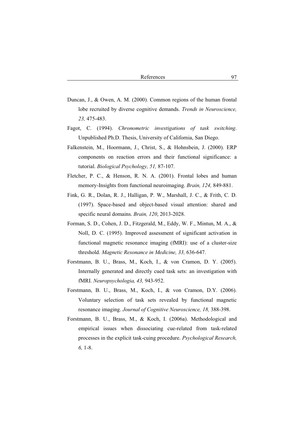- Duncan, J., & Owen, A. M. (2000). Common regions of the human frontal lobe recruited by diverse cognitive demands. *Trends in Neuroscience, 23,* 475-483.
- Fagot, C. (1994). *Chronometric investigations of task switching*. Unpublished Ph.D. Thesis, University of California, San Diego.
- Falkenstein, M., Hoormann, J., Christ, S., & Hohnsbein, J. (2000). ERP components on reaction errors and their functional significance: a tutorial. *Biological Psychology, 51,* 87-107.
- Fletcher, P. C., & Henson, R. N. A. (2001). Frontal lobes and human memory-Insights from functional neuroimaging. *Brain, 124,* 849-881.
- Fink, G. R., Dolan, R. J., Halligan, P. W., Marshall, J. C., & Frith, C. D. (1997). Space-based and object-based visual attention: shared and specific neural domains. *Brain, 120*, 2013-2028.
- Forman, S. D., Cohen, J. D., Fitzgerald, M., Eddy, W. F., Mintun, M. A., & Noll, D. C. (1995). Improved assessment of significant activation in functional magnetic resonance imaging (fMRI): use of a cluster-size threshold. *Magnetic Resonance in Medicine, 33,* 636-647.
- Forstmann, B. U., Brass, M., Koch, I., & von Cramon, D. Y. (2005). Internally generated and directly cued task sets: an investigation with fMRI. *Neuropsychologia, 43,* 943-952.
- Forstmann, B. U., Brass, M., Koch, I., & von Cramon, D.Y. (2006). Voluntary selection of task sets revealed by functional magnetic resonance imaging. *Journal of Cognitive Neuroscience, 18,* 388-398.
- Forstmann, B. U., Brass, M., & Koch, I. (2006a). Methodological and empirical issues when dissociating cue-related from task-related processes in the explicit task-cuing procedure. *Psychological Research, 6,* 1-8.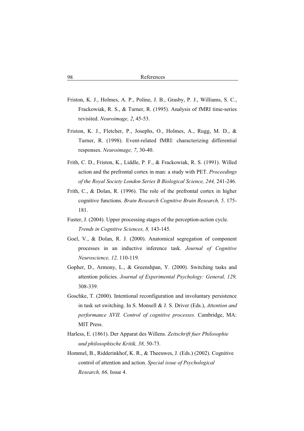- Friston, K. J., Holmes, A. P., Poline, J. B., Grasby, P. J., Williams, S. C., Frackowiak, R. S., & Turner, R. (1995). Analysis of fMRI time-series revisited. *Neuroimage, 2*, 45-53.
- Friston, K. J., Fletcher, P., Josephs, O., Holmes, A., Rugg, M. D., & Turner, R. (1998). Event-related fMRI: characterizing differential responses. *Neuroimage, 7*, 30-40.
- Frith, C. D., Friston, K., Liddle, P. F., & Frackowiak, R. S. (1991). Willed action and the prefrontal cortex in man: a study with PET. *Proceedings of the Royal Society London Series B Biological Science, 244,* 241-246.
- Frith, C., & Dolan, R. (1996). The role of the prefrontal cortex in higher cognitive functions. *Brain Research Cognitive Brain Research, 5,* 175- 181.
- Fuster, J. (2004). Upper processing stages of the perception-action cycle. *Trends in Cognitive Sciences, 8,* 143-145.
- Goel, V., & Dolan, R. J. (2000). Anatomical segregation of component processes in an inductive inference task. *Journal of Cognitive Neuroscience, 12,* 110-119.
- Gopher, D., Armony, L., & Greenshpan, Y. (2000). Switching tasks and attention policies. *Journal of Experimental Psychology: General, 129,* 308-339.
- Goschke, T. (2000). Intentional reconfiguration and involuntary persistence in task set switching. In S. Monsell & J. S. Driver (Eds.), *Attention and performance XVII. Control of cognitive processes.* Cambridge, MA: MIT Press.
- Harless, E. (1861). Der Apparat des Willens. *Zeitschrift fuer Philosophie und philosophische Kritik, 38,* 50-73.
- Hommel, B., Ridderinkhof, K. R., & Theeuwes, J. (Eds.) (2002). Cognitive control of attention and action. *Special issue of Psychological Research, 66,* Issue 4.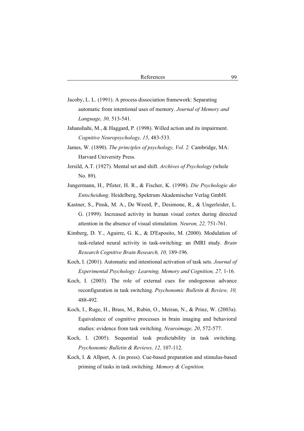- Jacoby, L. L. (1991). A process dissociation framework: Separating automatic from intentional uses of memory. *Journal of Memory and Language, 30,* 513-541.
- Jahanshahi, M., & Haggard, P. (1998). Willed action and its impairment. *Cognitive Neuropsychology, 15*, 483-533.
- James, W. (1890). *The principles of psychology, Vol. 2.* Cambridge, MA: Harvard University Press.
- Jersild, A.T. (1927). Mental set and shift. *Archives of Psychology* (whole No. 89).
- Jungermann, H., Pfister, H. R., & Fischer, K. (1998). *Die Psychologie der Entscheidung*. Heidelberg, Spektrum Akademischer Verlag GmbH.
- Kastner, S., Pinsk, M. A., De Weerd, P., Desimone, R., & Ungerleider, L. G. (1999). Increased activity in human visual cortex during directed attention in the absence of visual stimulation. *Neuron, 22,* 751-761.
- Kimberg, D. Y., Aguirre, G. K., & D'Esposito, M. (2000). Modulation of task-related neural activity in task-switching: an fMRI study. *Brain Research Cognitive Brain Research, 10,* 189-196.
- Koch, I. (2001). Automatic and intentional activation of task sets. *Journal of Experimental Psychology: Learning, Memory and Cognition, 27,* 1-16.
- Koch, I. (2003). The role of external cues for endogenous advance reconfiguration in task switching. *Psychonomic Bulletin & Review, 10,* 488-492.
- Koch, I., Ruge, H., Brass, M., Rubin, O., Meiran, N., & Prinz, W. (2003a). Equivalence of cognitive processes in brain imaging and behavioral studies: evidence from task switching. *Neuroimage, 20*, 572-577.
- Koch, I. (2005). Sequential task predictability in task switching. *Psychonomic Bulletin & Reviews, 12,* 107-112.
- Koch, I. & Allport, A. (in press). Cue-based preparation and stimulus-based priming of tasks in task switching. *Memory & Cognition.*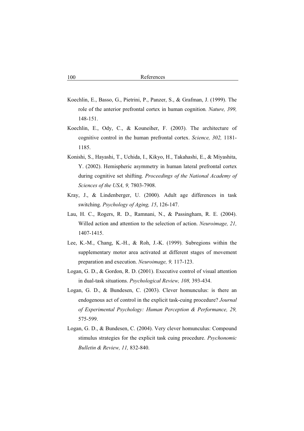- Koechlin, E., Basso, G., Pietrini, P., Panzer, S., & Grafman, J. (1999). The role of the anterior prefrontal cortex in human cognition*. Nature, 399,* 148-151.
- Koechlin, E., Ody, C., & Kouneiher, F. (2003). The architecture of cognitive control in the human prefrontal cortex. *Science, 302,* 1181- 1185.
- Konishi, S., Hayashi, T., Uchida, I., Kikyo, H., Takahashi, E., & Miyashita, Y. (2002). Hemispheric asymmetry in human lateral prefrontal cortex during cognitive set shifting. *Proceedings of the National Academy of Sciences of the USA, 9,* 7803-7908.
- Kray, J., & Lindenberger, U. (2000). Adult age differences in task switching. *Psychology of Aging, 15*, 126-147.
- Lau, H. C., Rogers, R. D., Ramnani, N., & Passingham, R. E. (2004). Willed action and attention to the selection of action. *Neuroimage, 21,*  1407-1415.
- Lee, K.-M., Chang, K.-H., & Roh, J.-K. (1999). Subregions within the supplementary motor area activated at different stages of movement preparation and execution. *Neuroimage, 9,* 117-123.
- Logan, G. D., & Gordon, R. D. (2001). Executive control of visual attention in dual-task situations. *Psychological Review, 108,* 393-434.
- Logan, G. D., & Bundesen, C. (2003). Clever homunculus: is there an endogenous act of control in the explicit task-cuing procedure? *Journal of Experimental Psychology: Human Perception & Performance, 29,* 575-599.
- Logan, G. D., & Bundesen, C. (2004). Very clever homunculus: Compound stimulus strategies for the explicit task cuing procedure. *Psychonomic Bulletin & Review, 11,* 832-840.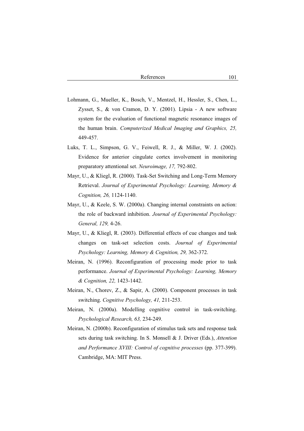- Lohmann, G., Mueller, K., Bosch, V., Mentzel, H., Hessler, S., Chen, L., Zysset, S., & von Cramon, D. Y. (2001). Lipsia - A new software system for the evaluation of functional magnetic resonance images of the human brain. *Computerized Medical Imaging and Graphics, 25,*  449-457.
- Luks, T. L., Simpson, G. V., Feiwell, R. J., & Miller, W. J. (2002). Evidence for anterior cingulate cortex involvement in monitoring preparatory attentional set. *Neuroimage, 17,* 792-802.
- Mayr, U., & Kliegl, R. (2000). Task-Set Switching and Long-Term Memory Retrieval. *Journal of Experimental Psychology: Learning, Memory & Cognition, 26,* 1124-1140.
- Mayr, U., & Keele, S. W. (2000a). Changing internal constraints on action: the role of backward inhibition. *Journal of Experimental Psychology: General, 129,* 4-26.
- Mayr, U., & Kliegl, R. (2003). Differential effects of cue changes and task changes on task-set selection costs. *Journal of Experimental Psychology: Learning, Memory & Cognition, 29,* 362-372.
- Meiran, N. (1996). Reconfiguration of processing mode prior to task performance. *Journal of Experimental Psychology: Learning, Memory & Cognition, 22,* 1423-1442.
- Meiran, N., Chorev, Z., & Sapir, A. (2000). Component processes in task switching. *Cognitive Psychology, 41,* 211-253.
- Meiran, N. (2000a). Modelling cognitive control in task-switching. *Psychological Research, 63,* 234-249.
- Meiran, N. (2000b). Reconfiguration of stimulus task sets and response task sets during task switching. In S. Monsell & J. Driver (Eds.), *Attention and Performance XVIII: Control of cognitive processes* (pp. 377-399). Cambridge, MA: MIT Press.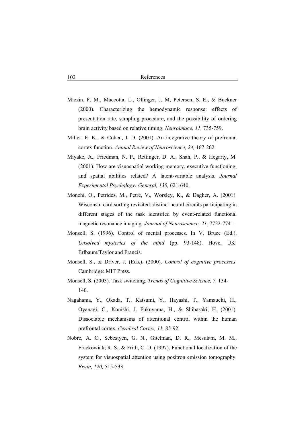- Miezin, F. M., Maccotta, L., Ollinger, J. M, Petersen, S. E., & Buckner (2000). Characterizing the hemodynamic response: effects of presentation rate, sampling procedure, and the possibility of ordering brain activity based on relative timing. *Neuroimage, 11,* 735-759.
- Miller, E. K., & Cohen, J. D. (2001). An integrative theory of prefrontal cortex function. *Annual Review of Neuroscience, 24,* 167-202.
- Miyake, A., Friedman, N. P., Rettinger, D. A., Shah, P., & Hegarty, M. (2001). How are visuospatial working memory, executive functioning, and spatial abilities related? A latent-variable analysis. *Journal Experimental Psychology: General, 130,* 621-640.
- Monchi, O., Petrides, M., Petre, V., Worsley, K., & Dagher, A. (2001). Wisconsin card sorting revisited: distinct neural circuits participating in different stages of the task identified by event-related functional magnetic resonance imaging. *Journal of Neuroscience, 21,* 7722-7741.
- Monsell, S. (1996). Control of mental processes. In V. Bruce (Ed.), *Unsolved mysteries of the mind* (pp. 93-148). Hove, UK: Erlbaum/Taylor and Francis.
- Monsell, S., & Driver, J. (Eds.). (2000). *Control of cognitive processes*. Cambridge: MIT Press.
- Monsell, S. (2003). Task switching. *Trends of Cognitive Science, 7,* 134- 140.
- Nagahama, Y., Okada, T., Katsumi, Y., Hayashi, T., Yamauchi, H., Oyanagi, C., Konishi, J. Fukuyama, H., & Shibasaki, H. (2001). Dissociable mechanisms of attentional control within the human prefrontal cortex. *Cerebral Cortex, 11,* 85-92.
- Nobre, A. C., Sebestyen, G. N., Gitelman, D. R., Mesulam, M. M., Frackowiak, R. S., & Frith, C. D. (1997). Functional localization of the system for visuospatial attention using positron emission tomography. *Brain, 120,* 515-533.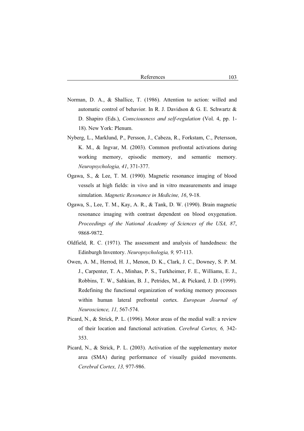- Norman, D. A., & Shallice, T. (1986). Attention to action: willed and automatic control of behavior. In R. J. Davidson & G. E. Schwartz & D. Shapiro (Eds.), *Consciousness and self-regulation* (Vol. 4, pp. 1- 18). New York: Plenum.
- Nyberg, L., Marklund, P., Persson, J., Cabeza, R., Forkstam, C., Petersson, K. M., & Ingvar, M. (2003). Common prefrontal activations during working memory, episodic memory, and semantic memory. *Neuropsychologia, 41*, 371-377.
- Ogawa, S., & Lee, T. M. (1990). Magnetic resonance imaging of blood vessels at high fields: in vivo and in vitro measurements and image simulation. *Magnetic Resonance in Medicine, 16*, 9-18.
- Ogawa, S., Lee, T. M., Kay, A. R., & Tank, D. W. (1990). Brain magnetic resonance imaging with contrast dependent on blood oxygenation. *Proceedings of the National Academy of Sciences of the USA, 87*, 9868-9872.
- Oldfield, R. C. (1971). The assessment and analysis of handedness: the Edinburgh Inventory. *Neuropsychologia, 9,* 97-113.
- Owen, A. M., Herrod, H. J., Menon, D. K., Clark, J. C., Downey, S. P. M. J., Carpenter, T. A., Minhas, P. S., Turkheimer, F. E., Williams, E. J., Robbins, T. W., Sahkian, B. J., Petrides, M., & Pickard, J. D. (1999). Redefining the functional organization of working memory processes within human lateral prefrontal cortex. *European Journal of Neuroscience, 11,* 567-574.
- Picard, N., & Strick, P. L. (1996). Motor areas of the medial wall: a review of their location and functional activation. *Cerebral Cortex, 6,* 342- 353.
- Picard, N., & Strick, P. L. (2003). Activation of the supplementary motor area (SMA) during performance of visually guided movements. *Cerebral Cortex, 13,* 977-986.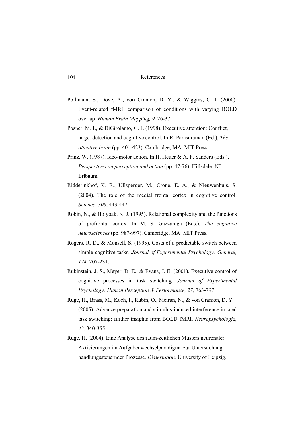- Pollmann, S., Dove, A., von Cramon, D. Y., & Wiggins, C. J. (2000). Event-related fMRI: comparison of conditions with varying BOLD overlap. *Human Brain Mapping, 9,* 26-37.
- Posner, M. I., & DiGirolamo, G. J. (1998). Executive attention: Conflict, target detection and cognitive control. In R. Parasuraman (Ed.), *The attentive brain* (pp. 401-423). Cambridge, MA: MIT Press.
- Prinz, W. (1987). Ideo-motor action. In H. Heuer & A. F. Sanders (Eds.), *Perspectives on perception and action* (pp. 47-76). Hillsdale, NJ: Erlbaum.
- Ridderinkhof, K. R., Ullsperger, M., Crone, E. A., & Nieuwenhuis, S. (2004). The role of the medial frontal cortex in cognitive control. *Science, 306*, 443-447.
- Robin, N., & Holyoak, K. J. (1995). Relational complexity and the functions of prefrontal cortex. In M. S. Gazzaniga (Eds.), *The cognitive neurosciences* (pp. 987-997). Cambridge, MA: MIT Press.
- Rogers, R. D., & Monsell, S. (1995). Costs of a predictable switch between simple cognitive tasks. *Journal of Experimental Psychology: General, 124,* 207-231.
- Rubinstein, J. S., Meyer, D. E., & Evans, J. E. (2001). Executive control of cognitive processes in task switching. *Journal of Experimental Psychology: Human Perception & Performance, 27,* 763-797.
- Ruge, H., Brass, M., Koch, I., Rubin, O., Meiran, N., & von Cramon, D. Y. (2005). Advance preparation and stimulus-induced interference in cued task switching: further insights from BOLD fMRI. *Neuropsychologia, 43,* 340-355.
- Ruge, H. (2004). Eine Analyse des raum-zeitlichen Musters neuronaler Aktivierungen im Aufgabenwechselparadigma zur Untersuchung handlungssteuernder Prozesse. *Dissertation.* University of Leipzig.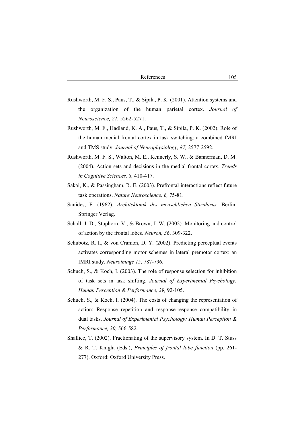- Rushworth, M. F. S., Paus, T., & Sipila, P. K. (2001). Attention systems and the organization of the human parietal cortex. *Journal of Neuroscience, 21,* 5262-5271.
- Rushworth, M. F., Hadland, K. A., Paus, T., & Sipila, P. K. (2002). Role of the human medial frontal cortex in task switching: a combined fMRI and TMS study. *Journal of Neurophysiology, 87,* 2577-2592.
- Rushworth, M. F. S., Walton, M. E., Kennerly, S. W., & Bannerman, D. M. (2004). Action sets and decisions in the medial frontal cortex. *Trends in Cognitive Sciences, 8,* 410-417.
- Sakai, K., & Passingham, R. E. (2003). Prefrontal interactions reflect future task operations. *Nature Neuroscience, 6,* 75-81.
- Sanides, F. (1962). *Architektonik des menschlichen Stirnhirns.* Berlin: Springer Verlag.
- Schall, J. D., Stuphorn, V., & Brown, J. W. (2002). Monitoring and control of action by the frontal lobes*. Neuron, 36*, 309-322.
- Schubotz, R. I., & von Cramon, D. Y. (2002). Predicting perceptual events activates corresponding motor schemes in lateral premotor cortex: an fMRI study. *Neuroimage 15,* 787-796.
- Schuch, S., & Koch, I. (2003). The role of response selection for inhibition of task sets in task shifting. *Journal of Experimental Psychology: Human Perception & Performance, 29,* 92-105.
- Schuch, S., & Koch, I. (2004). The costs of changing the representation of action: Response repetition and response-response compatibility in dual tasks. *Journal of Experimental Psychology: Human Perception & Performance, 30,* 566-582.
- Shallice, T. (2002). Fractionating of the supervisory system. In D. T. Stuss & R. T. Knight (Eds.), *Principles of frontal lobe function* (pp. 261- 277). Oxford: Oxford University Press.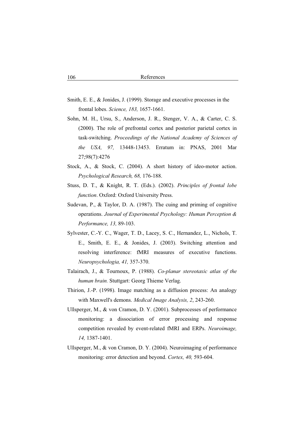- Smith, E. E., & Jonides, J. (1999). Storage and executive processes in the frontal lobes. *Science, 183,* 1657-1661.
- Sohn, M. H., Ursu, S., Anderson, J. R., Stenger, V. A., & Carter, C. S. (2000). The role of prefrontal cortex and posterior parietal cortex in task-switching. *Proceedings of the National Academy of Sciences of the USA, 97,* 13448-13453. Erratum in: PNAS, 2001 Mar 27;98(7):4276
- Stock, A., & Stock, C. (2004). A short history of ideo-motor action. *Psychological Research, 68,* 176-188.
- Stuss, D. T., & Knight, R. T. (Eds.). (2002). *Principles of frontal lobe function*. Oxford: Oxford University Press.
- Sudevan, P., & Taylor, D. A. (1987). The cuing and priming of cognitive operations. *Journal of Experimental Psychology: Human Perception & Performance, 13,* 89-103.
- Sylvester, C.-Y. C., Wager, T. D., Lacey, S. C., Hernandez, L., Nichols, T. E., Smith, E. E., & Jonides, J. (2003). Switching attention and resolving interference: fMRI measures of executive functions. *Neuropsychologia, 41,* 357-370.
- Talairach, J., & Tournoux, P. (1988). *Co-planar stereotaxic atlas of the human brain.* Stuttgart: Georg Thieme Verlag.
- Thirion, J.-P. (1998). Image matching as a diffusion process: An analogy with Maxwell's demons. *Medical Image Analysis, 2*, 243-260.
- Ullsperger, M., & von Cramon, D. Y. (2001). Subprocesses of performance monitoring: a dissociation of error processing and response competition revealed by event-related fMRI and ERPs. *Neuroimage, 14,* 1387-1401.
- Ullsperger, M., & von Cramon, D. Y. (2004). Neuroimaging of performance monitoring: error detection and beyond. *Cortex, 40,* 593-604.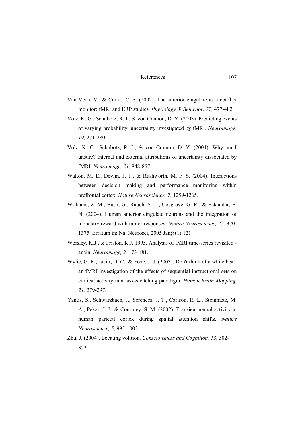- Van Veen, V., & Carter, C. S. (2002). The anterior cingulate as a conflict monitor: fMRI and ERP studies. *Physiology & Behavior, 77,* 477-482.
- Volz, K. G., Schubotz, R. I., & von Cramon, D. Y. (2003). Predicting events of varying probability: uncertainty investigated by fMRI. *Neuroimage, 19,* 271-280.
- Volz, K. G., Schubotz, R. I., & von Cramon, D. Y. (2004). Why am I unsure? Internal and external attributions of uncertainty dissociated by fMRI. *Neuroimage, 21,* 848-857.
- Walton, M. E., Devlin, J. T., & Rushworth, M. F. S. (2004). Interactions between decision making and performance monitoring within prefrontal cortex. *Nature Neuroscience, 7,* 1259-1265.
- Williams, Z. M., Bush, G., Rauch, S. L., Cosgrove, G. R., & Eskandar, E. N. (2004). Human anterior cingulate neurons and the integration of monetary reward with motor responses. *Nature Neuroscience, 7,* 1370- 1375. Erratum in: Nat Neurosci, 2005 Jan;8(1):121
- Worsley, K.J., & Friston, K.J. 1995. Analysis of fMRI time-series revisited again. *Neuroimage, 2,* 173-181.
- Wylie, G. R., Javitt, D. C., & Foxe, J. J. (2003). Don't think of a white bear: an fMRI investigation of the effects of sequential instructional sets on cortical activity in a task-switching paradigm. *Human Brain Mapping, 21,* 279-297.
- Yantis, S., Schwarzbach, J., Serences, J. T., Carlson, R. L., Steinmetz, M. A., Pekar, J. J., & Courtney, S. M. (2002). Transient neural activity in human parietal cortex during spatial attention shifts. *Nature Neuroscience, 5*, 995-1002.
- Zhu, J. (2004). Locating volition. *Consciousness and Cognition, 13*, 302- 322.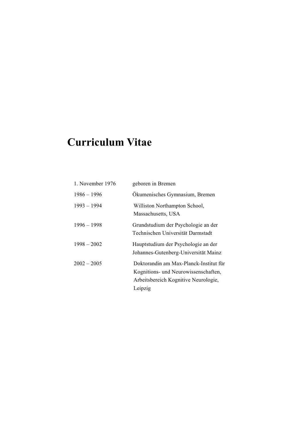# **Curriculum Vitae**

| 1. November 1976 | geboren in Bremen                                                                                                                 |
|------------------|-----------------------------------------------------------------------------------------------------------------------------------|
| $1986 - 1996$    | Okumenisches Gymnasium, Bremen                                                                                                    |
| $1993 - 1994$    | Williston Northampton School,<br>Massachusetts, USA                                                                               |
| $1996 - 1998$    | Grundstudium der Psychologie an der<br>Technischen Universität Darmstadt                                                          |
| $1998 - 2002$    | Hauptstudium der Psychologie an der<br>Johannes-Gutenberg-Universität Mainz                                                       |
| $2002 - 2005$    | Doktorandin am Max-Planck-Institut für<br>Kognitions- und Neurowissenschaften,<br>Arbeitsbereich Kognitive Neurologie,<br>Leipzig |
|                  |                                                                                                                                   |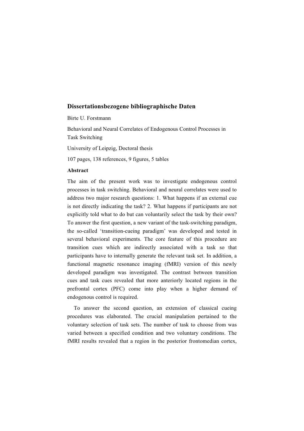# **Dissertationsbezogene bibliographische Daten**

Birte U. Forstmann

Behavioral and Neural Correlates of Endogenous Control Processes in Task Switching

University of Leipzig, Doctoral thesis

107 pages, 138 references, 9 figures, 5 tables

#### **Abstract**

The aim of the present work was to investigate endogenous control processes in task switching. Behavioral and neural correlates were used to address two major research questions: 1. What happens if an external cue is not directly indicating the task? 2. What happens if participants are not explicitly told what to do but can voluntarily select the task by their own? To answer the first question, a new variant of the task-switching paradigm, the so-called 'transition-cueing paradigm' was developed and tested in several behavioral experiments. The core feature of this procedure are transition cues which are indirectly associated with a task so that participants have to internally generate the relevant task set. In addition, a functional magnetic resonance imaging (fMRI) version of this newly developed paradigm was investigated. The contrast between transition cues and task cues revealed that more anteriorly located regions in the prefrontal cortex (PFC) come into play when a higher demand of endogenous control is required.

To answer the second question, an extension of classical cueing procedures was elaborated. The crucial manipulation pertained to the voluntary selection of task sets. The number of task to choose from was varied between a specified condition and two voluntary conditions. The fMRI results revealed that a region in the posterior frontomedian cortex,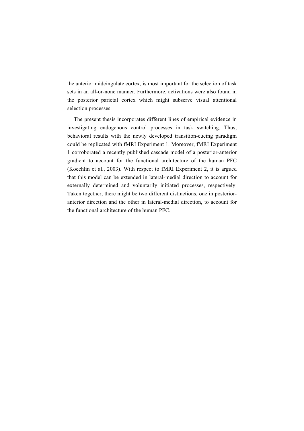the anterior midcingulate cortex, is most important for the selection of task sets in an all-or-none manner. Furthermore, activations were also found in the posterior parietal cortex which might subserve visual attentional selection processes.

The present thesis incorporates different lines of empirical evidence in investigating endogenous control processes in task switching. Thus, behavioral results with the newly developed transition-cueing paradigm could be replicated with fMRI Experiment 1. Moreover, fMRI Experiment 1 corroborated a recently published cascade model of a posterior-anterior gradient to account for the functional architecture of the human PFC (Koechlin et al., 2003). With respect to fMRI Experiment 2, it is argued that this model can be extended in lateral-medial direction to account for externally determined and voluntarily initiated processes, respectively. Taken together, there might be two different distinctions, one in posterioranterior direction and the other in lateral-medial direction, to account for the functional architecture of the human PFC.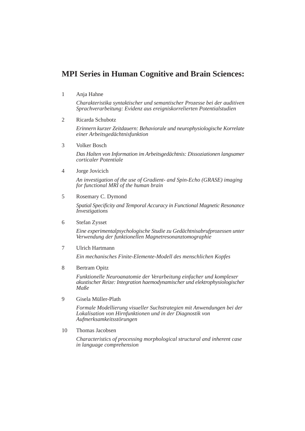# **MPI Series in Human Cognitive and Brain Sciences:**

1 Anja Hahne

*Charakteristika syntaktischer und semantischer Prozesse bei der auditiven Sprachverarbeitung: Evidenz aus ereigniskorrelierten Potentialstudien*

2 Ricarda Schubotz

*Erinnern kurzer Zeitdauern: Behaviorale und neurophysiologische Korrelate einer Arbeitsgedächtnisfunktion*

3 Volker Bosch

*Das Halten von Information im Arbeitsgedächtnis: Dissoziationen langsamer corticaler Potentiale*

4 Jorge Jovicich

*An investigation of the use of Gradient- and Spin-Echo (GRASE) imaging for functional MRI of the human brain*

5 Rosemary C. Dymond

*Spatial Specificity and Temporal Accuracy in Functional Magnetic Resonance Investigations*

6 Stefan Zysset

*Eine experimentalpsychologische Studie zu Gedächtnisabrufprozessen unter Verwendung der funktionellen Magnetresonanztomographie*

7 Ulrich Hartmann

*Ein mechanisches Finite-Elemente-Modell des menschlichen Kopfes*

8 Bertram Opitz

*Funktionelle Neuroanatomie der Verarbeitung einfacher und komplexer akustischer Reize: Integration haemodynamischer und elektrophysiologischer Maße*

9 Gisela Müller-Plath

*Formale Modellierung visueller Suchstrategien mit Anwendungen bei der Lokalisation von Hirnfunktionen und in der Diagnostik von Aufmerksamkeitsstörungen*

10 Thomas Jacobsen

*Characteristics of processing morphological structural and inherent case in language comprehension*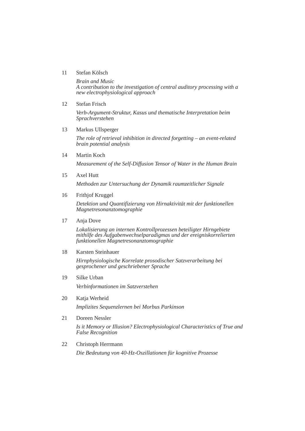# 11 Stefan Kölsch

*Brain and Music A contribution to the investigation of central auditory processing with a new electrophysiological approach*

12 Stefan Frisch

*Verb-Argument-Struktur, Kasus und thematische Interpretation beim Sprachverstehen*

13 Markus Ullsperger

*The role of retrieval inhibition in directed forgetting – an event-related brain potential analysis*

14 Martin Koch

*Measurement of the Self-Diffusion Tensor of Water in the Human Brain*

15 Axel Hutt

*Methoden zur Untersuchung der Dynamik raumzeitlicher Signale*

16 Frithjof Kruggel

*Detektion und Quantifizierung von Hirnaktivität mit der funktionellen Magnetresonanztomographie*

17 Anja Dove

*Lokalisierung an internen Kontrollprozessen beteiligter Hirngebiete mithilfe des Aufgabenwechselparadigmas und der ereigniskorrelierten funktionellen Magnetresonanztomographie*

18 Karsten Steinhauer

*Hirnphysiologische Korrelate prosodischer Satzverarbeitung bei gesprochener und geschriebener Sprache*

- 19 Silke Urban *Verbinformationen im Satzverstehen*
- 20 Katja Werheid

*Implizites Sequenzlernen bei Morbus Parkinson*

21 Doreen Nessler

*Is it Memory or Illusion? Electrophysiological Characteristics of True and False Recognition*

22 Christoph Herrmann

*Die Bedeutung von 40-Hz-Oszillationen für kognitive Prozesse*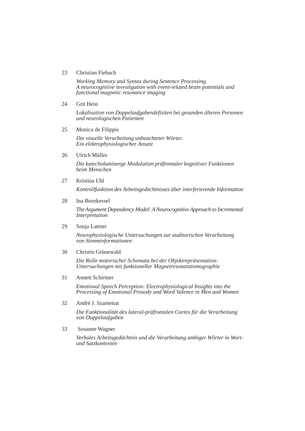## 23 Christian Fiebach

*Working Memory and Syntax during Sentence Processing. A neurocognitive investigation with event-related brain potentials and functional magnetic resonance imaging*

24 Grit Hein

*Lokalisation von Doppelaufgabendefiziten bei gesunden älteren Personen und neurologischen Patienten*

25 Monica de Filippis

*Die visuelle Verarbeitung unbeachteter Wörter. Ein elektrophysiologischer Ansatz*

26 Ulrich Müller

*Die katecholaminerge Modulation präfrontaler kognitiver Funktionen beim Menschen*

27 Kristina Uhl

*Kontrollfunktion des Arbeitsgedächtnisses über interferierende Information*

## 28 Ina Bornkessel

*The Argument Dependency Model: A Neurocognitive Approach to Incremental Interpretation*

# 29 Sonja Lattner

*Neurophysiologische Untersuchungen zur auditorischen Verarbeitung von Stimminformationen*

30 Christin Grünewald

*Die Rolle motorischer Schemata bei der Objektrepräsentation: Untersuchungen mit funktioneller Magnetresonanztomographie*

31 Annett Schirmer

*Emotional Speech Perception: Electrophysiological Insights into the Processing of Emotional Prosody and Word Valence in Men and Women*

32 André J. Szameitat

*Die Funktionalität des lateral-präfrontalen Cortex für die Verarbeitung von Doppelaufgaben*

33 Susanne Wagner

*Verbales Arbeitsgedächtnis und die Verarbeitung ambiger Wörter in Wort und Satzkontexten*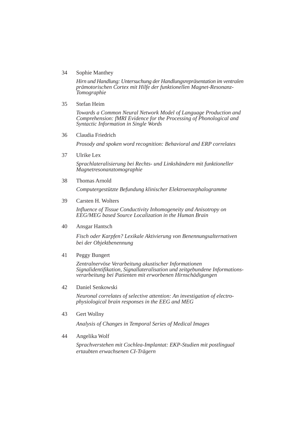# 34 Sophie Manthey

*Hirn und Handlung: Untersuchung der Handlungsrepräsentation im ventralen prämotorischen Cortex mit Hilfe der funktionellen Magnet-Resonanz-Tomographie*

35 Stefan Heim

*Towards a Common Neural Network Model of Language Production and Comprehension: fMRI Evidence for the Processing of Phonological and Syntactic Information in Single Words*

# 36 Claudia Friedrich

*Prosody and spoken word recognition: Behavioral and ERP correlates*

37 Ulrike Lex

*Sprachlateralisierung bei Rechts- und Linkshändern mit funktioneller Magnetresonanztomographie*

38 Thomas Arnold

*Computergestützte Befundung klinischer Elektroenzephalogramme*

39 Carsten H. Wolters

*Influence of Tissue Conductivity Inhomogeneity and Anisotropy on EEG/MEG based Source Localization in the Human Brain*

40 Ansgar Hantsch

*Fisch oder Karpfen? Lexikale Aktivierung von Benennungsalternativen bei der Objektbenennung*

## 41 Peggy Bungert

*Zentralnervöse Verarbeitung akustischer Informationen Signalidentifikation, Signallateralisation und zeitgebundene Informationsverarbeitung bei Patienten mit erworbenen Hirnschädigungen*

42 Daniel Senkowski

*Neuronal correlates of selective attention: An investigation of electrophysiological brain responses in the EEG and MEG*

43 Gert Wollny

*Analysis of Changes in Temporal Series of Medical Images*

## 44 Angelika Wolf

*Sprachverstehen mit Cochlea-Implantat: EKP-Studien mit postlingual ertaubten erwachsenen CI-Trägern*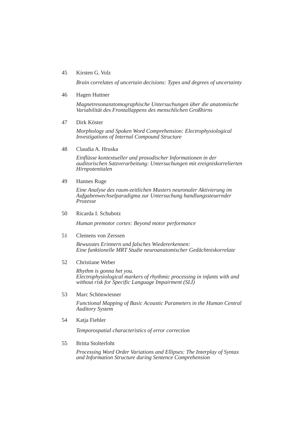# 45 Kirsten G. Volz

*Brain correlates of uncertain decisions: Types and degrees of uncertainty*

#### 46 Hagen Huttner

*Magnetresonanztomographische Untersuchungen über die anatomische Variabilität des Frontallappens des menschlichen Großhirns*

#### 47 Dirk Köster

*Morphology and Spoken Word Comprehension: Electrophysiological Investigations of Internal Compound Structure*

48 Claudia A. Hruska

*Einflüsse kontextueller und prosodischer Informationen in der auditorischen Satzverarbeitung: Untersuchungen mit ereigniskorrelierten Hirnpotentialen*

49 Hannes Ruge

*Eine Analyse des raum-zeitlichen Musters neuronaler Aktivierung im Aufgabenwechselparadigma zur Untersuchung handlungssteuernder Prozesse*

50 Ricarda I. Schubotz

*Human premotor cortex: Beyond motor performance*

51 Clemens von Zerssen

*Bewusstes Erinnern und falsches Wiedererkennen: Eine funktionelle MRT Studie neuroanatomischer Gedächtniskorrelate*

## 52 Christiane Weber

*Rhythm is gonna het you. Electrophysiological markers of rhythmic processing in infants with and without risk for Specific Language Impairment (SLI)*

53 Marc Schönwiesner

*Functional Mapping of Basic Acoustic Parameters in the Human Central Auditory System*

54 Katja Fiehler

*Temporospatial characteristics of error correction*

55 Britta Stolterfoht

*Processing Word Order Variations and Ellipses: The Interplay of Syntax and Information Structure during Sentence Comprehension*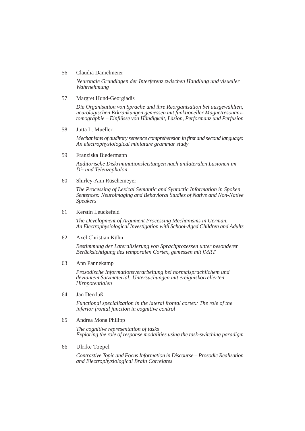#### 56 Claudia Danielmeier

*Neuronale Grundlagen der Interferenz zwischen Handlung und visueller Wahrnehmung*

57 Margret Hund-Georgiadis

*Die Organisation von Sprache und ihre Reorganisation bei ausgewählten, neurologischen Erkrankungen gemessen mit funktioneller Magnetresonanztomographie – Einflüsse von Händigkeit, Läsion, Performanz und Perfusion*

58 Jutta L. Mueller

*Mechanisms of auditory sentence comprehension in first and second language: An electrophysiological miniature grammar study*

59 Franziska Biedermann

*Auditorische Diskriminationsleistungen nach unilateralen Läsionen im Di- und Telenzephalon*

60 Shirley-Ann Rüschemeyer

*The Processing of Lexical Semantic and Syntactic Information in Spoken Sentences: Neuroimaging and Behavioral Studies of Native and Non-Native Speakers*

61 Kerstin Leuckefeld

*The Development of Argument Processing Mechanisms in German. An Electrophysiological Investigation with School-Aged Children and Adults*

62 Axel Christian Kühn

*Bestimmung der Lateralisierung von Sprachprozessen unter besonderer Berücksichtigung des temporalen Cortex, gemessen mit fMRT*

63 Ann Pannekamp

*Prosodische Informationsverarbeitung bei normalsprachlichem und deviantem Satzmaterial: Untersuchungen mit ereigniskorrelierten Hirnpotentialen*

64 Jan Derrfuß

*Functional specialization in the lateral frontal cortex: The role of the inferior frontal junction in cognitive control*

65 Andrea Mona Philipp

*The cognitive representation of tasks Exploring the role of response modalities using the task-switching paradigm*

66 Ulrike Toepel

*Contrastive Topic and Focus Information in Discourse – Prosodic Realisation and Electrophysiological Brain Correlates*